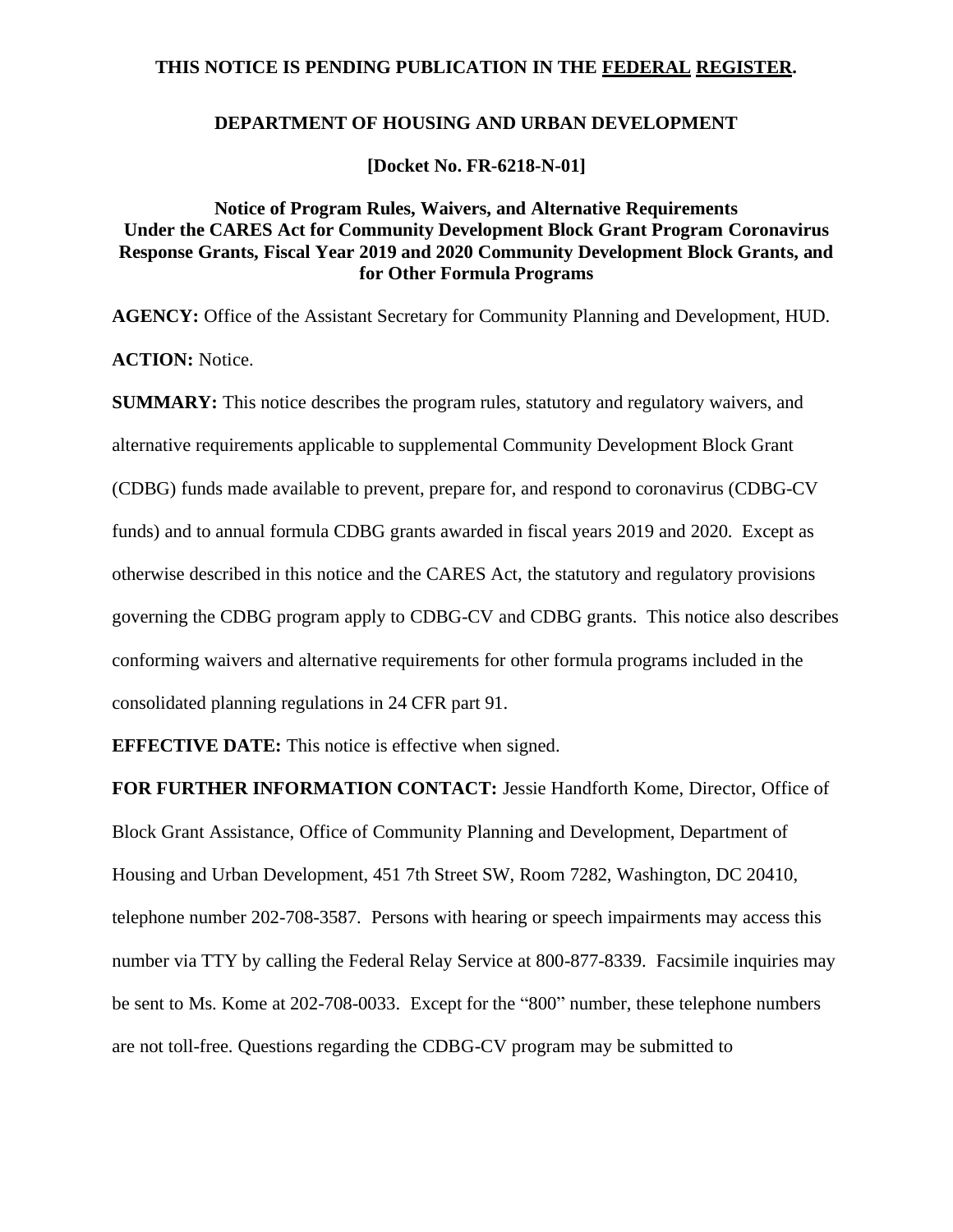# **THIS NOTICE IS PENDING PUBLICATION IN THE FEDERAL REGISTER.**

# **DEPARTMENT OF HOUSING AND URBAN DEVELOPMENT**

**[Docket No. FR-6218-N-01]**

# **Notice of Program Rules, Waivers, and Alternative Requirements Under the CARES Act for Community Development Block Grant Program Coronavirus Response Grants, Fiscal Year 2019 and 2020 Community Development Block Grants, and for Other Formula Programs**

**AGENCY:** Office of the Assistant Secretary for Community Planning and Development, HUD. **ACTION:** Notice.

**SUMMARY:** This notice describes the program rules, statutory and regulatory waivers, and alternative requirements applicable to supplemental Community Development Block Grant (CDBG) funds made available to prevent, prepare for, and respond to coronavirus (CDBG-CV funds) and to annual formula CDBG grants awarded in fiscal years 2019 and 2020. Except as otherwise described in this notice and the CARES Act, the statutory and regulatory provisions governing the CDBG program apply to CDBG-CV and CDBG grants. This notice also describes conforming waivers and alternative requirements for other formula programs included in the consolidated planning regulations in 24 CFR part 91.

**EFFECTIVE DATE:** This notice is effective when signed.

**FOR FURTHER INFORMATION CONTACT:** Jessie Handforth Kome, Director, Office of Block Grant Assistance, Office of Community Planning and Development, Department of Housing and Urban Development, 451 7th Street SW, Room 7282, Washington, DC 20410, telephone number 202-708-3587. Persons with hearing or speech impairments may access this number via TTY by calling the Federal Relay Service at 800-877-8339. Facsimile inquiries may be sent to Ms. Kome at 202-708-0033. Except for the "800" number, these telephone numbers are not toll-free. Questions regarding the CDBG-CV program may be submitted to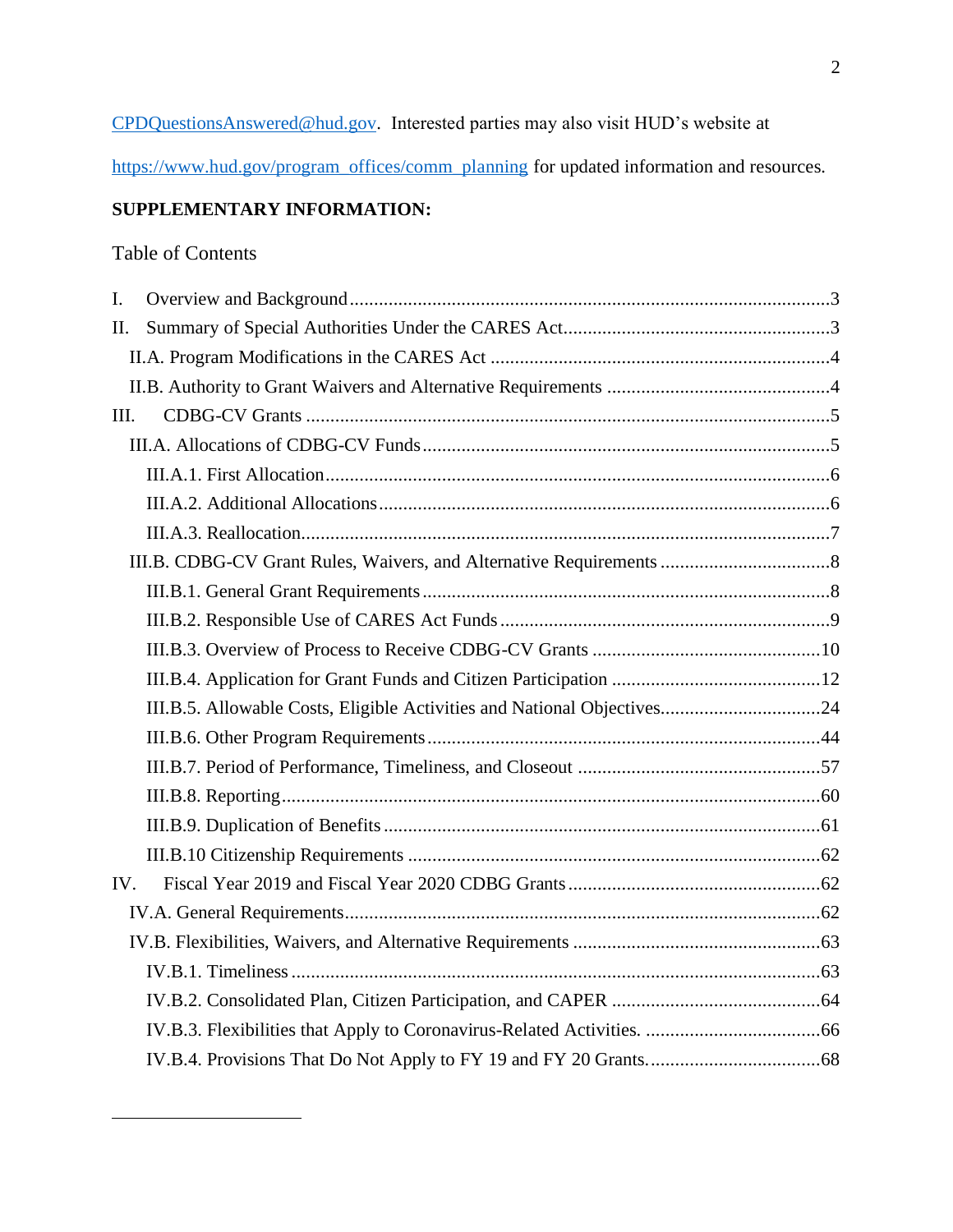[CPDQuestionsAnswered@hud.gov.](mailto:CPDQuestionsAnswered@hud.gov) Interested parties may also visit HUD's website at

[https://www.hud.gov/program\\_offices/comm\\_planning](https://www.hud.gov/program_offices/comm_planning) for updated information and resources.

# **SUPPLEMENTARY INFORMATION:**

# Table of Contents

| $\mathbf{I}$ . |  |
|----------------|--|
| II.            |  |
|                |  |
|                |  |
| III.           |  |
|                |  |
|                |  |
|                |  |
|                |  |
|                |  |
|                |  |
|                |  |
|                |  |
|                |  |
|                |  |
|                |  |
|                |  |
|                |  |
|                |  |
|                |  |
| IV.            |  |
|                |  |
|                |  |
|                |  |
|                |  |
|                |  |
|                |  |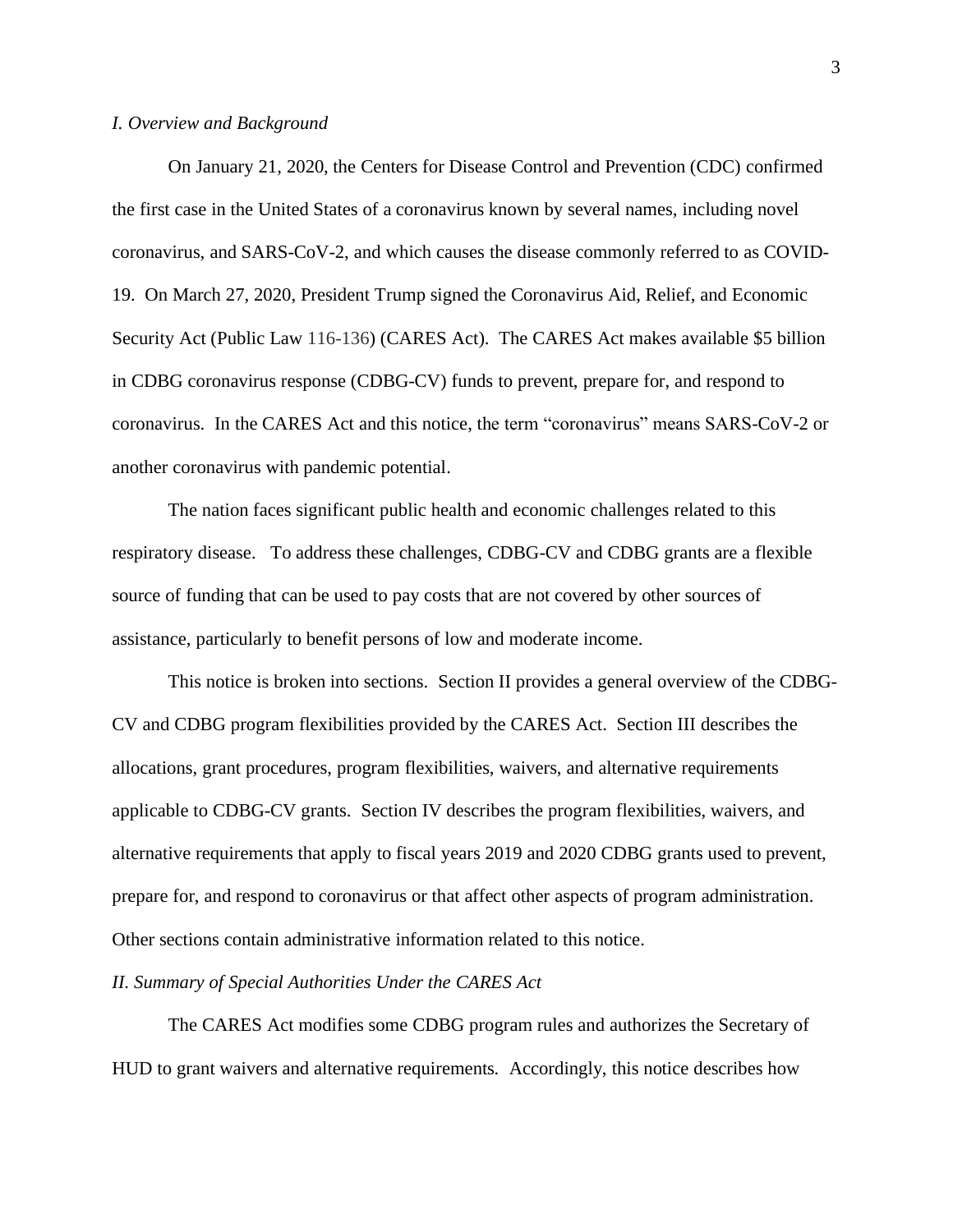#### <span id="page-2-0"></span>*I. Overview and Background*

On January 21, 2020, the Centers for Disease Control and Prevention (CDC) confirmed the first case in the United States of a coronavirus known by several names, including novel coronavirus, and SARS-CoV-2, and which causes the disease commonly referred to as COVID-19. On March 27, 2020, President Trump signed the Coronavirus Aid, Relief, and Economic Security Act (Public Law 116-136) (CARES Act). The CARES Act makes available \$5 billion in CDBG coronavirus response (CDBG-CV) funds to prevent, prepare for, and respond to coronavirus. In the CARES Act and this notice, the term "coronavirus" means SARS-CoV-2 or another coronavirus with pandemic potential.

The nation faces significant public health and economic challenges related to this respiratory disease. To address these challenges, CDBG-CV and CDBG grants are a flexible source of funding that can be used to pay costs that are not covered by other sources of assistance, particularly to benefit persons of low and moderate income.

This notice is broken into sections. Section II provides a general overview of the CDBG-CV and CDBG program flexibilities provided by the CARES Act. Section III describes the allocations, grant procedures, program flexibilities, waivers, and alternative requirements applicable to CDBG-CV grants. Section IV describes the program flexibilities, waivers, and alternative requirements that apply to fiscal years 2019 and 2020 CDBG grants used to prevent, prepare for, and respond to coronavirus or that affect other aspects of program administration. Other sections contain administrative information related to this notice.

## <span id="page-2-1"></span>*II. Summary of Special Authorities Under the CARES Act*

The CARES Act modifies some CDBG program rules and authorizes the Secretary of HUD to grant waivers and alternative requirements. Accordingly, this notice describes how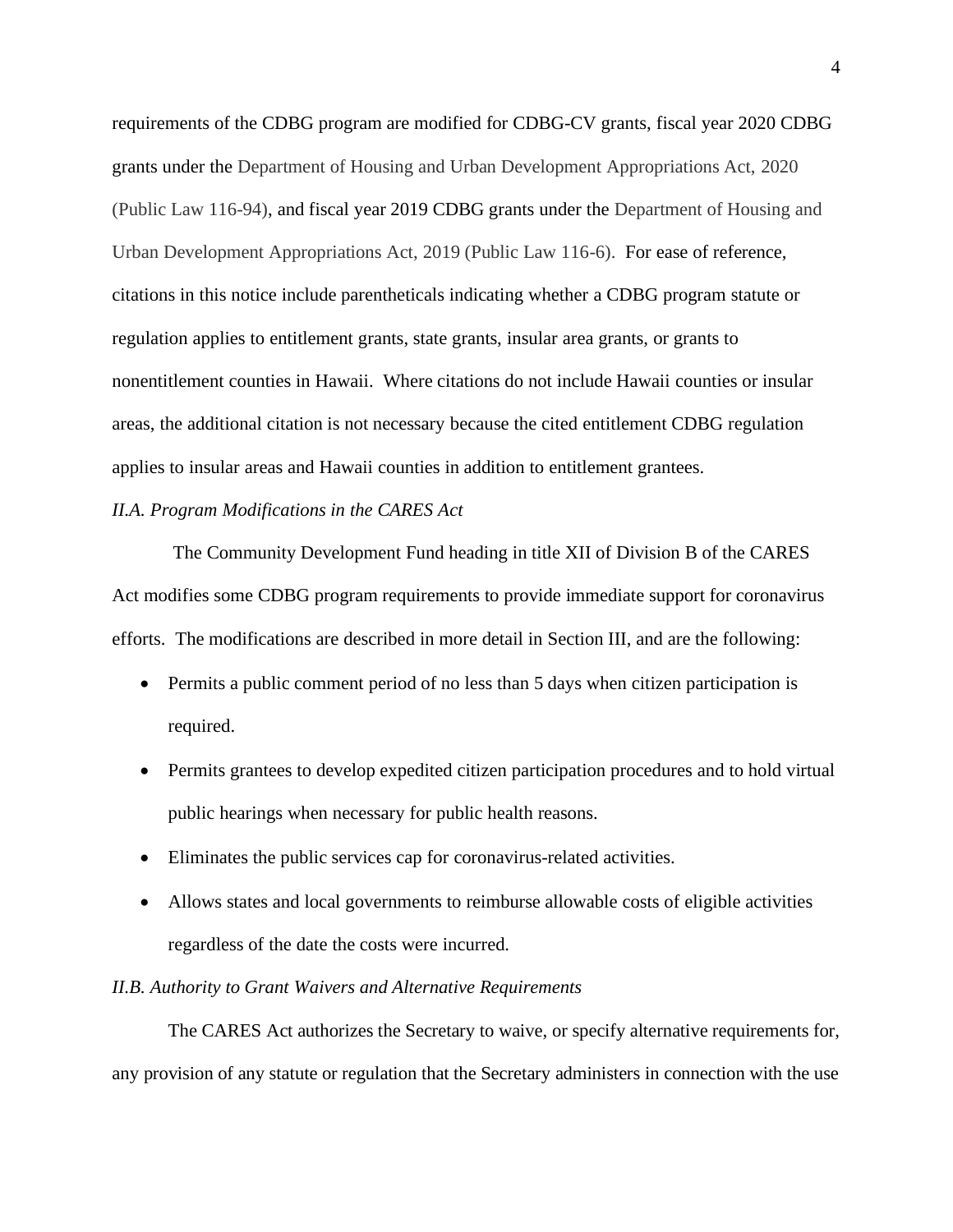requirements of the CDBG program are modified for CDBG-CV grants, fiscal year 2020 CDBG grants under the Department of Housing and Urban Development Appropriations Act, 2020 (Public Law 116-94), and fiscal year 2019 CDBG grants under the Department of Housing and Urban Development Appropriations Act, 2019 (Public Law 116-6). For ease of reference, citations in this notice include parentheticals indicating whether a CDBG program statute or regulation applies to entitlement grants, state grants, insular area grants, or grants to nonentitlement counties in Hawaii. Where citations do not include Hawaii counties or insular areas, the additional citation is not necessary because the cited entitlement CDBG regulation applies to insular areas and Hawaii counties in addition to entitlement grantees.

### <span id="page-3-0"></span>*II.A. Program Modifications in the CARES Act*

The Community Development Fund heading in title XII of Division B of the CARES Act modifies some CDBG program requirements to provide immediate support for coronavirus efforts. The modifications are described in more detail in Section III, and are the following:

- Permits a public comment period of no less than 5 days when citizen participation is required.
- Permits grantees to develop expedited citizen participation procedures and to hold virtual public hearings when necessary for public health reasons.
- Eliminates the public services cap for coronavirus-related activities.
- Allows states and local governments to reimburse allowable costs of eligible activities regardless of the date the costs were incurred.

# <span id="page-3-1"></span>*II.B. Authority to Grant Waivers and Alternative Requirements*

The CARES Act authorizes the Secretary to waive, or specify alternative requirements for, any provision of any statute or regulation that the Secretary administers in connection with the use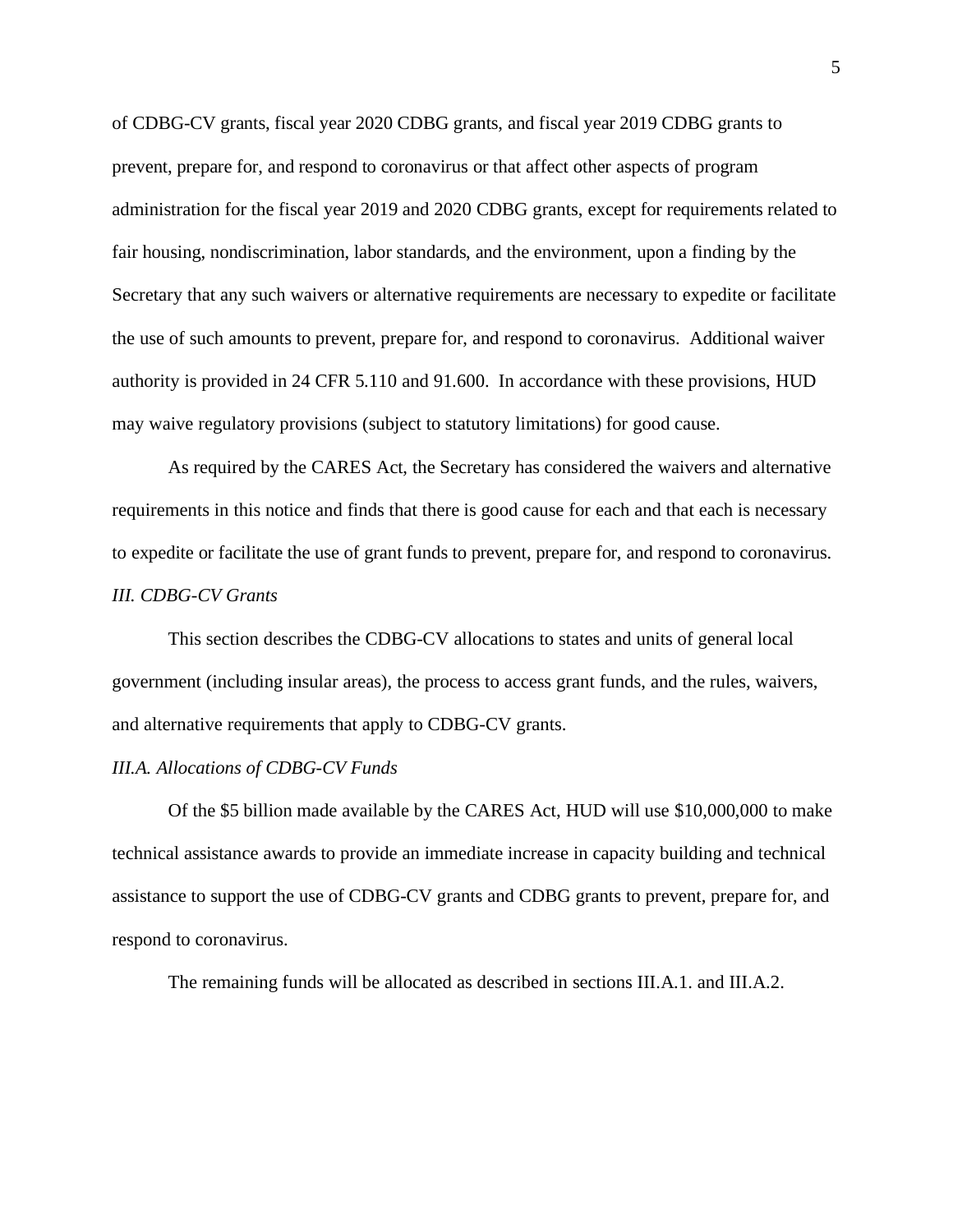of CDBG-CV grants, fiscal year 2020 CDBG grants, and fiscal year 2019 CDBG grants to prevent, prepare for, and respond to coronavirus or that affect other aspects of program administration for the fiscal year 2019 and 2020 CDBG grants, except for requirements related to fair housing, nondiscrimination, labor standards, and the environment, upon a finding by the Secretary that any such waivers or alternative requirements are necessary to expedite or facilitate the use of such amounts to prevent, prepare for, and respond to coronavirus. Additional waiver authority is provided in 24 CFR 5.110 and 91.600. In accordance with these provisions, HUD may waive regulatory provisions (subject to statutory limitations) for good cause.

As required by the CARES Act, the Secretary has considered the waivers and alternative requirements in this notice and finds that there is good cause for each and that each is necessary to expedite or facilitate the use of grant funds to prevent, prepare for, and respond to coronavirus. *III. CDBG-CV Grants*

<span id="page-4-0"></span>This section describes the CDBG-CV allocations to states and units of general local government (including insular areas), the process to access grant funds, and the rules, waivers, and alternative requirements that apply to CDBG-CV grants.

#### <span id="page-4-1"></span>*III.A. Allocations of CDBG-CV Funds*

Of the \$5 billion made available by the CARES Act, HUD will use \$10,000,000 to make technical assistance awards to provide an immediate increase in capacity building and technical assistance to support the use of CDBG-CV grants and CDBG grants to prevent, prepare for, and respond to coronavirus.

The remaining funds will be allocated as described in sections III.A.1. and III.A.2.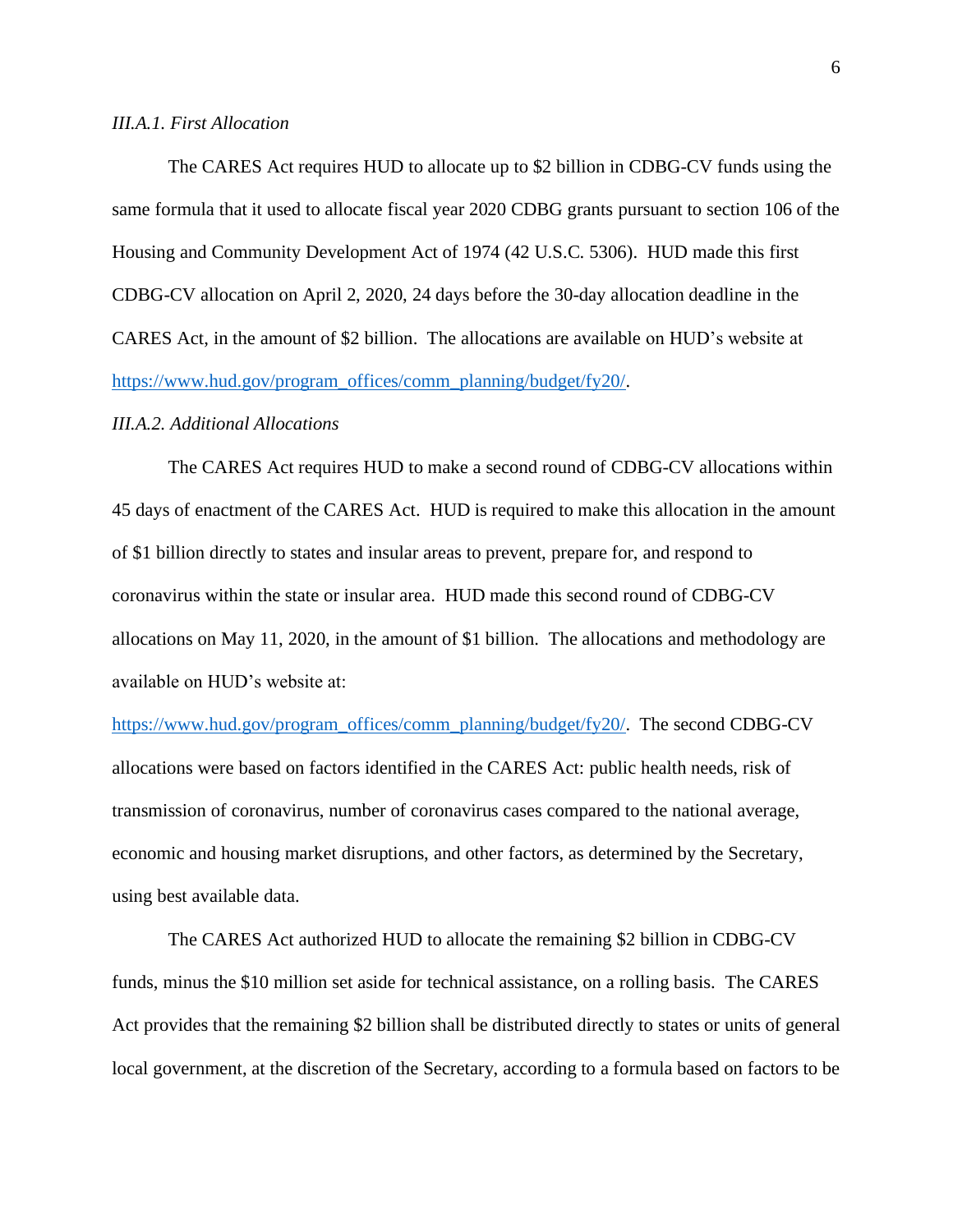## <span id="page-5-0"></span>*III.A.1. First Allocation*

The CARES Act requires HUD to allocate up to \$2 billion in CDBG-CV funds using the same formula that it used to allocate fiscal year 2020 CDBG grants pursuant to section 106 of the Housing and Community Development Act of 1974 (42 U.S.C. 5306). HUD made this first CDBG-CV allocation on April 2, 2020, 24 days before the 30-day allocation deadline in the CARES Act, in the amount of \$2 billion. The allocations are available on HUD's website at [https://www.hud.gov/program\\_offices/comm\\_planning/budget/fy20/.](https://www.hud.gov/program_offices/comm_planning/budget/fy20/)

## <span id="page-5-1"></span>*III.A.2. Additional Allocations*

The CARES Act requires HUD to make a second round of CDBG-CV allocations within 45 days of enactment of the CARES Act. HUD is required to make this allocation in the amount of \$1 billion directly to states and insular areas to prevent, prepare for, and respond to coronavirus within the state or insular area. HUD made this second round of CDBG-CV allocations on May 11, 2020, in the amount of \$1 billion. The allocations and methodology are available on HUD's website at:

[https://www.hud.gov/program\\_offices/comm\\_planning/budget/fy20/.](https://www.hud.gov/program_offices/comm_planning/budget/fy20/) The second CDBG-CV allocations were based on factors identified in the CARES Act: public health needs, risk of transmission of coronavirus, number of coronavirus cases compared to the national average, economic and housing market disruptions, and other factors, as determined by the Secretary, using best available data.

The CARES Act authorized HUD to allocate the remaining \$2 billion in CDBG-CV funds, minus the \$10 million set aside for technical assistance, on a rolling basis. The CARES Act provides that the remaining \$2 billion shall be distributed directly to states or units of general local government, at the discretion of the Secretary, according to a formula based on factors to be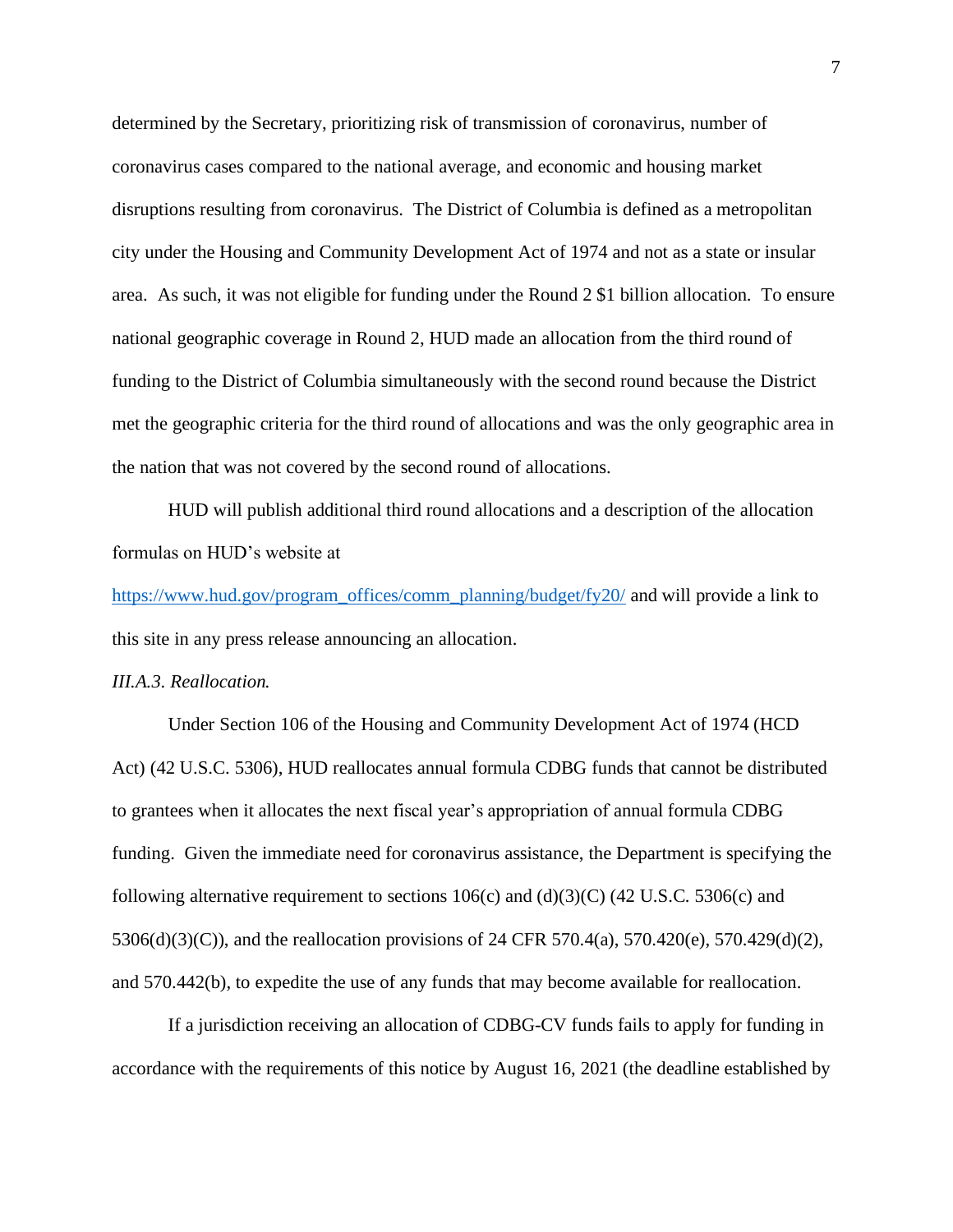determined by the Secretary, prioritizing risk of transmission of coronavirus, number of coronavirus cases compared to the national average, and economic and housing market disruptions resulting from coronavirus. The District of Columbia is defined as a metropolitan city under the Housing and Community Development Act of 1974 and not as a state or insular area. As such, it was not eligible for funding under the Round 2 \$1 billion allocation. To ensure national geographic coverage in Round 2, HUD made an allocation from the third round of funding to the District of Columbia simultaneously with the second round because the District met the geographic criteria for the third round of allocations and was the only geographic area in the nation that was not covered by the second round of allocations.

HUD will publish additional third round allocations and a description of the allocation formulas on HUD's website at

[https://www.hud.gov/program\\_offices/comm\\_planning/budget/fy20/](https://www.hud.gov/program_offices/comm_planning/budget/fy20/) and will provide a link to this site in any press release announcing an allocation.

## <span id="page-6-0"></span>*III.A.3. Reallocation.*

Under Section 106 of the Housing and Community Development Act of 1974 (HCD Act) (42 U.S.C. 5306), HUD reallocates annual formula CDBG funds that cannot be distributed to grantees when it allocates the next fiscal year's appropriation of annual formula CDBG funding. Given the immediate need for coronavirus assistance, the Department is specifying the following alternative requirement to sections  $106(c)$  and  $(d)(3)(C)$  (42 U.S.C. 5306(c) and 5306(d)(3)(C)), and the reallocation provisions of 24 CFR 570.4(a), 570.420(e), 570.429(d)(2), and 570.442(b), to expedite the use of any funds that may become available for reallocation.

If a jurisdiction receiving an allocation of CDBG-CV funds fails to apply for funding in accordance with the requirements of this notice by August 16, 2021 (the deadline established by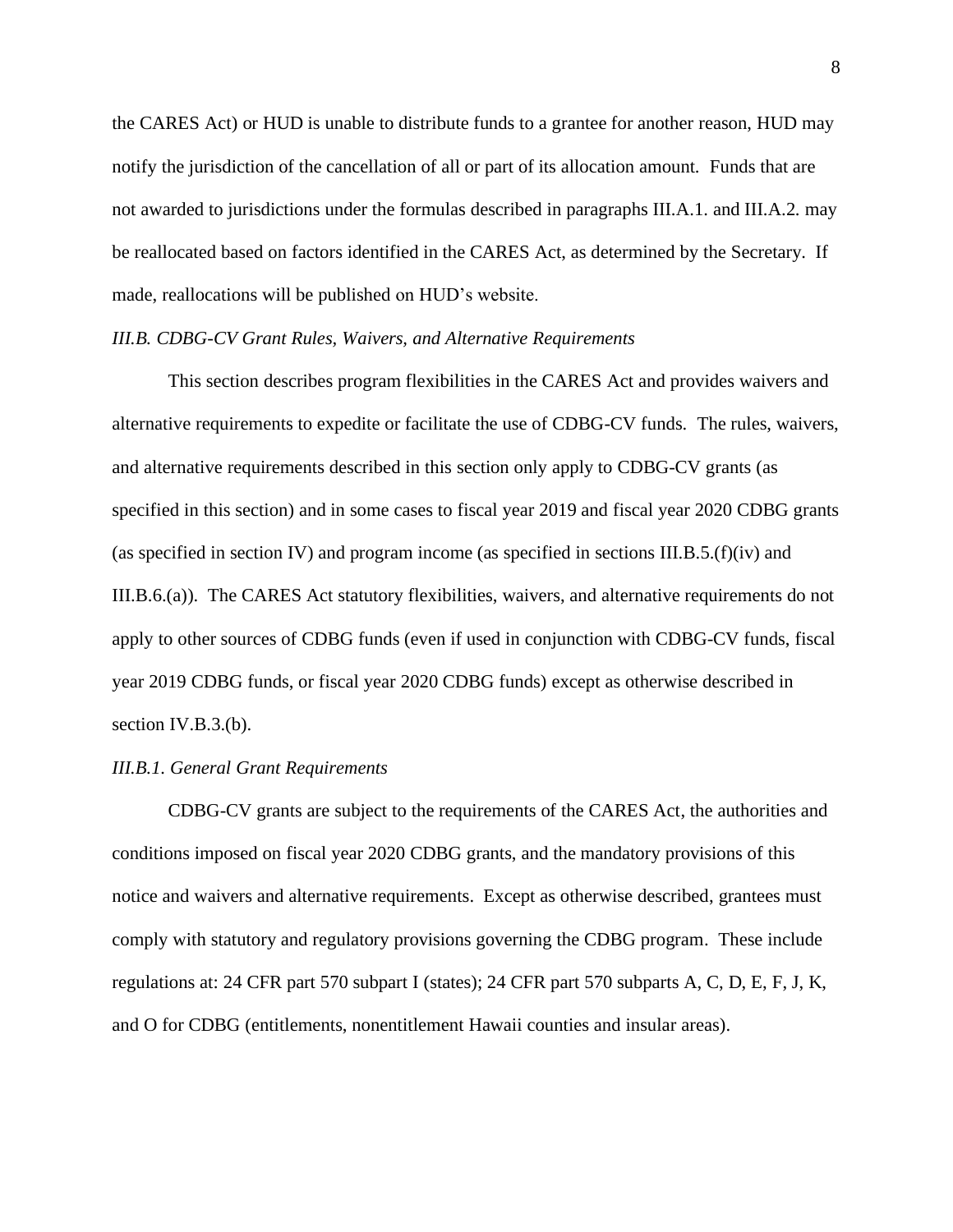the CARES Act) or HUD is unable to distribute funds to a grantee for another reason, HUD may notify the jurisdiction of the cancellation of all or part of its allocation amount. Funds that are not awarded to jurisdictions under the formulas described in paragraphs III.A.1. and III.A.2. may be reallocated based on factors identified in the CARES Act, as determined by the Secretary. If made, reallocations will be published on HUD's website.

## <span id="page-7-0"></span>*III.B. CDBG-CV Grant Rules, Waivers, and Alternative Requirements*

This section describes program flexibilities in the CARES Act and provides waivers and alternative requirements to expedite or facilitate the use of CDBG-CV funds. The rules, waivers, and alternative requirements described in this section only apply to CDBG-CV grants (as specified in this section) and in some cases to fiscal year 2019 and fiscal year 2020 CDBG grants (as specified in section IV) and program income (as specified in sections III.B.5. $(f)(iv)$  and III.B.6.(a)). The CARES Act statutory flexibilities, waivers, and alternative requirements do not apply to other sources of CDBG funds (even if used in conjunction with CDBG-CV funds, fiscal year 2019 CDBG funds, or fiscal year 2020 CDBG funds) except as otherwise described in section IV.B.3.(b).

#### <span id="page-7-1"></span>*III.B.1. General Grant Requirements*

CDBG-CV grants are subject to the requirements of the CARES Act, the authorities and conditions imposed on fiscal year 2020 CDBG grants, and the mandatory provisions of this notice and waivers and alternative requirements. Except as otherwise described, grantees must comply with statutory and regulatory provisions governing the CDBG program. These include regulations at: 24 CFR part 570 subpart I (states); 24 CFR part 570 subparts A, C, D, E, F, J, K, and O for CDBG (entitlements, nonentitlement Hawaii counties and insular areas).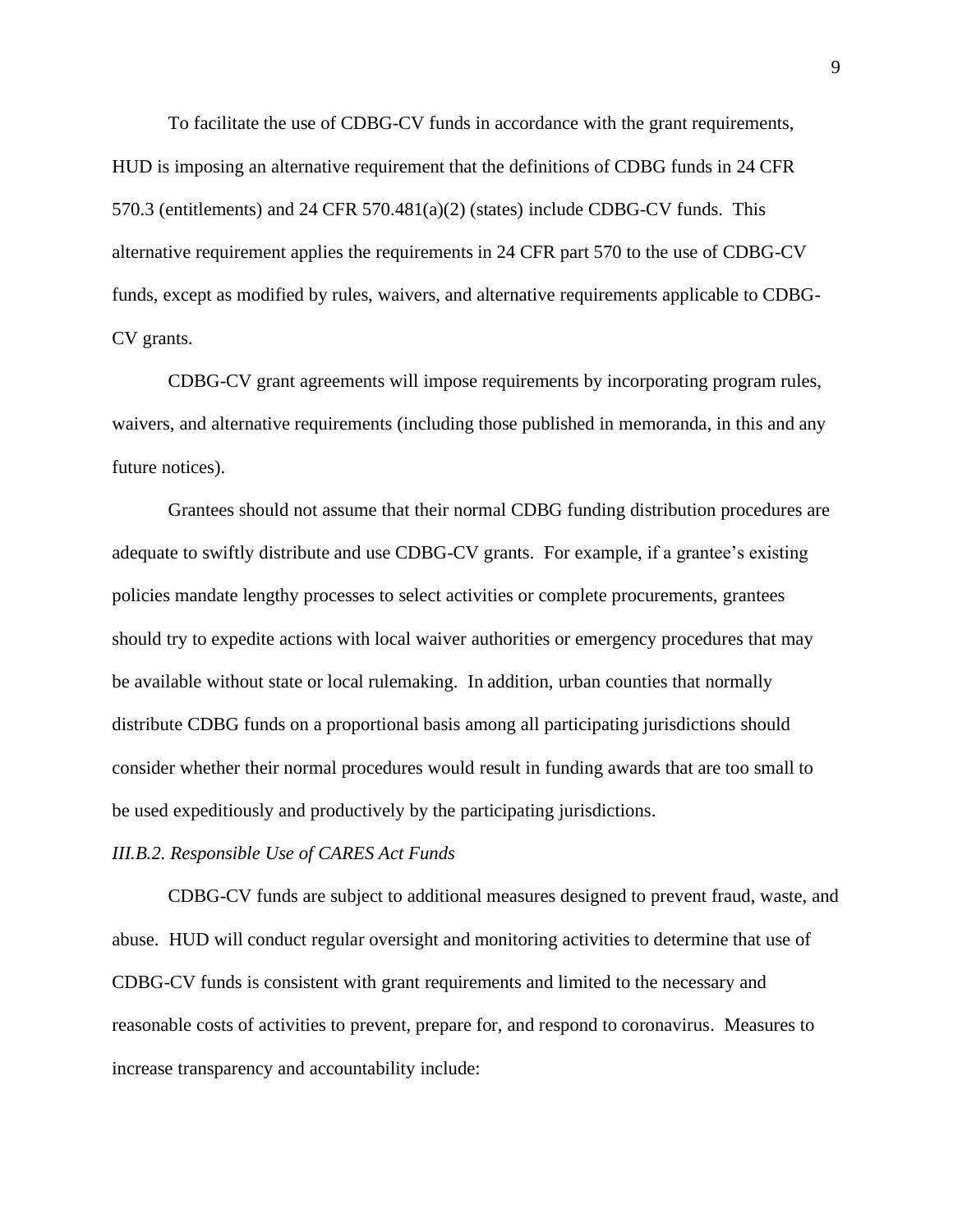To facilitate the use of CDBG-CV funds in accordance with the grant requirements, HUD is imposing an alternative requirement that the definitions of CDBG funds in 24 CFR 570.3 (entitlements) and 24 CFR 570.481(a)(2) (states) include CDBG-CV funds. This alternative requirement applies the requirements in 24 CFR part 570 to the use of CDBG-CV funds, except as modified by rules, waivers, and alternative requirements applicable to CDBG-CV grants.

CDBG-CV grant agreements will impose requirements by incorporating program rules, waivers, and alternative requirements (including those published in memoranda, in this and any future notices).

Grantees should not assume that their normal CDBG funding distribution procedures are adequate to swiftly distribute and use CDBG-CV grants. For example, if a grantee's existing policies mandate lengthy processes to select activities or complete procurements, grantees should try to expedite actions with local waiver authorities or emergency procedures that may be available without state or local rulemaking. In addition, urban counties that normally distribute CDBG funds on a proportional basis among all participating jurisdictions should consider whether their normal procedures would result in funding awards that are too small to be used expeditiously and productively by the participating jurisdictions.

#### <span id="page-8-0"></span>*III.B.2. Responsible Use of CARES Act Funds*

CDBG-CV funds are subject to additional measures designed to prevent fraud, waste, and abuse. HUD will conduct regular oversight and monitoring activities to determine that use of CDBG-CV funds is consistent with grant requirements and limited to the necessary and reasonable costs of activities to prevent, prepare for, and respond to coronavirus. Measures to increase transparency and accountability include: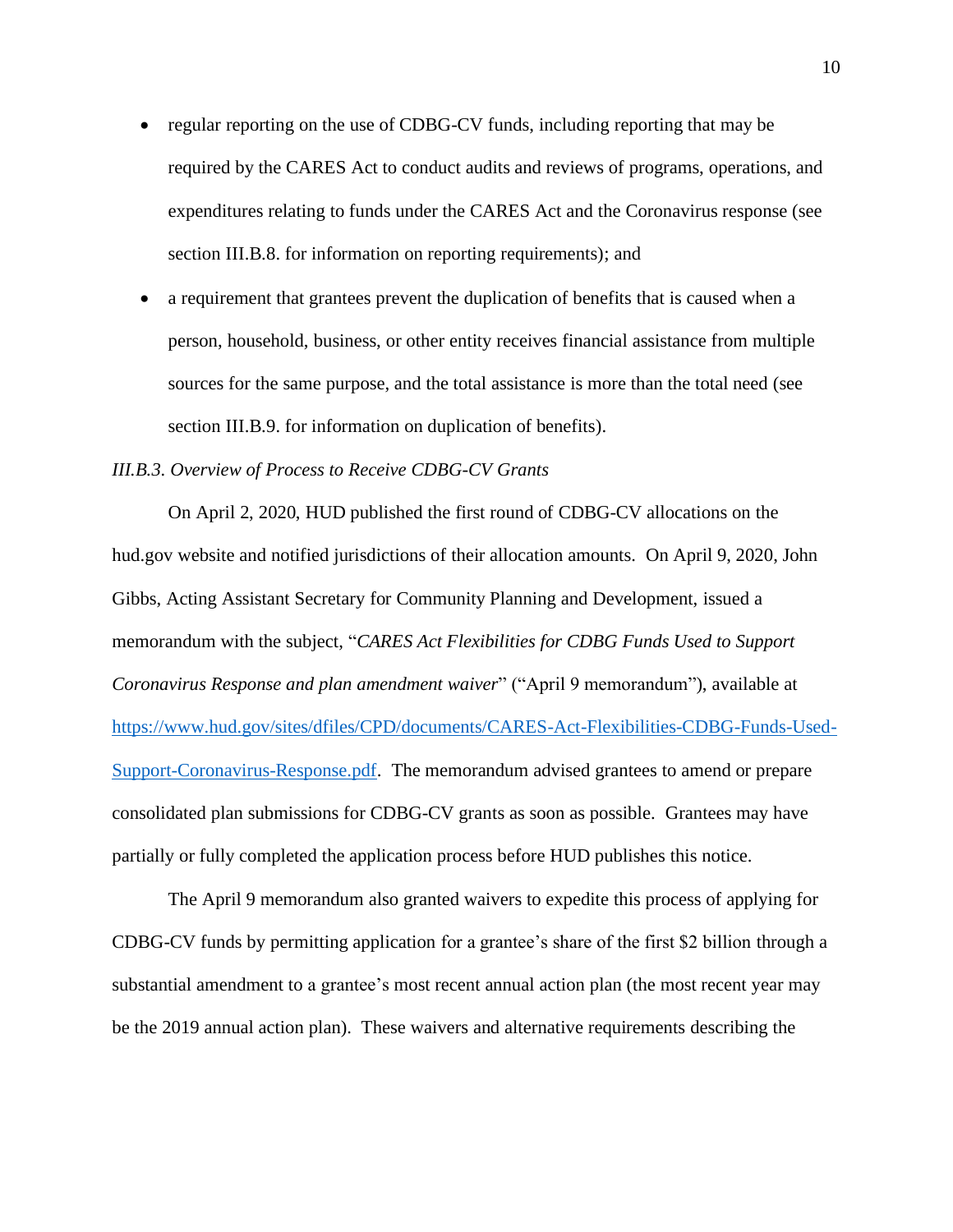- regular reporting on the use of CDBG-CV funds, including reporting that may be required by the CARES Act to conduct audits and reviews of programs, operations, and expenditures relating to funds under the CARES Act and the Coronavirus response (see section III.B.8. for information on reporting requirements); and
- a requirement that grantees prevent the duplication of benefits that is caused when a person, household, business, or other entity receives financial assistance from multiple sources for the same purpose, and the total assistance is more than the total need (see section III.B.9. for information on duplication of benefits).

## <span id="page-9-0"></span>*III.B.3. Overview of Process to Receive CDBG-CV Grants*

On April 2, 2020, HUD published the first round of CDBG-CV allocations on the hud.gov website and notified jurisdictions of their allocation amounts. On April 9, 2020, John Gibbs, Acting Assistant Secretary for Community Planning and Development, issued a memorandum with the subject, "*CARES Act Flexibilities for CDBG Funds Used to Support Coronavirus Response and plan amendment waiver*" ("April 9 memorandum"), available at [https://www.hud.gov/sites/dfiles/CPD/documents/CARES-Act-Flexibilities-CDBG-Funds-Used-](https://www.hud.gov/sites/dfiles/CPD/documents/CARES-Act-Flexibilities-CDBG-Funds-Used-Support-Coronavirus-Response.pdf)[Support-Coronavirus-Response.pdf.](https://www.hud.gov/sites/dfiles/CPD/documents/CARES-Act-Flexibilities-CDBG-Funds-Used-Support-Coronavirus-Response.pdf) The memorandum advised grantees to amend or prepare consolidated plan submissions for CDBG-CV grants as soon as possible. Grantees may have partially or fully completed the application process before HUD publishes this notice.

The April 9 memorandum also granted waivers to expedite this process of applying for CDBG-CV funds by permitting application for a grantee's share of the first \$2 billion through a substantial amendment to a grantee's most recent annual action plan (the most recent year may be the 2019 annual action plan). These waivers and alternative requirements describing the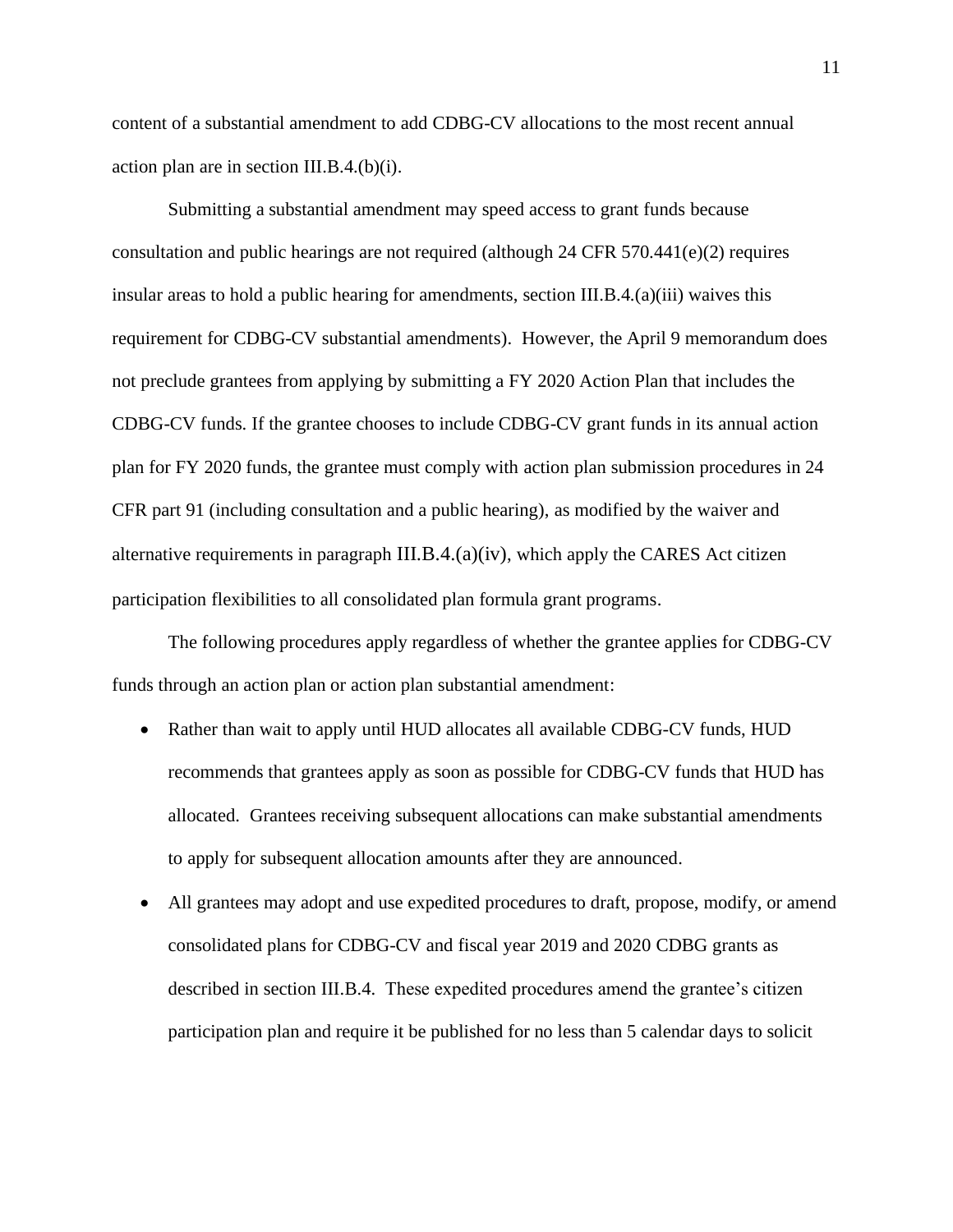content of a substantial amendment to add CDBG-CV allocations to the most recent annual action plan are in section III.B.4.(b)(i).

Submitting a substantial amendment may speed access to grant funds because consultation and public hearings are not required (although 24 CFR 570.441(e)(2) requires insular areas to hold a public hearing for amendments, section III.B.4.(a)(iii) waives this requirement for CDBG-CV substantial amendments). However, the April 9 memorandum does not preclude grantees from applying by submitting a FY 2020 Action Plan that includes the CDBG-CV funds. If the grantee chooses to include CDBG-CV grant funds in its annual action plan for FY 2020 funds, the grantee must comply with action plan submission procedures in 24 CFR part 91 (including consultation and a public hearing), as modified by the waiver and alternative requirements in paragraph  $III.B.4.(a)(iv)$ , which apply the CARES Act citizen participation flexibilities to all consolidated plan formula grant programs.

The following procedures apply regardless of whether the grantee applies for CDBG-CV funds through an action plan or action plan substantial amendment:

- Rather than wait to apply until HUD allocates all available CDBG-CV funds, HUD recommends that grantees apply as soon as possible for CDBG-CV funds that HUD has allocated. Grantees receiving subsequent allocations can make substantial amendments to apply for subsequent allocation amounts after they are announced.
- All grantees may adopt and use expedited procedures to draft, propose, modify, or amend consolidated plans for CDBG-CV and fiscal year 2019 and 2020 CDBG grants as described in section III.B.4. These expedited procedures amend the grantee's citizen participation plan and require it be published for no less than 5 calendar days to solicit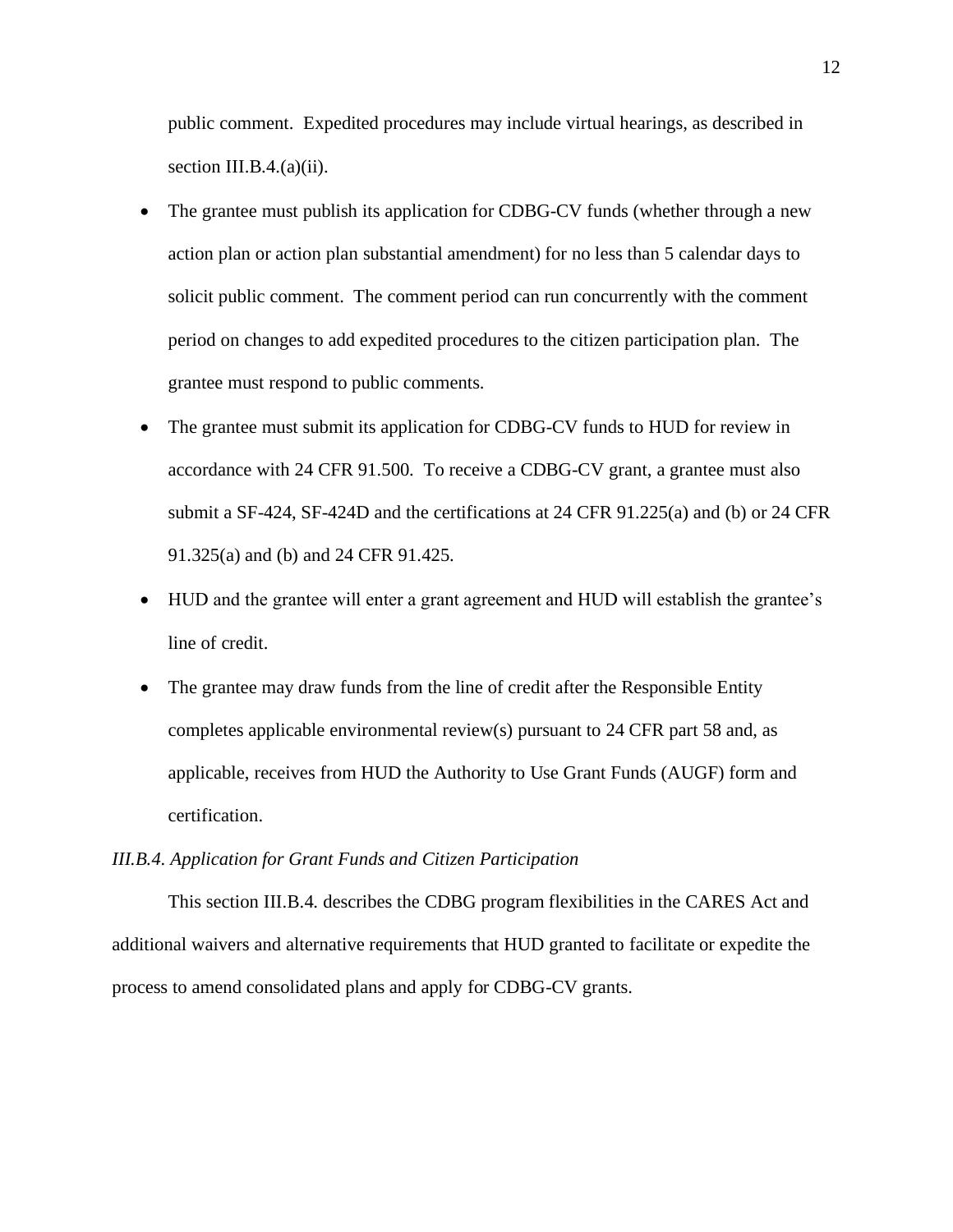public comment. Expedited procedures may include virtual hearings, as described in section III.B. $4.(a)(ii)$ .

- The grantee must publish its application for CDBG-CV funds (whether through a new action plan or action plan substantial amendment) for no less than 5 calendar days to solicit public comment. The comment period can run concurrently with the comment period on changes to add expedited procedures to the citizen participation plan. The grantee must respond to public comments.
- The grantee must submit its application for CDBG-CV funds to HUD for review in accordance with 24 CFR 91.500. To receive a CDBG-CV grant, a grantee must also submit a SF-424, SF-424D and the certifications at 24 CFR 91.225(a) and (b) or 24 CFR 91.325(a) and (b) and 24 CFR 91.425.
- HUD and the grantee will enter a grant agreement and HUD will establish the grantee's line of credit.
- The grantee may draw funds from the line of credit after the Responsible Entity completes applicable environmental review(s) pursuant to 24 CFR part 58 and, as applicable, receives from HUD the Authority to Use Grant Funds (AUGF) form and certification.

## <span id="page-11-0"></span>*III.B.4. Application for Grant Funds and Citizen Participation*

This section III.B.4. describes the CDBG program flexibilities in the CARES Act and additional waivers and alternative requirements that HUD granted to facilitate or expedite the process to amend consolidated plans and apply for CDBG-CV grants.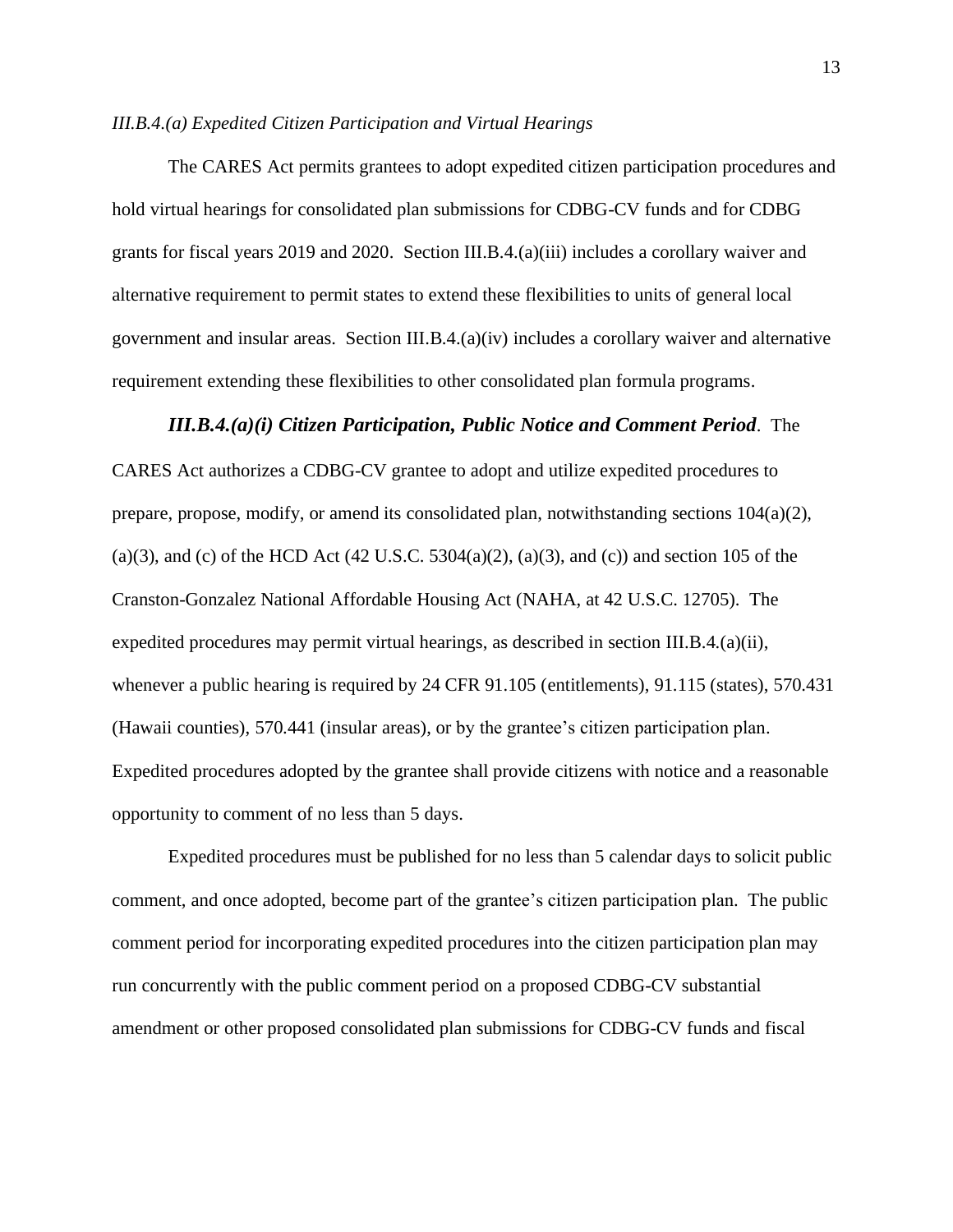#### *III.B.4.(a) Expedited Citizen Participation and Virtual Hearings*

The CARES Act permits grantees to adopt expedited citizen participation procedures and hold virtual hearings for consolidated plan submissions for CDBG-CV funds and for CDBG grants for fiscal years 2019 and 2020. Section III.B.4.(a)(iii) includes a corollary waiver and alternative requirement to permit states to extend these flexibilities to units of general local government and insular areas. Section III.B.4.(a)(iv) includes a corollary waiver and alternative requirement extending these flexibilities to other consolidated plan formula programs.

## *III.B.4.(a)(i) Citizen Participation, Public Notice and Comment Period*. The

CARES Act authorizes a CDBG-CV grantee to adopt and utilize expedited procedures to prepare, propose, modify, or amend its consolidated plan, notwithstanding sections 104(a)(2), (a)(3), and (c) of the HCD Act (42 U.S.C. 5304(a)(2), (a)(3), and (c)) and section 105 of the Cranston-Gonzalez National Affordable Housing Act (NAHA, at 42 U.S.C. 12705). The expedited procedures may permit virtual hearings, as described in section III.B.4.(a)(ii), whenever a public hearing is required by 24 CFR 91.105 (entitlements), 91.115 (states), 570.431 (Hawaii counties), 570.441 (insular areas), or by the grantee's citizen participation plan. Expedited procedures adopted by the grantee shall provide citizens with notice and a reasonable opportunity to comment of no less than 5 days.

Expedited procedures must be published for no less than 5 calendar days to solicit public comment, and once adopted, become part of the grantee's citizen participation plan. The public comment period for incorporating expedited procedures into the citizen participation plan may run concurrently with the public comment period on a proposed CDBG-CV substantial amendment or other proposed consolidated plan submissions for CDBG-CV funds and fiscal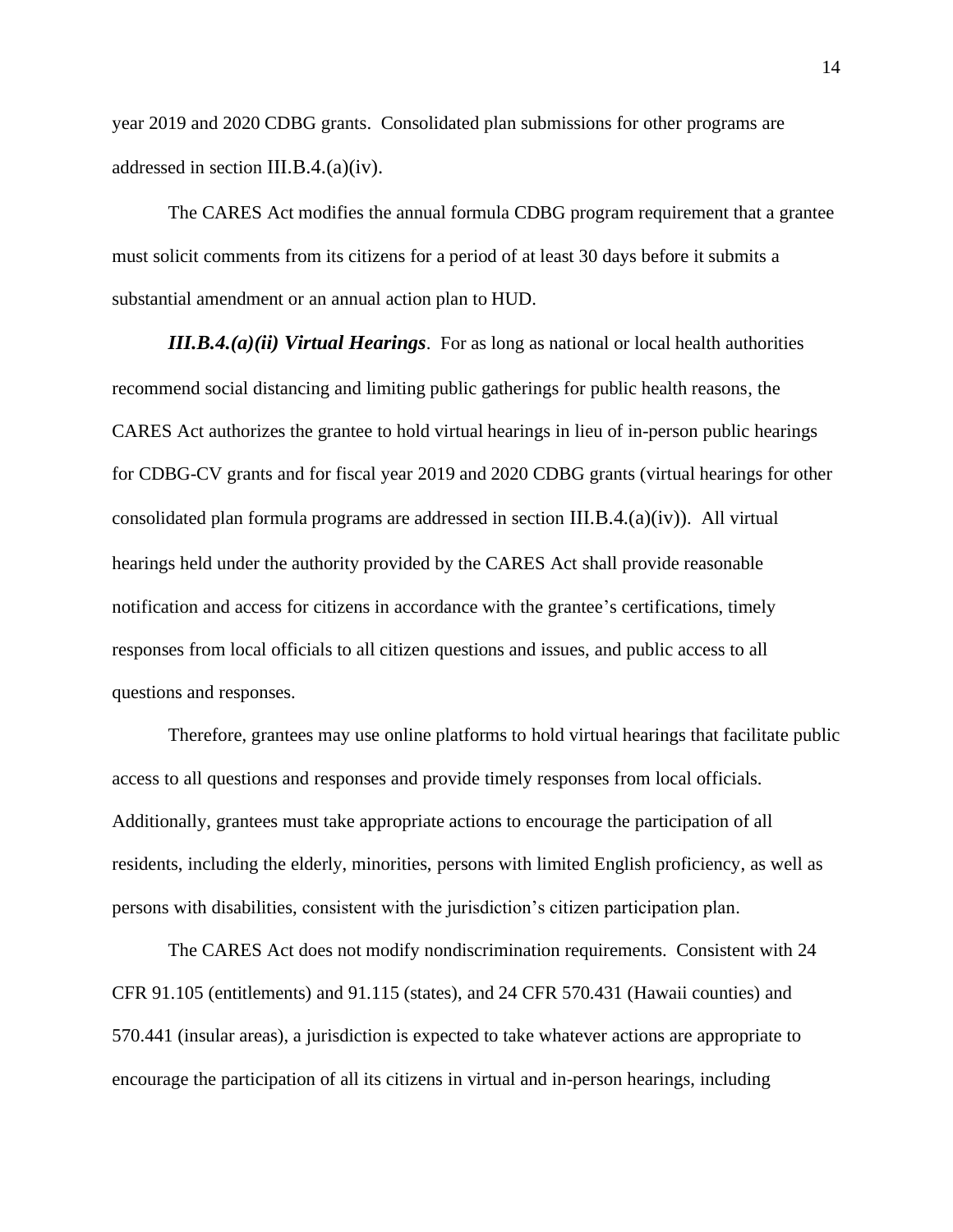year 2019 and 2020 CDBG grants. Consolidated plan submissions for other programs are addressed in section III.B.4.(a)(iv).

The CARES Act modifies the annual formula CDBG program requirement that a grantee must solicit comments from its citizens for a period of at least 30 days before it submits a substantial amendment or an annual action plan to HUD.

*III.B.4.(a)(ii) Virtual Hearings*. For as long as national or local health authorities recommend social distancing and limiting public gatherings for public health reasons, the CARES Act authorizes the grantee to hold virtual hearings in lieu of in-person public hearings for CDBG-CV grants and for fiscal year 2019 and 2020 CDBG grants (virtual hearings for other consolidated plan formula programs are addressed in section III.B.4.(a)(iv)). All virtual hearings held under the authority provided by the CARES Act shall provide reasonable notification and access for citizens in accordance with the grantee's certifications, timely responses from local officials to all citizen questions and issues, and public access to all questions and responses.

Therefore, grantees may use online platforms to hold virtual hearings that facilitate public access to all questions and responses and provide timely responses from local officials. Additionally, grantees must take appropriate actions to encourage the participation of all residents, including the elderly, minorities, persons with limited English proficiency, as well as persons with disabilities, consistent with the jurisdiction's citizen participation plan.

The CARES Act does not modify nondiscrimination requirements. Consistent with 24 CFR 91.105 (entitlements) and 91.115 (states), and 24 CFR 570.431 (Hawaii counties) and 570.441 (insular areas), a jurisdiction is expected to take whatever actions are appropriate to encourage the participation of all its citizens in virtual and in-person hearings, including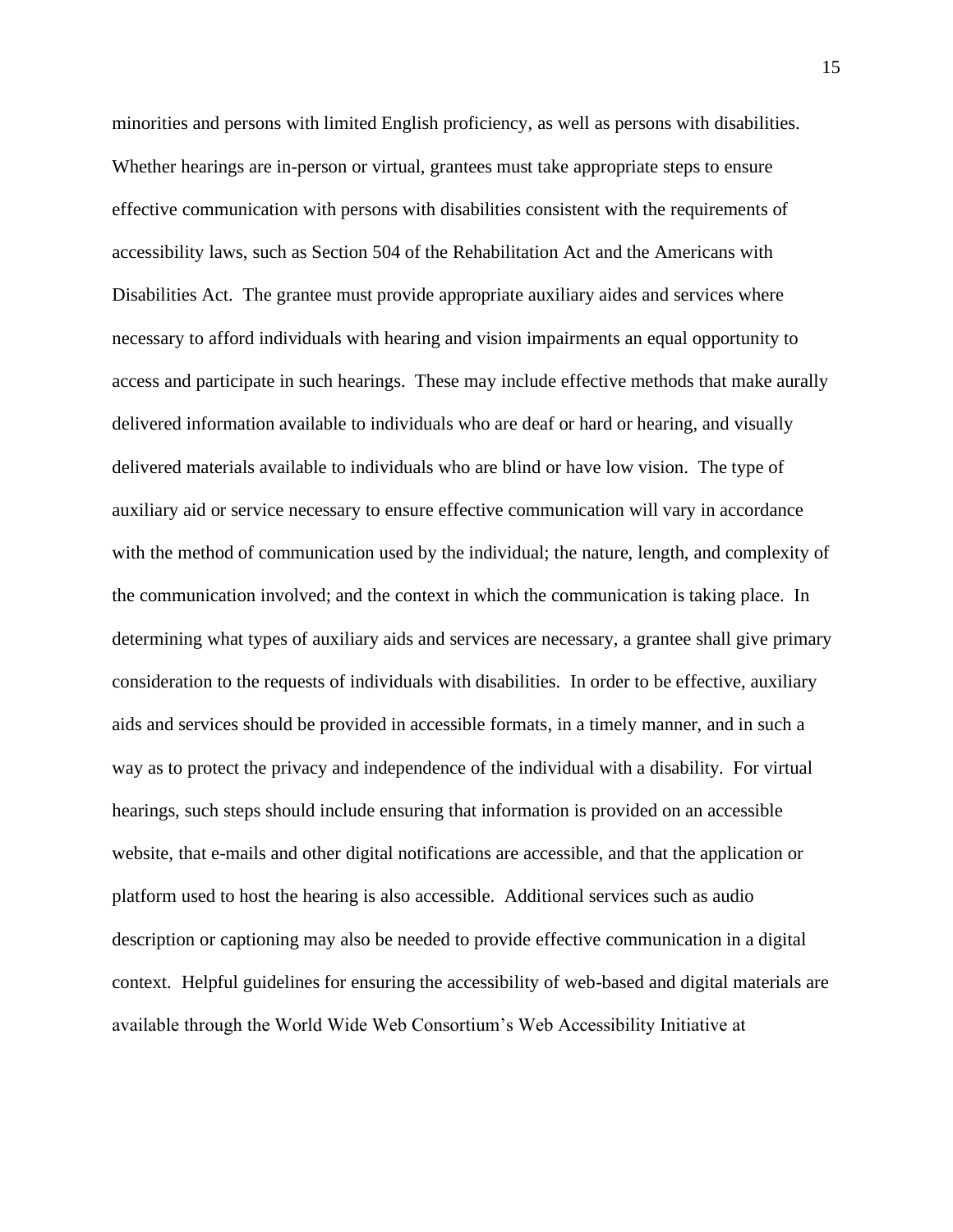minorities and persons with limited English proficiency, as well as persons with disabilities. Whether hearings are in-person or virtual, grantees must take appropriate steps to ensure effective communication with persons with disabilities consistent with the requirements of accessibility laws, such as Section 504 of the Rehabilitation Act and the Americans with Disabilities Act. The grantee must provide appropriate auxiliary aides and services where necessary to afford individuals with hearing and vision impairments an equal opportunity to access and participate in such hearings. These may include effective methods that make aurally delivered information available to individuals who are deaf or hard or hearing, and visually delivered materials available to individuals who are blind or have low vision. The type of auxiliary aid or service necessary to ensure effective communication will vary in accordance with the method of communication used by the individual; the nature, length, and complexity of the communication involved; and the context in which the communication is taking place. In determining what types of auxiliary aids and services are necessary, a grantee shall give primary consideration to the requests of individuals with disabilities. In order to be effective, auxiliary aids and services should be provided in accessible formats, in a timely manner, and in such a way as to protect the privacy and independence of the individual with a disability. For virtual hearings, such steps should include ensuring that information is provided on an accessible website, that e-mails and other digital notifications are accessible, and that the application or platform used to host the hearing is also accessible. Additional services such as audio description or captioning may also be needed to provide effective communication in a digital context. Helpful guidelines for ensuring the accessibility of web-based and digital materials are available through the World Wide Web Consortium's Web Accessibility Initiative at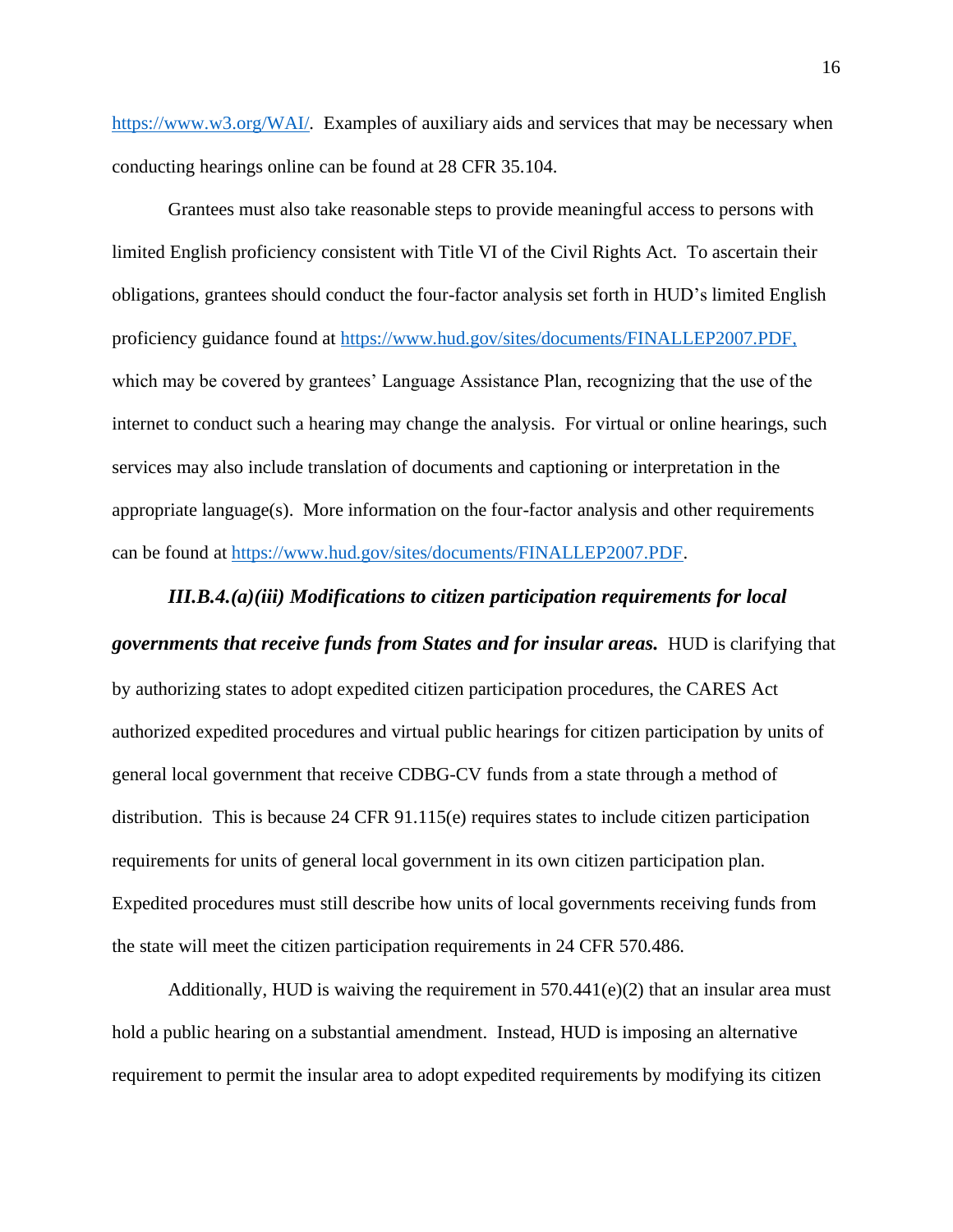[https://www.w3.org/WAI/.](https://www.w3.org/WAI/) Examples of auxiliary aids and services that may be necessary when conducting hearings online can be found at 28 CFR 35.104.

Grantees must also take reasonable steps to provide meaningful access to persons with limited English proficiency consistent with Title VI of the Civil Rights Act. To ascertain their obligations, grantees should conduct the four-factor analysis set forth in HUD's limited English proficiency guidance found at [https://www.hud.gov/sites/documents/FINALLEP2007.PDF,](https://www.hud.gov/sites/documents/FINALLEP2007.PDF) which may be covered by grantees' Language Assistance Plan, recognizing that the use of the internet to conduct such a hearing may change the analysis. For virtual or online hearings, such services may also include translation of documents and captioning or interpretation in the appropriate language(s). More information on the four-factor analysis and other requirements can be found at [https://www.hud.gov/sites/documents/FINALLEP2007.PDF.](https://www.hud.gov/sites/documents/FINALLEP2007.PDF)

## *III.B.4.(a)(iii) Modifications to citizen participation requirements for local*

# *governments that receive funds from States and for insular areas.* HUD is clarifying that

by authorizing states to adopt expedited citizen participation procedures, the CARES Act authorized expedited procedures and virtual public hearings for citizen participation by units of general local government that receive CDBG-CV funds from a state through a method of distribution. This is because 24 CFR 91.115(e) requires states to include citizen participation requirements for units of general local government in its own citizen participation plan. Expedited procedures must still describe how units of local governments receiving funds from the state will meet the citizen participation requirements in 24 CFR 570.486.

Additionally, HUD is waiving the requirement in  $570.441(e)(2)$  that an insular area must hold a public hearing on a substantial amendment. Instead, HUD is imposing an alternative requirement to permit the insular area to adopt expedited requirements by modifying its citizen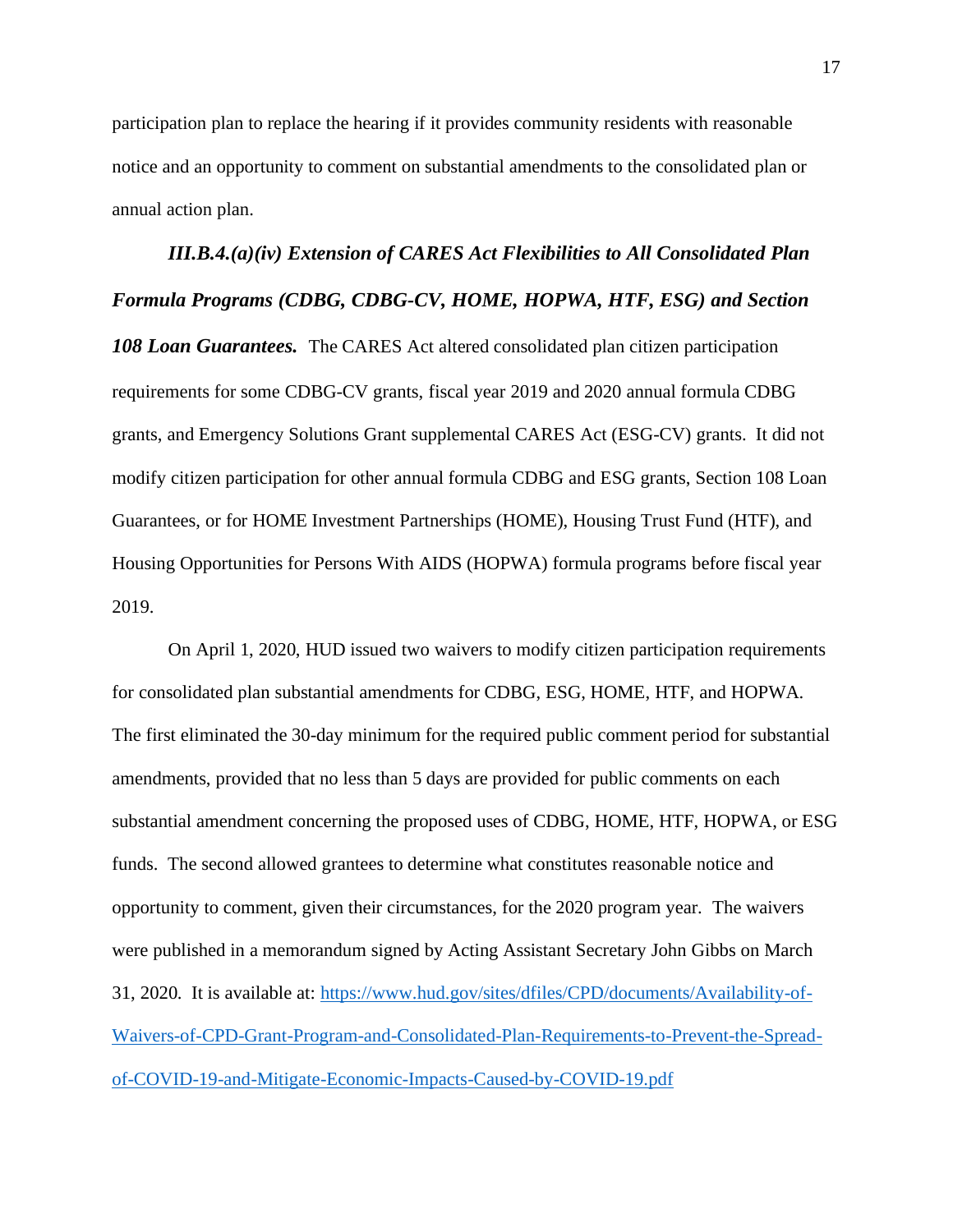participation plan to replace the hearing if it provides community residents with reasonable notice and an opportunity to comment on substantial amendments to the consolidated plan or annual action plan.

*III.B.4.(a)(iv) Extension of CARES Act Flexibilities to All Consolidated Plan Formula Programs (CDBG, CDBG-CV, HOME, HOPWA, HTF, ESG) and Section 108 Loan Guarantees.* The CARES Act altered consolidated plan citizen participation requirements for some CDBG-CV grants, fiscal year 2019 and 2020 annual formula CDBG grants, and Emergency Solutions Grant supplemental CARES Act (ESG-CV) grants. It did not modify citizen participation for other annual formula CDBG and ESG grants, Section 108 Loan Guarantees, or for HOME Investment Partnerships (HOME), Housing Trust Fund (HTF), and Housing Opportunities for Persons With AIDS (HOPWA) formula programs before fiscal year 2019.

On April 1, 2020, HUD issued two waivers to modify citizen participation requirements for consolidated plan substantial amendments for CDBG, ESG, HOME, HTF, and HOPWA. The first eliminated the 30-day minimum for the required public comment period for substantial amendments, provided that no less than 5 days are provided for public comments on each substantial amendment concerning the proposed uses of CDBG, HOME, HTF, HOPWA, or ESG funds. The second allowed grantees to determine what constitutes reasonable notice and opportunity to comment, given their circumstances, for the 2020 program year. The waivers were published in a memorandum signed by Acting Assistant Secretary John Gibbs on March 31, 2020. It is available at: [https://www.hud.gov/sites/dfiles/CPD/documents/Availability-of-](https://www.hud.gov/sites/dfiles/CPD/documents/Availability-of-Waivers-of-CPD-Grant-Program-and-Consolidated-Plan-Requirements-to-Prevent-the-Spread-of-COVID-19-and-Mitigate-Economic-Impacts-Caused-by-COVID-19.pdf)[Waivers-of-CPD-Grant-Program-and-Consolidated-Plan-Requirements-to-Prevent-the-Spread](https://www.hud.gov/sites/dfiles/CPD/documents/Availability-of-Waivers-of-CPD-Grant-Program-and-Consolidated-Plan-Requirements-to-Prevent-the-Spread-of-COVID-19-and-Mitigate-Economic-Impacts-Caused-by-COVID-19.pdf)[of-COVID-19-and-Mitigate-Economic-Impacts-Caused-by-COVID-19.pdf](https://www.hud.gov/sites/dfiles/CPD/documents/Availability-of-Waivers-of-CPD-Grant-Program-and-Consolidated-Plan-Requirements-to-Prevent-the-Spread-of-COVID-19-and-Mitigate-Economic-Impacts-Caused-by-COVID-19.pdf)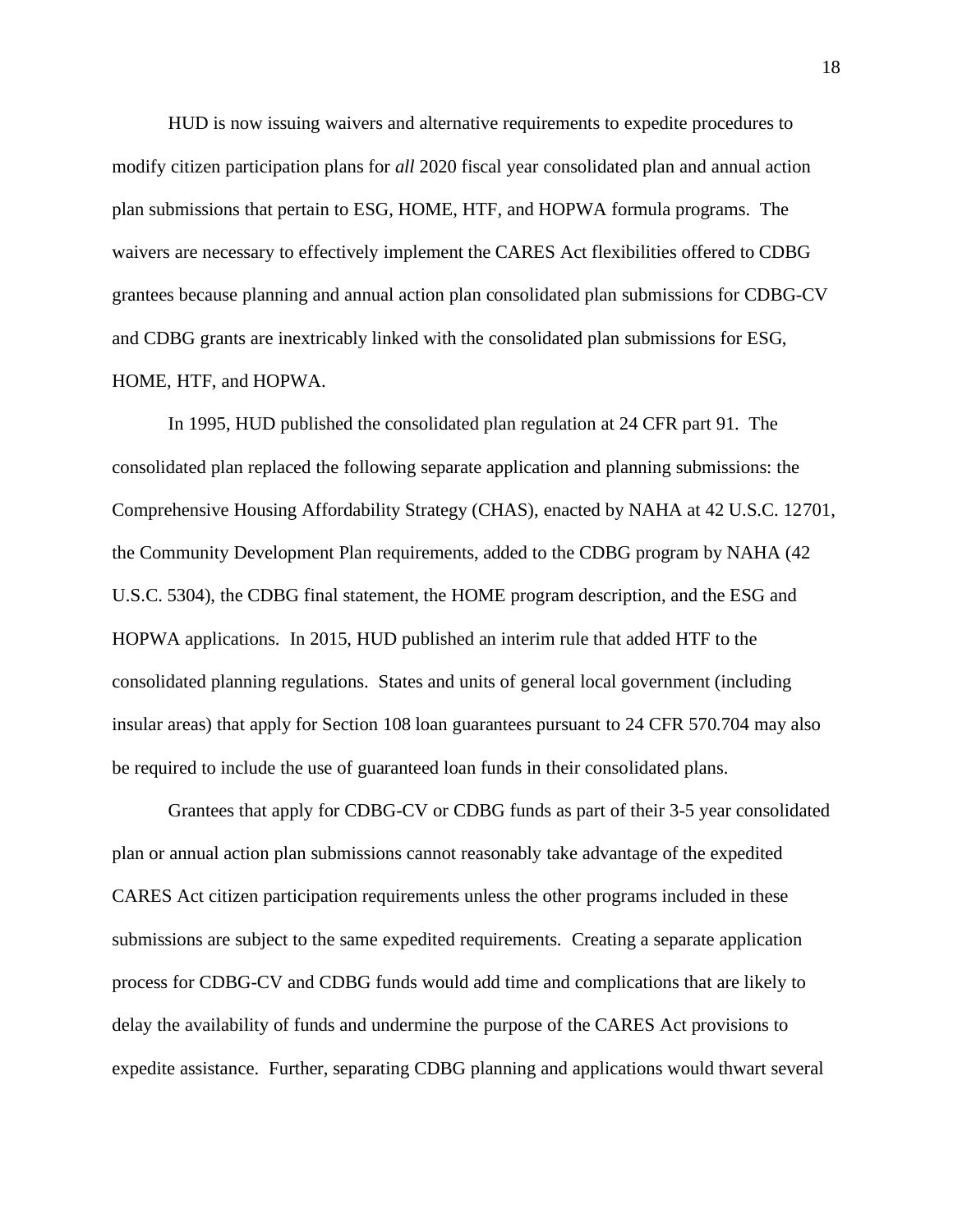HUD is now issuing waivers and alternative requirements to expedite procedures to modify citizen participation plans for *all* 2020 fiscal year consolidated plan and annual action plan submissions that pertain to ESG, HOME, HTF, and HOPWA formula programs. The waivers are necessary to effectively implement the CARES Act flexibilities offered to CDBG grantees because planning and annual action plan consolidated plan submissions for CDBG-CV and CDBG grants are inextricably linked with the consolidated plan submissions for ESG, HOME, HTF, and HOPWA.

In 1995, HUD published the consolidated plan regulation at 24 CFR part 91. The consolidated plan replaced the following separate application and planning submissions: the Comprehensive Housing Affordability Strategy (CHAS), enacted by NAHA at 42 U.S.C. 12701, the Community Development Plan requirements, added to the CDBG program by NAHA (42 U.S.C. 5304), the CDBG final statement, the HOME program description, and the ESG and HOPWA applications. In 2015, HUD published an interim rule that added HTF to the consolidated planning regulations. States and units of general local government (including insular areas) that apply for Section 108 loan guarantees pursuant to 24 CFR 570.704 may also be required to include the use of guaranteed loan funds in their consolidated plans.

Grantees that apply for CDBG-CV or CDBG funds as part of their 3-5 year consolidated plan or annual action plan submissions cannot reasonably take advantage of the expedited CARES Act citizen participation requirements unless the other programs included in these submissions are subject to the same expedited requirements. Creating a separate application process for CDBG-CV and CDBG funds would add time and complications that are likely to delay the availability of funds and undermine the purpose of the CARES Act provisions to expedite assistance. Further, separating CDBG planning and applications would thwart several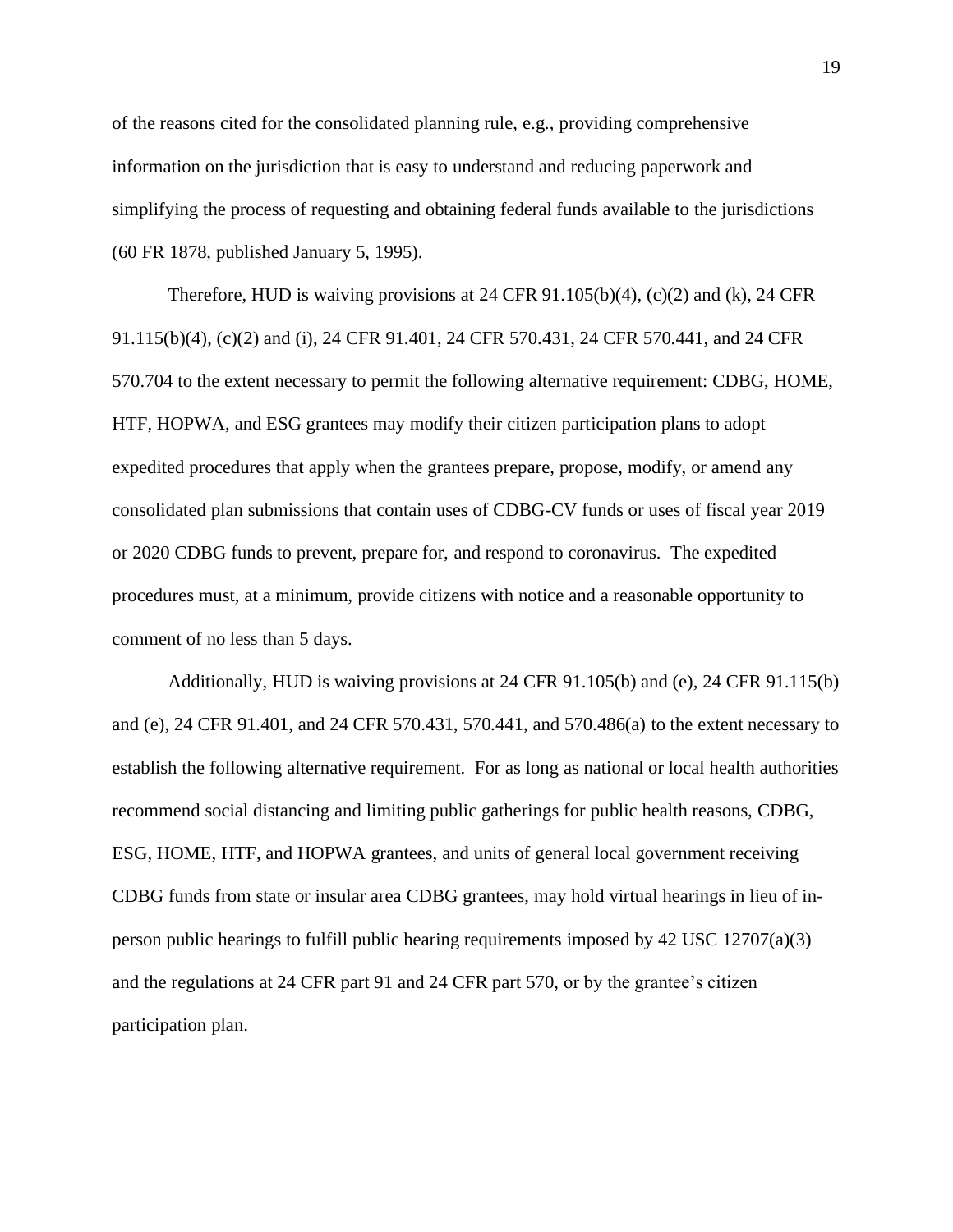of the reasons cited for the consolidated planning rule, e.g., providing comprehensive information on the jurisdiction that is easy to understand and reducing paperwork and simplifying the process of requesting and obtaining federal funds available to the jurisdictions (60 FR 1878, published January 5, 1995).

Therefore, HUD is waiving provisions at 24 CFR 91.105(b)(4), (c)(2) and (k), 24 CFR 91.115(b)(4), (c)(2) and (i), 24 CFR 91.401, 24 CFR 570.431, 24 CFR 570.441, and 24 CFR 570.704 to the extent necessary to permit the following alternative requirement: CDBG, HOME, HTF, HOPWA, and ESG grantees may modify their citizen participation plans to adopt expedited procedures that apply when the grantees prepare, propose, modify, or amend any consolidated plan submissions that contain uses of CDBG-CV funds or uses of fiscal year 2019 or 2020 CDBG funds to prevent, prepare for, and respond to coronavirus. The expedited procedures must, at a minimum, provide citizens with notice and a reasonable opportunity to comment of no less than 5 days.

Additionally, HUD is waiving provisions at 24 CFR 91.105(b) and (e), 24 CFR 91.115(b) and (e), 24 CFR 91.401, and 24 CFR 570.431, 570.441, and 570.486(a) to the extent necessary to establish the following alternative requirement. For as long as national or local health authorities recommend social distancing and limiting public gatherings for public health reasons, CDBG, ESG, HOME, HTF, and HOPWA grantees, and units of general local government receiving CDBG funds from state or insular area CDBG grantees, may hold virtual hearings in lieu of inperson public hearings to fulfill public hearing requirements imposed by 42 USC 12707(a)(3) and the regulations at 24 CFR part 91 and 24 CFR part 570, or by the grantee's citizen participation plan.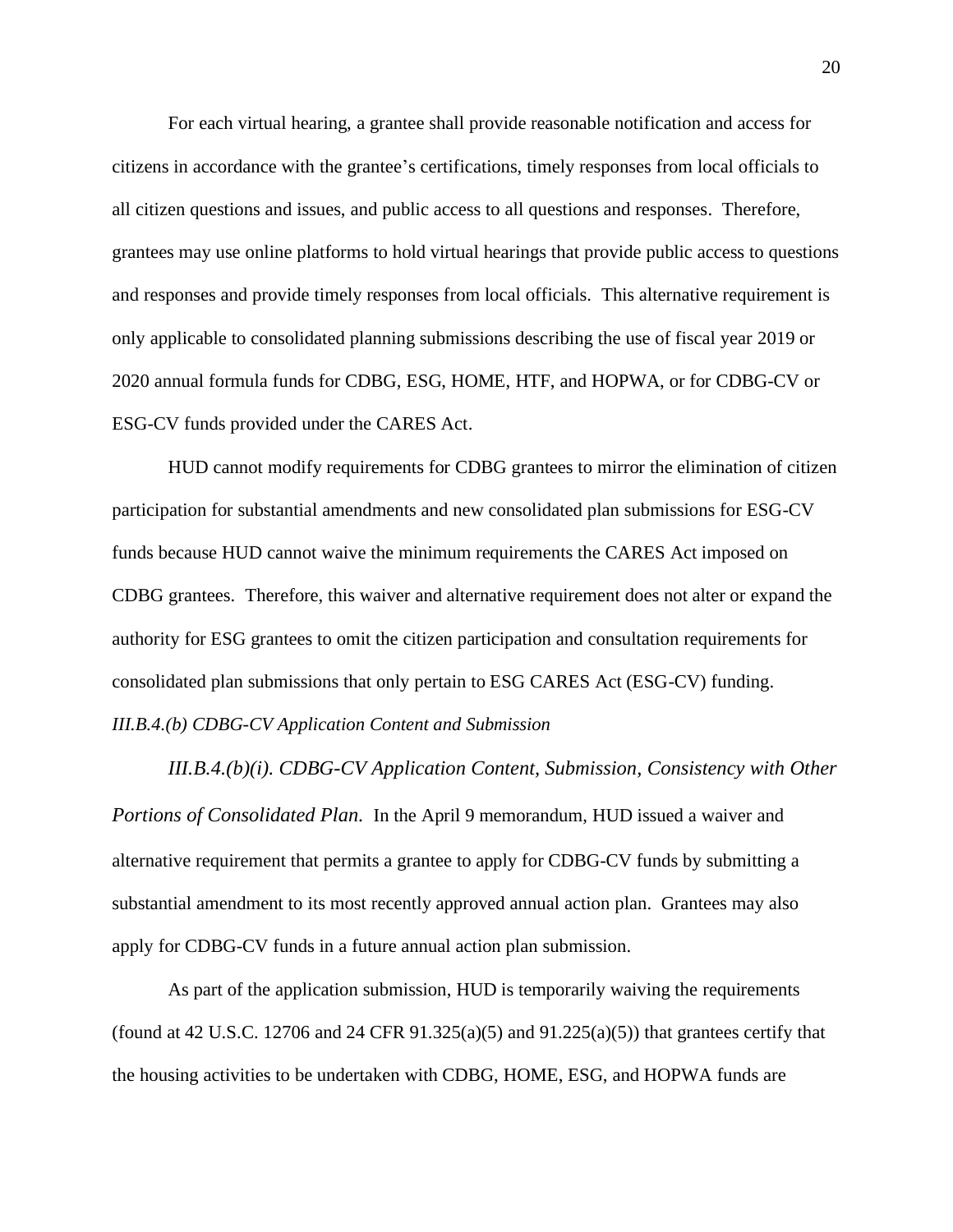For each virtual hearing, a grantee shall provide reasonable notification and access for citizens in accordance with the grantee's certifications, timely responses from local officials to all citizen questions and issues, and public access to all questions and responses. Therefore, grantees may use online platforms to hold virtual hearings that provide public access to questions and responses and provide timely responses from local officials. This alternative requirement is only applicable to consolidated planning submissions describing the use of fiscal year 2019 or 2020 annual formula funds for CDBG, ESG, HOME, HTF, and HOPWA, or for CDBG-CV or ESG-CV funds provided under the CARES Act.

HUD cannot modify requirements for CDBG grantees to mirror the elimination of citizen participation for substantial amendments and new consolidated plan submissions for ESG-CV funds because HUD cannot waive the minimum requirements the CARES Act imposed on CDBG grantees. Therefore, this waiver and alternative requirement does not alter or expand the authority for ESG grantees to omit the citizen participation and consultation requirements for consolidated plan submissions that only pertain to ESG CARES Act (ESG-CV) funding. *III.B.4.(b) CDBG-CV Application Content and Submission*

*III.B.4.(b)(i). CDBG-CV Application Content, Submission, Consistency with Other Portions of Consolidated Plan.* In the April 9 memorandum, HUD issued a waiver and alternative requirement that permits a grantee to apply for CDBG-CV funds by submitting a substantial amendment to its most recently approved annual action plan. Grantees may also apply for CDBG-CV funds in a future annual action plan submission.

As part of the application submission, HUD is temporarily waiving the requirements (found at 42 U.S.C. 12706 and 24 CFR  $91.325(a)(5)$  and  $91.225(a)(5)$ ) that grantees certify that the housing activities to be undertaken with CDBG, HOME, ESG, and HOPWA funds are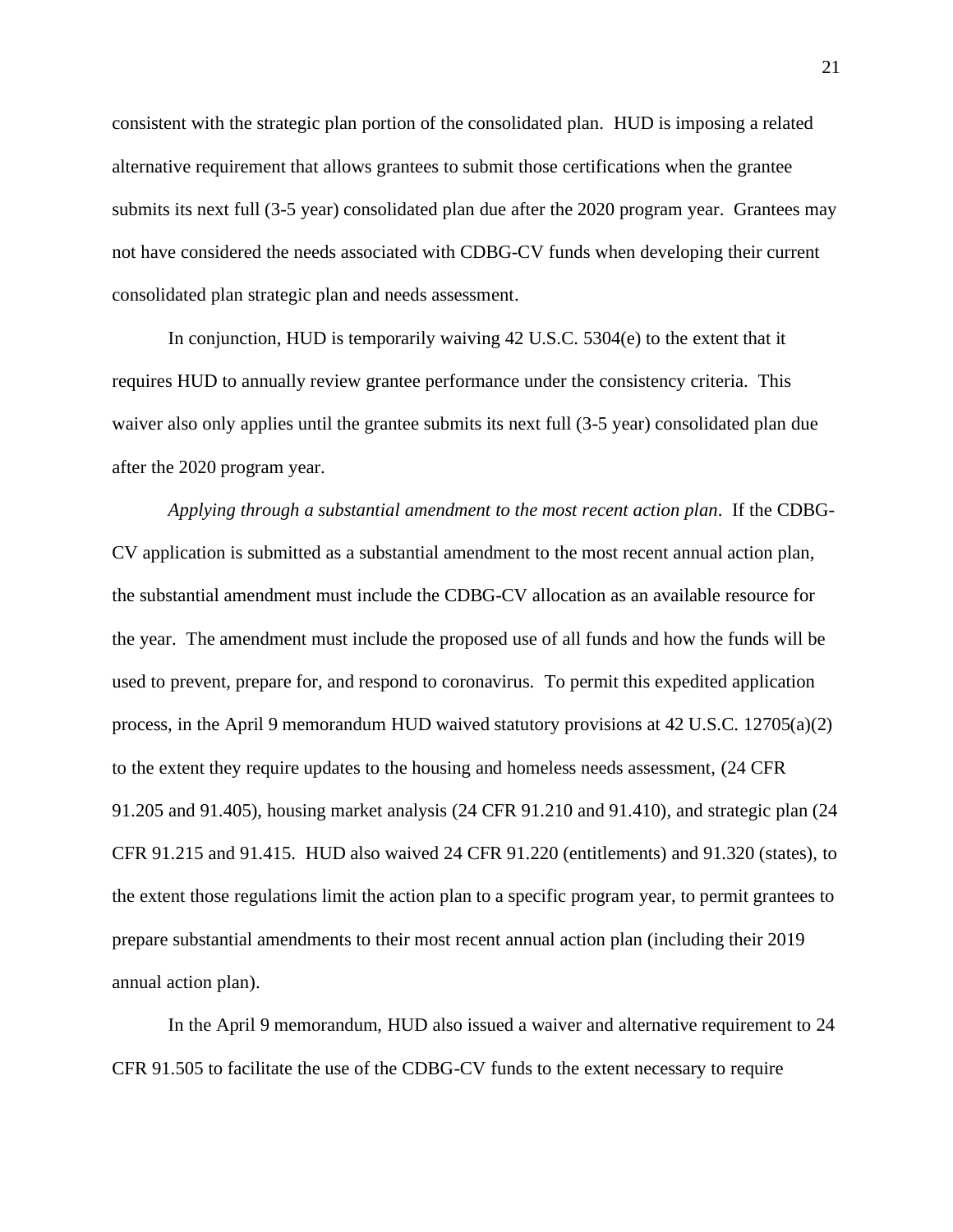consistent with the strategic plan portion of the consolidated plan. HUD is imposing a related alternative requirement that allows grantees to submit those certifications when the grantee submits its next full (3-5 year) consolidated plan due after the 2020 program year. Grantees may not have considered the needs associated with CDBG-CV funds when developing their current consolidated plan strategic plan and needs assessment.

In conjunction, HUD is temporarily waiving 42 U.S.C. 5304(e) to the extent that it requires HUD to annually review grantee performance under the consistency criteria. This waiver also only applies until the grantee submits its next full (3-5 year) consolidated plan due after the 2020 program year.

*Applying through a substantial amendment to the most recent action plan*. If the CDBG-CV application is submitted as a substantial amendment to the most recent annual action plan, the substantial amendment must include the CDBG-CV allocation as an available resource for the year. The amendment must include the proposed use of all funds and how the funds will be used to prevent, prepare for, and respond to coronavirus. To permit this expedited application process, in the April 9 memorandum HUD waived statutory provisions at 42 U.S.C. 12705(a)(2) to the extent they require updates to the housing and homeless needs assessment, (24 CFR 91.205 and 91.405), housing market analysis (24 CFR 91.210 and 91.410), and strategic plan (24 CFR 91.215 and 91.415. HUD also waived 24 CFR 91.220 (entitlements) and 91.320 (states), to the extent those regulations limit the action plan to a specific program year, to permit grantees to prepare substantial amendments to their most recent annual action plan (including their 2019 annual action plan).

In the April 9 memorandum, HUD also issued a waiver and alternative requirement to 24 CFR 91.505 to facilitate the use of the CDBG-CV funds to the extent necessary to require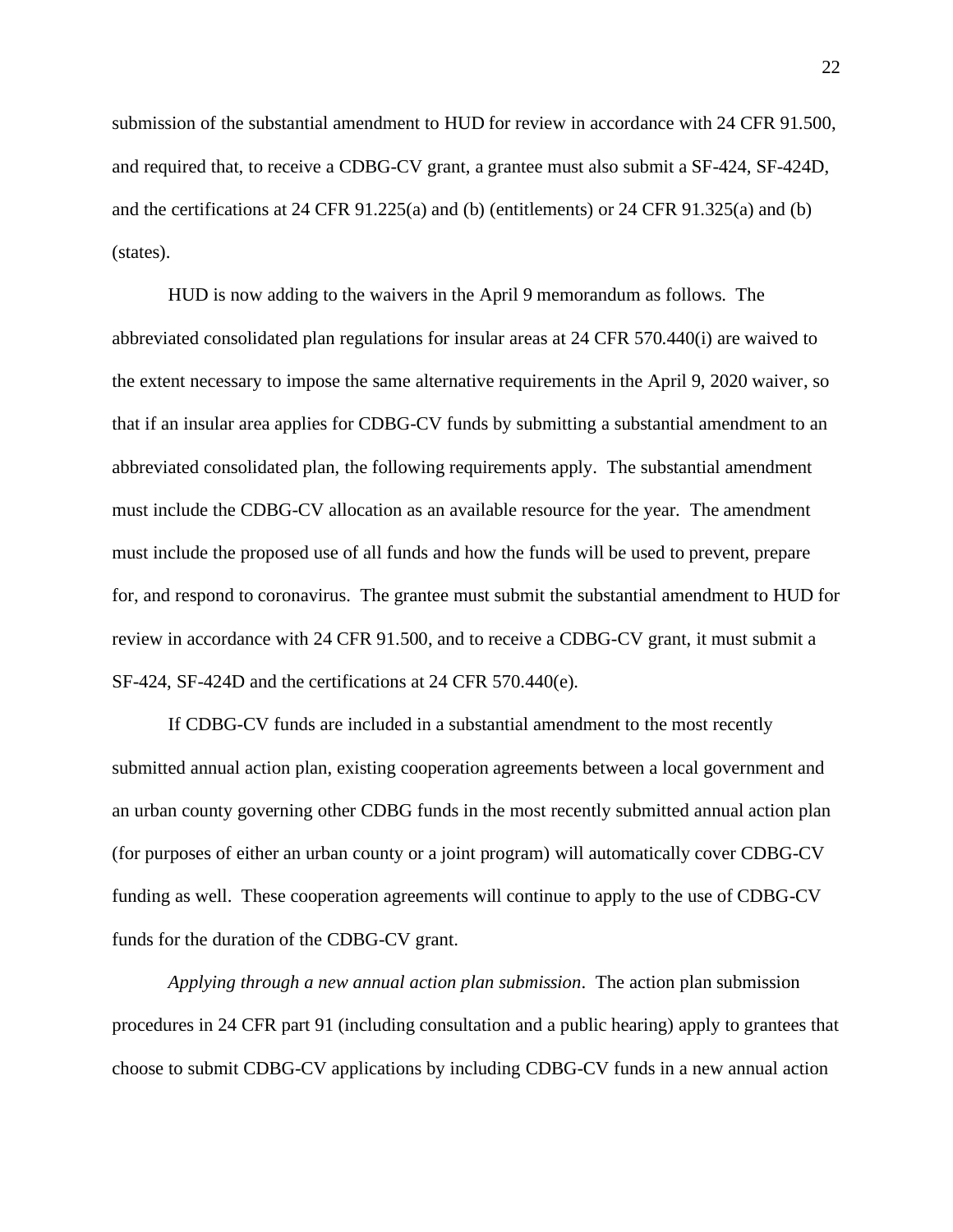submission of the substantial amendment to HUD for review in accordance with 24 CFR 91.500, and required that, to receive a CDBG-CV grant, a grantee must also submit a SF-424, SF-424D, and the certifications at 24 CFR 91.225(a) and (b) (entitlements) or 24 CFR 91.325(a) and (b) (states).

HUD is now adding to the waivers in the April 9 memorandum as follows. The abbreviated consolidated plan regulations for insular areas at 24 CFR 570.440(i) are waived to the extent necessary to impose the same alternative requirements in the April 9, 2020 waiver, so that if an insular area applies for CDBG-CV funds by submitting a substantial amendment to an abbreviated consolidated plan, the following requirements apply. The substantial amendment must include the CDBG-CV allocation as an available resource for the year. The amendment must include the proposed use of all funds and how the funds will be used to prevent, prepare for, and respond to coronavirus. The grantee must submit the substantial amendment to HUD for review in accordance with 24 CFR 91.500, and to receive a CDBG-CV grant, it must submit a SF-424, SF-424D and the certifications at 24 CFR 570.440(e).

If CDBG-CV funds are included in a substantial amendment to the most recently submitted annual action plan, existing cooperation agreements between a local government and an urban county governing other CDBG funds in the most recently submitted annual action plan (for purposes of either an urban county or a joint program) will automatically cover CDBG-CV funding as well. These cooperation agreements will continue to apply to the use of CDBG-CV funds for the duration of the CDBG-CV grant.

*Applying through a new annual action plan submission*. The action plan submission procedures in 24 CFR part 91 (including consultation and a public hearing) apply to grantees that choose to submit CDBG-CV applications by including CDBG-CV funds in a new annual action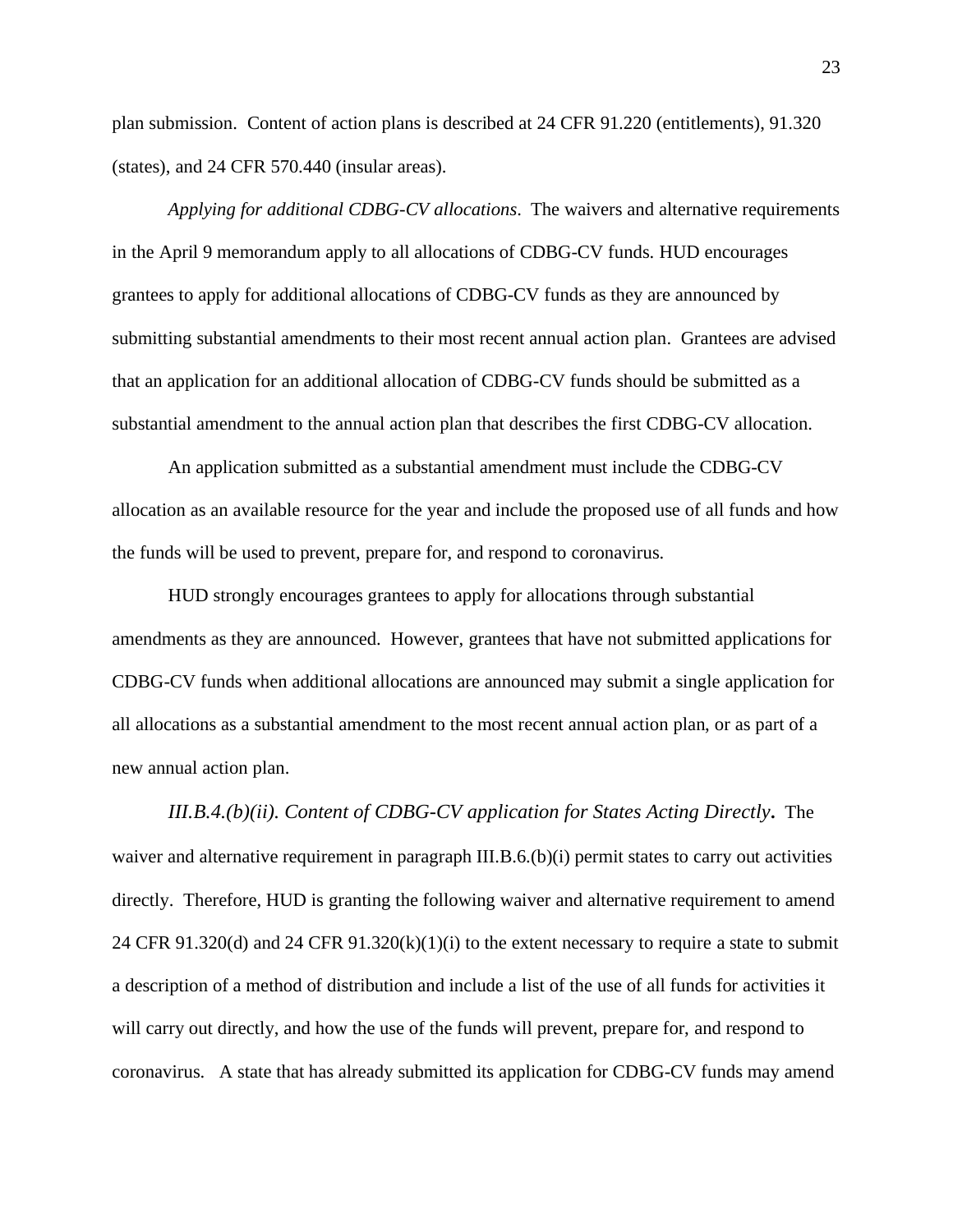plan submission. Content of action plans is described at 24 CFR 91.220 (entitlements), 91.320 (states), and 24 CFR 570.440 (insular areas).

*Applying for additional CDBG-CV allocations*. The waivers and alternative requirements in the April 9 memorandum apply to all allocations of CDBG-CV funds. HUD encourages grantees to apply for additional allocations of CDBG-CV funds as they are announced by submitting substantial amendments to their most recent annual action plan. Grantees are advised that an application for an additional allocation of CDBG-CV funds should be submitted as a substantial amendment to the annual action plan that describes the first CDBG-CV allocation.

An application submitted as a substantial amendment must include the CDBG-CV allocation as an available resource for the year and include the proposed use of all funds and how the funds will be used to prevent, prepare for, and respond to coronavirus.

HUD strongly encourages grantees to apply for allocations through substantial amendments as they are announced. However, grantees that have not submitted applications for CDBG-CV funds when additional allocations are announced may submit a single application for all allocations as a substantial amendment to the most recent annual action plan, or as part of a new annual action plan.

*III.B.4.(b)(ii). Content of CDBG-CV application for States Acting Directly***.** The waiver and alternative requirement in paragraph III.B.6.(b)(i) permit states to carry out activities directly. Therefore, HUD is granting the following waiver and alternative requirement to amend 24 CFR 91.320(d) and 24 CFR 91.320(k)(1)(i) to the extent necessary to require a state to submit a description of a method of distribution and include a list of the use of all funds for activities it will carry out directly, and how the use of the funds will prevent, prepare for, and respond to coronavirus. A state that has already submitted its application for CDBG-CV funds may amend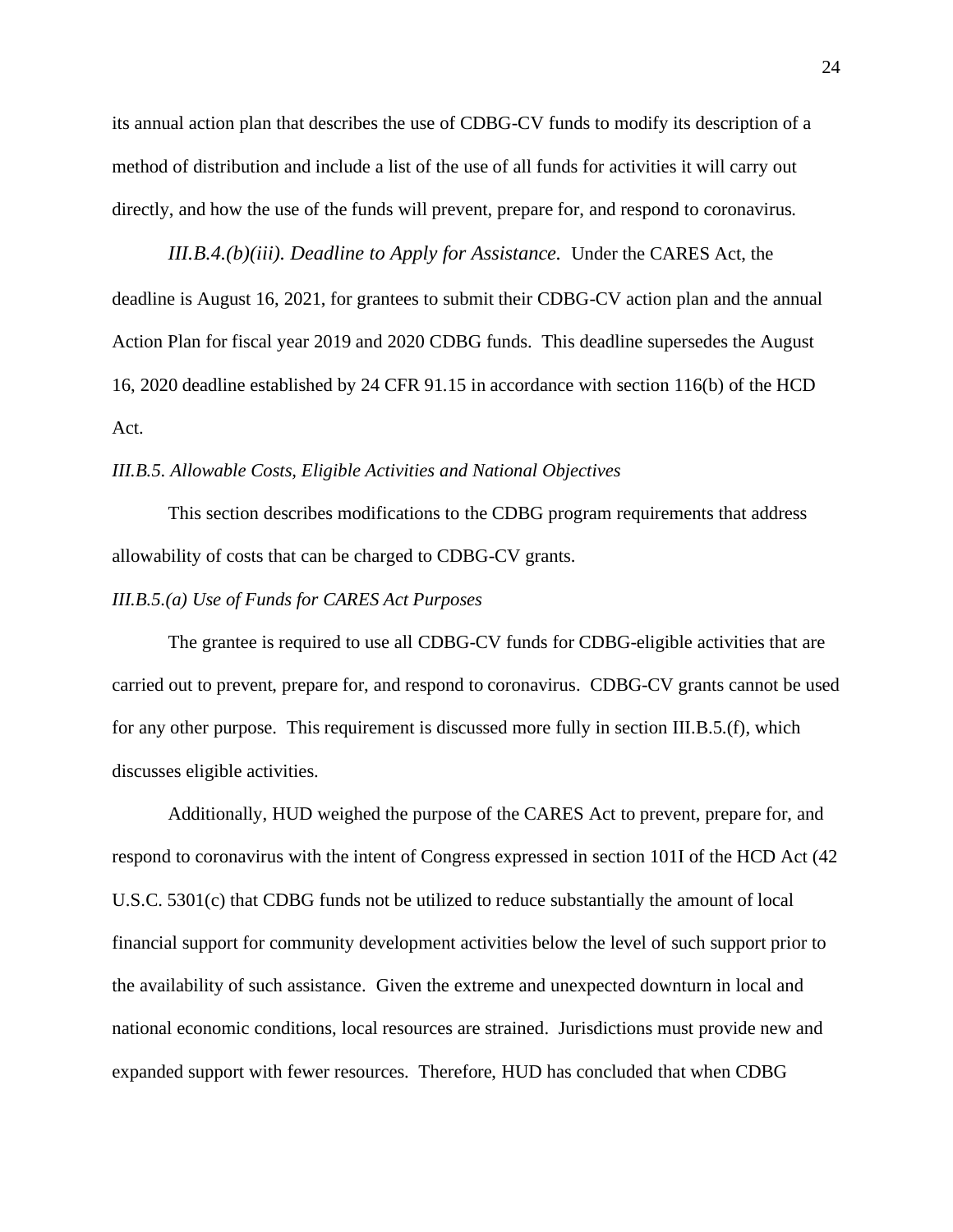its annual action plan that describes the use of CDBG-CV funds to modify its description of a method of distribution and include a list of the use of all funds for activities it will carry out directly, and how the use of the funds will prevent, prepare for, and respond to coronavirus.

*III.B.4.(b)(iii). Deadline to Apply for Assistance.*Under the CARES Act, the deadline is August 16, 2021, for grantees to submit their CDBG-CV action plan and the annual Action Plan for fiscal year 2019 and 2020 CDBG funds. This deadline supersedes the August 16, 2020 deadline established by 24 CFR 91.15 in accordance with section 116(b) of the HCD Act.

# <span id="page-23-0"></span>*III.B.5. Allowable Costs, Eligible Activities and National Objectives*

This section describes modifications to the CDBG program requirements that address allowability of costs that can be charged to CDBG-CV grants.

## *III.B.5.(a) Use of Funds for CARES Act Purposes*

The grantee is required to use all CDBG-CV funds for CDBG-eligible activities that are carried out to prevent, prepare for, and respond to coronavirus. CDBG-CV grants cannot be used for any other purpose. This requirement is discussed more fully in section III.B.5.(f), which discusses eligible activities.

Additionally, HUD weighed the purpose of the CARES Act to prevent, prepare for, and respond to coronavirus with the intent of Congress expressed in section 101I of the HCD Act (42 U.S.C. 5301(c) that CDBG funds not be utilized to reduce substantially the amount of local financial support for community development activities below the level of such support prior to the availability of such assistance. Given the extreme and unexpected downturn in local and national economic conditions, local resources are strained. Jurisdictions must provide new and expanded support with fewer resources. Therefore, HUD has concluded that when CDBG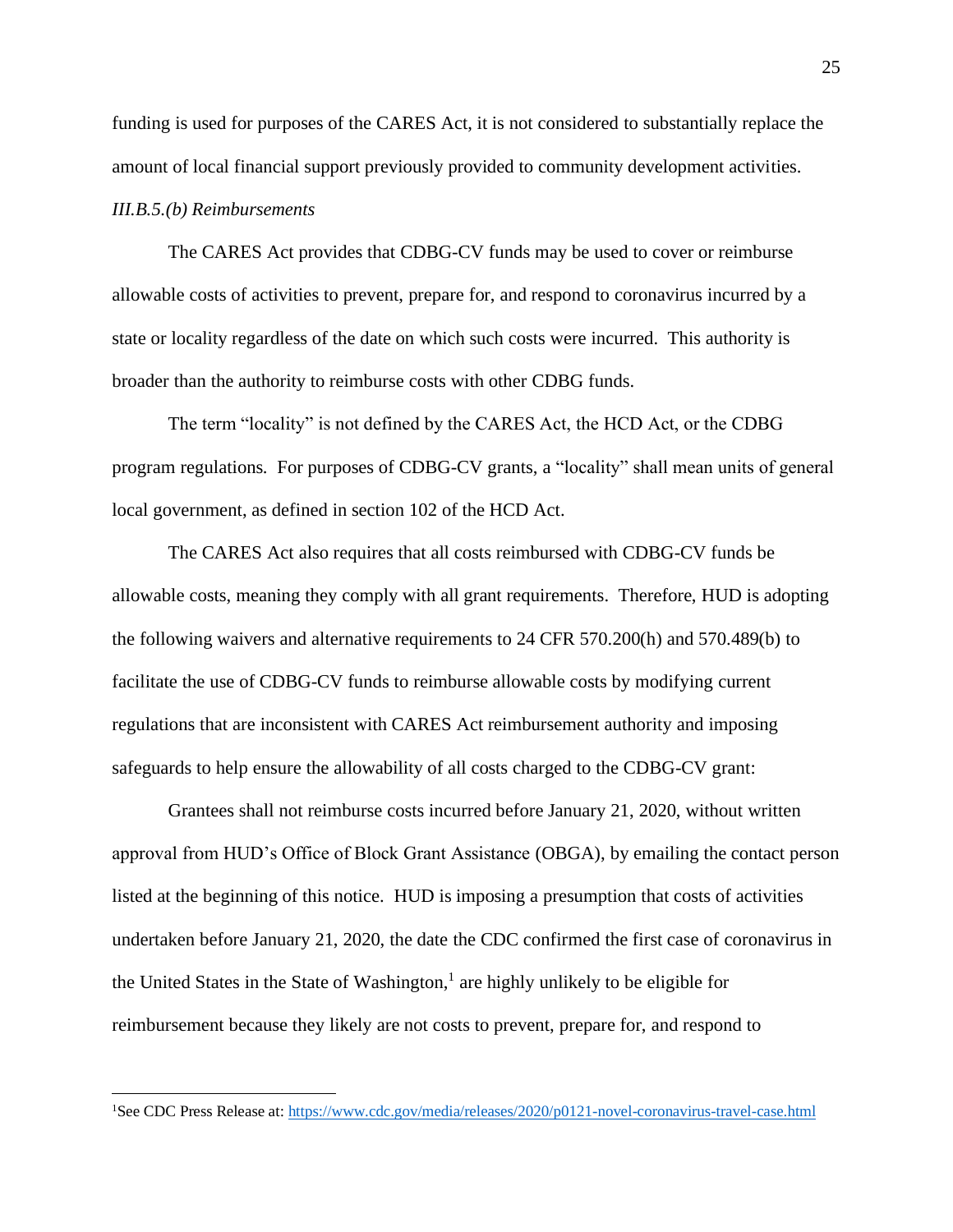funding is used for purposes of the CARES Act, it is not considered to substantially replace the amount of local financial support previously provided to community development activities. *III.B.5.(b) Reimbursements*

The CARES Act provides that CDBG-CV funds may be used to cover or reimburse allowable costs of activities to prevent, prepare for, and respond to coronavirus incurred by a state or locality regardless of the date on which such costs were incurred. This authority is broader than the authority to reimburse costs with other CDBG funds.

The term "locality" is not defined by the CARES Act, the HCD Act, or the CDBG program regulations. For purposes of CDBG-CV grants, a "locality" shall mean units of general local government, as defined in section 102 of the HCD Act.

The CARES Act also requires that all costs reimbursed with CDBG-CV funds be allowable costs, meaning they comply with all grant requirements. Therefore, HUD is adopting the following waivers and alternative requirements to 24 CFR 570.200(h) and 570.489(b) to facilitate the use of CDBG-CV funds to reimburse allowable costs by modifying current regulations that are inconsistent with CARES Act reimbursement authority and imposing safeguards to help ensure the allowability of all costs charged to the CDBG-CV grant:

Grantees shall not reimburse costs incurred before January 21, 2020, without written approval from HUD's Office of Block Grant Assistance (OBGA), by emailing the contact person listed at the beginning of this notice. HUD is imposing a presumption that costs of activities undertaken before January 21, 2020, the date the CDC confirmed the first case of coronavirus in the United States in the State of Washington, $<sup>1</sup>$  are highly unlikely to be eligible for</sup> reimbursement because they likely are not costs to prevent, prepare for, and respond to

<sup>&</sup>lt;sup>1</sup>See CDC Press Release at:<https://www.cdc.gov/media/releases/2020/p0121-novel-coronavirus-travel-case.html>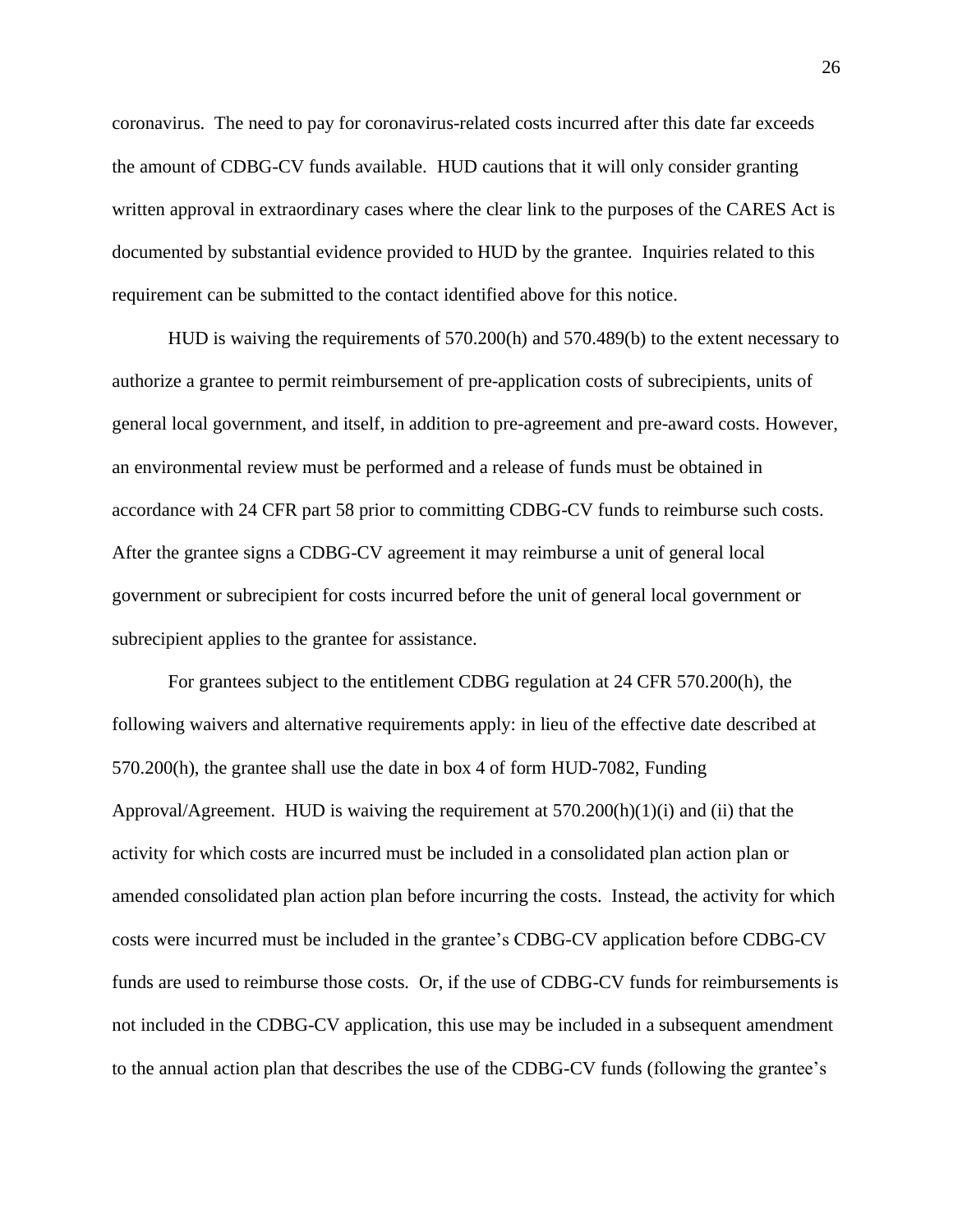coronavirus. The need to pay for coronavirus-related costs incurred after this date far exceeds the amount of CDBG-CV funds available. HUD cautions that it will only consider granting written approval in extraordinary cases where the clear link to the purposes of the CARES Act is documented by substantial evidence provided to HUD by the grantee. Inquiries related to this requirement can be submitted to the contact identified above for this notice.

HUD is waiving the requirements of 570.200(h) and 570.489(b) to the extent necessary to authorize a grantee to permit reimbursement of pre-application costs of subrecipients, units of general local government, and itself, in addition to pre-agreement and pre-award costs. However, an environmental review must be performed and a release of funds must be obtained in accordance with 24 CFR part 58 prior to committing CDBG-CV funds to reimburse such costs. After the grantee signs a CDBG-CV agreement it may reimburse a unit of general local government or subrecipient for costs incurred before the unit of general local government or subrecipient applies to the grantee for assistance.

For grantees subject to the entitlement CDBG regulation at 24 CFR 570.200(h), the following waivers and alternative requirements apply: in lieu of the effective date described at 570.200(h), the grantee shall use the date in box 4 of form HUD-7082, Funding Approval/Agreement. HUD is waiving the requirement at  $570.200(h)(1)(i)$  and (ii) that the activity for which costs are incurred must be included in a consolidated plan action plan or amended consolidated plan action plan before incurring the costs. Instead, the activity for which costs were incurred must be included in the grantee's CDBG-CV application before CDBG-CV funds are used to reimburse those costs. Or, if the use of CDBG-CV funds for reimbursements is not included in the CDBG-CV application, this use may be included in a subsequent amendment to the annual action plan that describes the use of the CDBG-CV funds (following the grantee's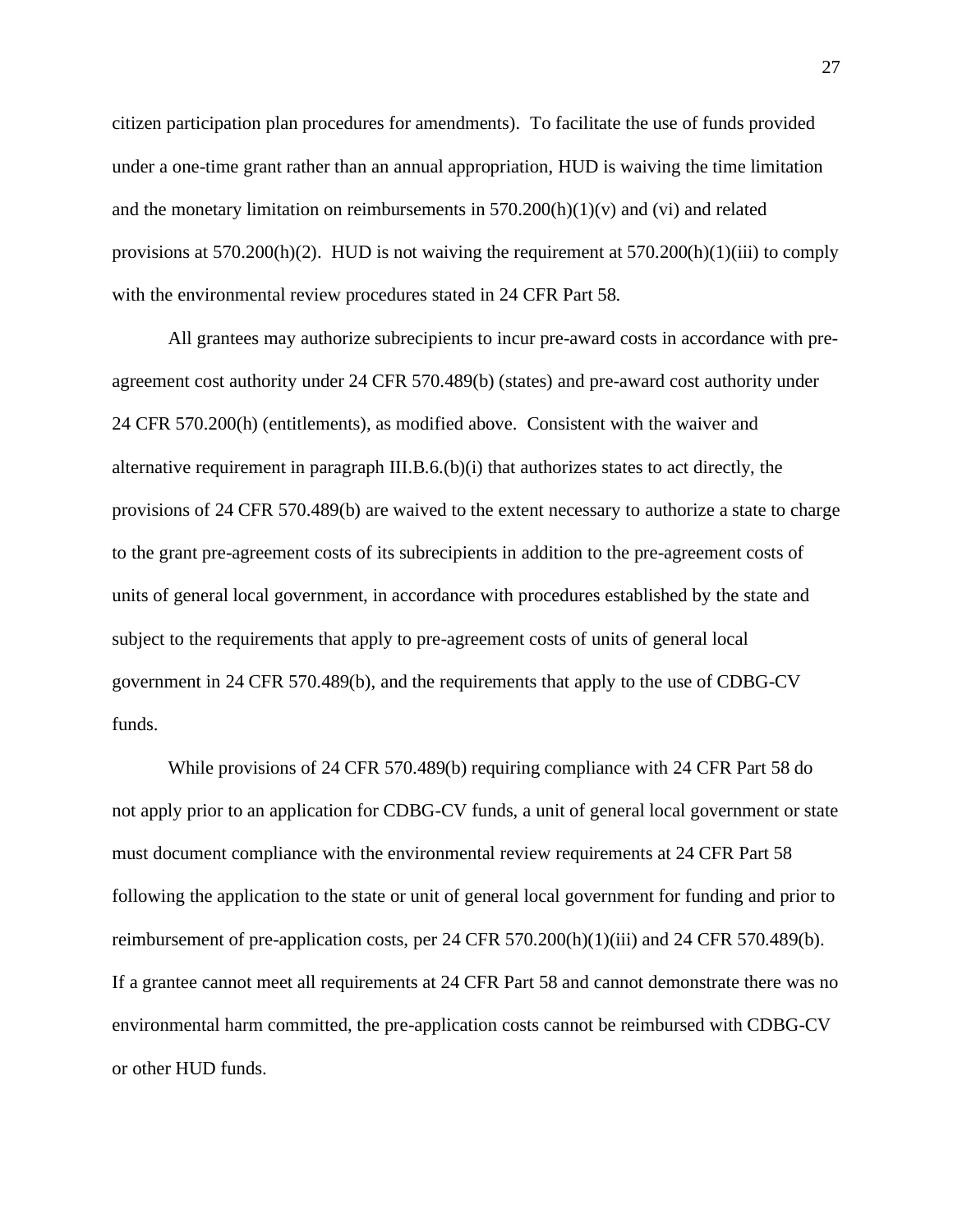citizen participation plan procedures for amendments). To facilitate the use of funds provided under a one-time grant rather than an annual appropriation, HUD is waiving the time limitation and the monetary limitation on reimbursements in  $570.200(h)(1)(v)$  and (vi) and related provisions at  $570.200(h)(2)$ . HUD is not waiving the requirement at  $570.200(h)(1)(iii)$  to comply with the environmental review procedures stated in 24 CFR Part 58.

All grantees may authorize subrecipients to incur pre-award costs in accordance with preagreement cost authority under 24 CFR 570.489(b) (states) and pre-award cost authority under 24 CFR 570.200(h) (entitlements), as modified above. Consistent with the waiver and alternative requirement in paragraph III.B.6.(b)(i) that authorizes states to act directly, the provisions of 24 CFR 570.489(b) are waived to the extent necessary to authorize a state to charge to the grant pre-agreement costs of its subrecipients in addition to the pre-agreement costs of units of general local government, in accordance with procedures established by the state and subject to the requirements that apply to pre-agreement costs of units of general local government in 24 CFR 570.489(b), and the requirements that apply to the use of CDBG-CV funds.

While provisions of 24 CFR 570.489(b) requiring compliance with 24 CFR Part 58 do not apply prior to an application for CDBG-CV funds, a unit of general local government or state must document compliance with the environmental review requirements at 24 CFR Part 58 following the application to the state or unit of general local government for funding and prior to reimbursement of pre-application costs, per 24 CFR 570.200(h)(1)(iii) and 24 CFR 570.489(b). If a grantee cannot meet all requirements at 24 CFR Part 58 and cannot demonstrate there was no environmental harm committed, the pre-application costs cannot be reimbursed with CDBG-CV or other HUD funds.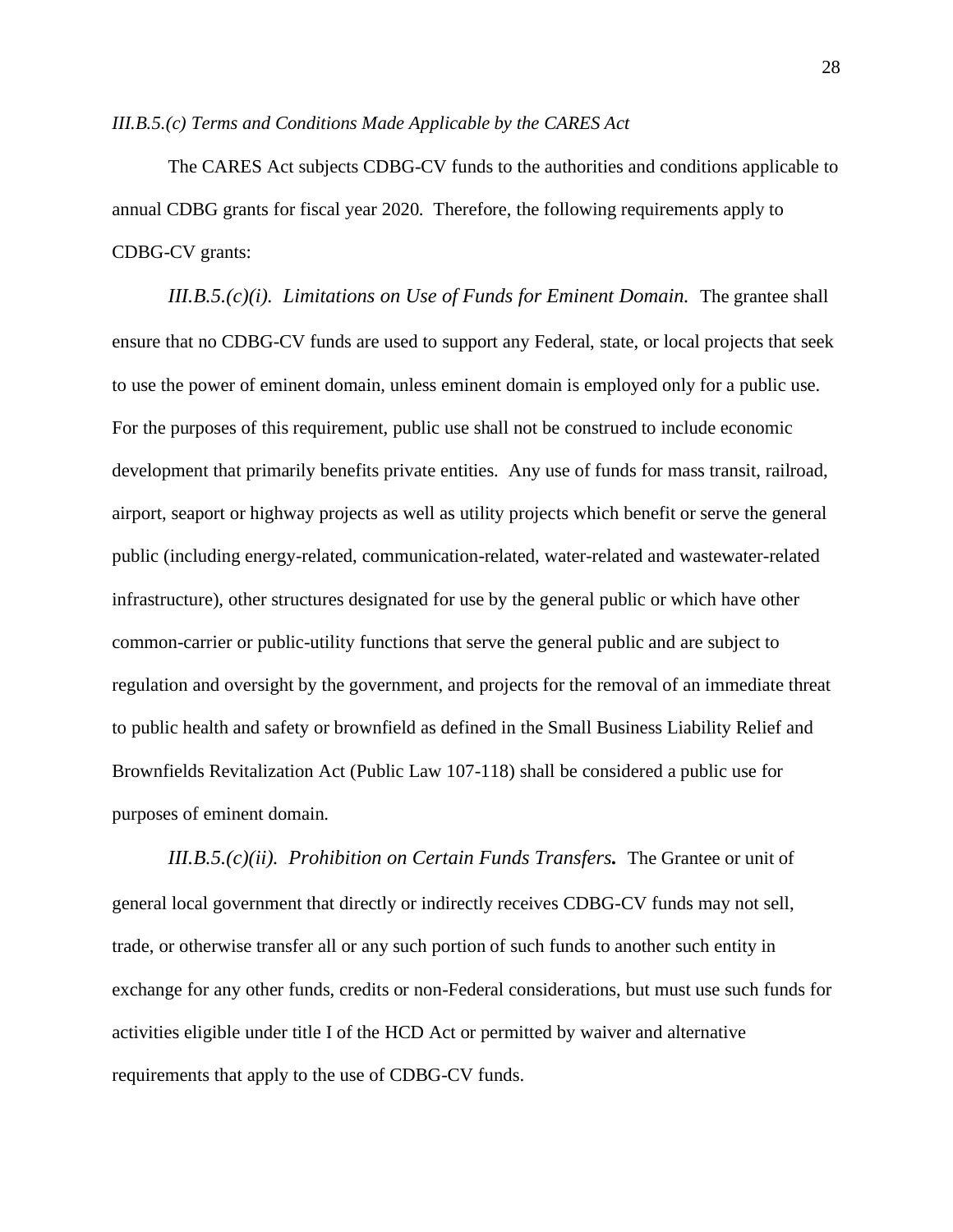## *III.B.5.(c) Terms and Conditions Made Applicable by the CARES Act*

The CARES Act subjects CDBG-CV funds to the authorities and conditions applicable to annual CDBG grants for fiscal year 2020. Therefore, the following requirements apply to CDBG-CV grants:

*III.B.5.(c)(i). Limitations on Use of Funds for Eminent Domain.* The grantee shall ensure that no CDBG-CV funds are used to support any Federal, state, or local projects that seek to use the power of eminent domain, unless eminent domain is employed only for a public use. For the purposes of this requirement, public use shall not be construed to include economic development that primarily benefits private entities. Any use of funds for mass transit, railroad, airport, seaport or highway projects as well as utility projects which benefit or serve the general public (including energy-related, communication-related, water-related and wastewater-related infrastructure), other structures designated for use by the general public or which have other common-carrier or public-utility functions that serve the general public and are subject to regulation and oversight by the government, and projects for the removal of an immediate threat to public health and safety or brownfield as defined in the Small Business Liability Relief and Brownfields Revitalization Act (Public Law 107-118) shall be considered a public use for purposes of eminent domain.

*III.B.5.(c)(ii). Prohibition on Certain Funds Transfers.* The Grantee or unit of general local government that directly or indirectly receives CDBG-CV funds may not sell, trade, or otherwise transfer all or any such portion of such funds to another such entity in exchange for any other funds, credits or non-Federal considerations, but must use such funds for activities eligible under title I of the HCD Act or permitted by waiver and alternative requirements that apply to the use of CDBG-CV funds.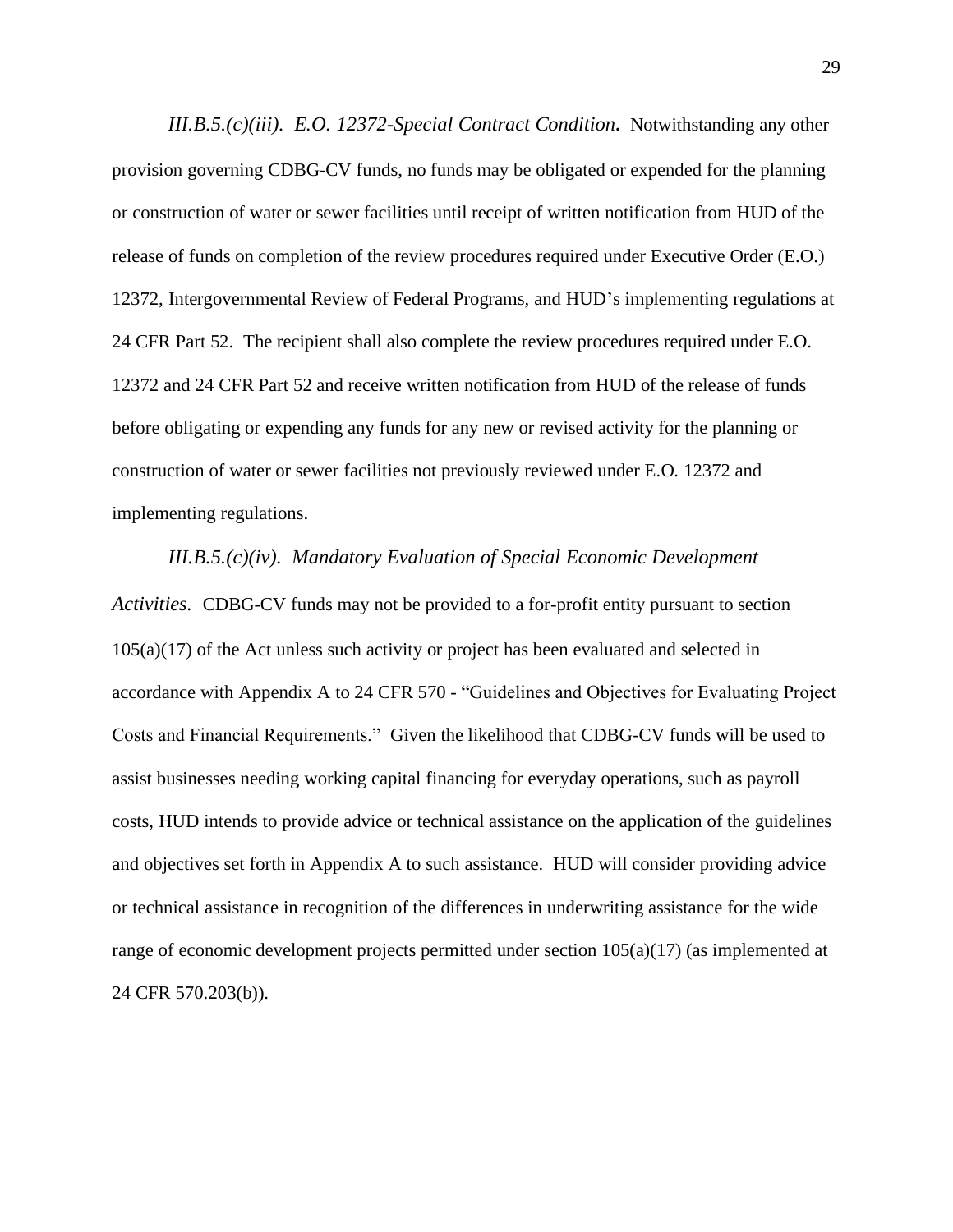*III.B.5.(c)(iii). E.O. 12372-Special Contract Condition***.** Notwithstanding any other provision governing CDBG-CV funds, no funds may be obligated or expended for the planning or construction of water or sewer facilities until receipt of written notification from HUD of the release of funds on completion of the review procedures required under Executive Order (E.O.) 12372, Intergovernmental Review of Federal Programs, and HUD's implementing regulations at 24 CFR Part 52. The recipient shall also complete the review procedures required under E.O. 12372 and 24 CFR Part 52 and receive written notification from HUD of the release of funds before obligating or expending any funds for any new or revised activity for the planning or construction of water or sewer facilities not previously reviewed under E.O. 12372 and implementing regulations.

*III.B.5.(c)(iv). Mandatory Evaluation of Special Economic Development Activities.* CDBG-CV funds may not be provided to a for-profit entity pursuant to section 105(a)(17) of the Act unless such activity or project has been evaluated and selected in accordance with Appendix A to 24 CFR 570 - "Guidelines and Objectives for Evaluating Project Costs and Financial Requirements." Given the likelihood that CDBG-CV funds will be used to assist businesses needing working capital financing for everyday operations, such as payroll costs, HUD intends to provide advice or technical assistance on the application of the guidelines and objectives set forth in Appendix A to such assistance. HUD will consider providing advice or technical assistance in recognition of the differences in underwriting assistance for the wide range of economic development projects permitted under section 105(a)(17) (as implemented at 24 CFR 570.203(b)).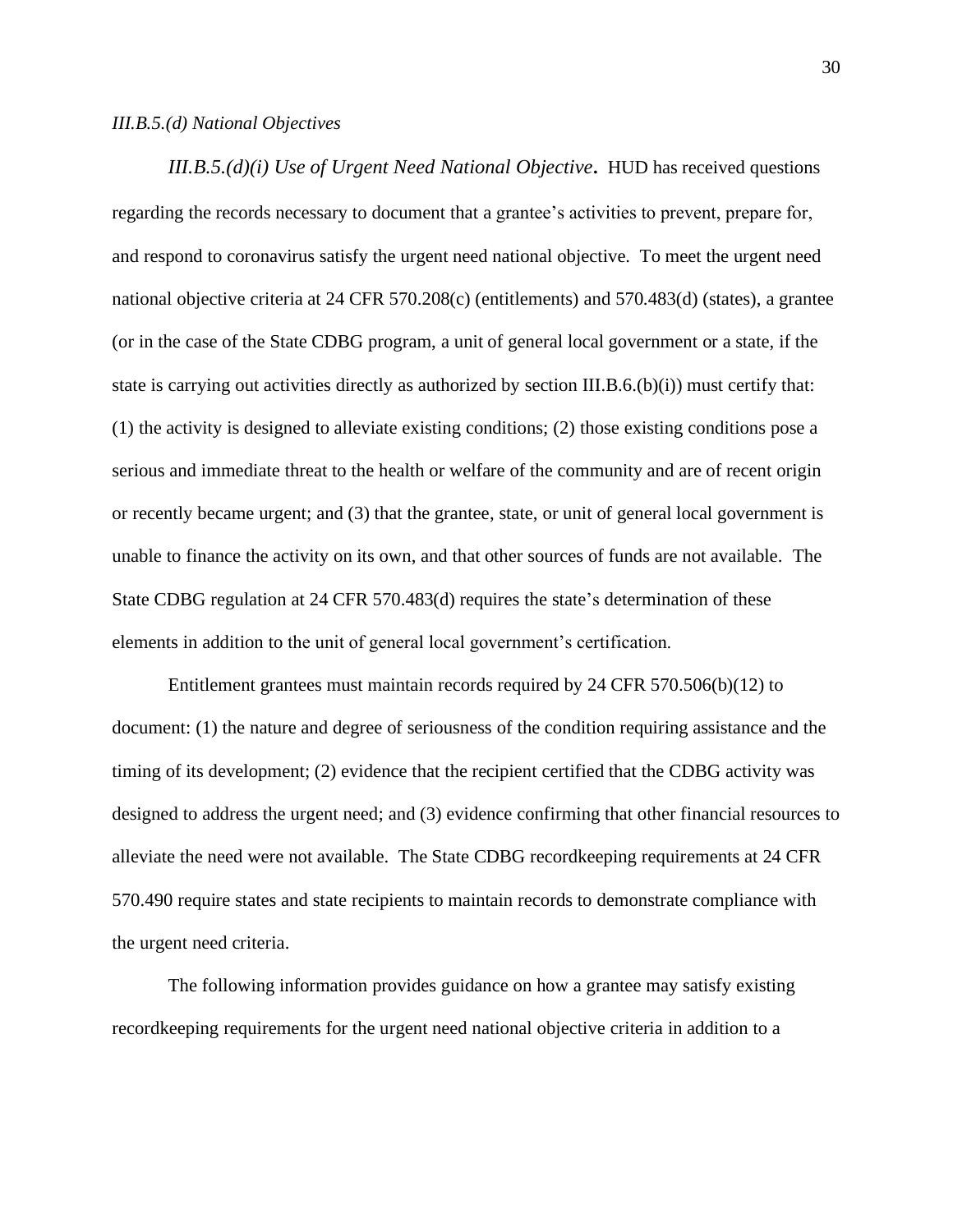#### *III.B.5.(d) National Objectives*

*III.B.5.(d)(i) Use of Urgent Need National Objective***.** HUD has received questions regarding the records necessary to document that a grantee's activities to prevent, prepare for, and respond to coronavirus satisfy the urgent need national objective. To meet the urgent need national objective criteria at 24 CFR 570.208(c) (entitlements) and 570.483(d) (states), a grantee (or in the case of the State CDBG program, a unit of general local government or a state, if the state is carrying out activities directly as authorized by section III.B.6.(b)(i)) must certify that: (1) the activity is designed to alleviate existing conditions; (2) those existing conditions pose a serious and immediate threat to the health or welfare of the community and are of recent origin or recently became urgent; and (3) that the grantee, state, or unit of general local government is unable to finance the activity on its own, and that other sources of funds are not available. The State CDBG regulation at 24 CFR 570.483(d) requires the state's determination of these elements in addition to the unit of general local government's certification.

Entitlement grantees must maintain records required by 24 CFR 570.506(b)(12) to document: (1) the nature and degree of seriousness of the condition requiring assistance and the timing of its development; (2) evidence that the recipient certified that the CDBG activity was designed to address the urgent need; and (3) evidence confirming that other financial resources to alleviate the need were not available. The State CDBG recordkeeping requirements at 24 CFR 570.490 require states and state recipients to maintain records to demonstrate compliance with the urgent need criteria.

The following information provides guidance on how a grantee may satisfy existing recordkeeping requirements for the urgent need national objective criteria in addition to a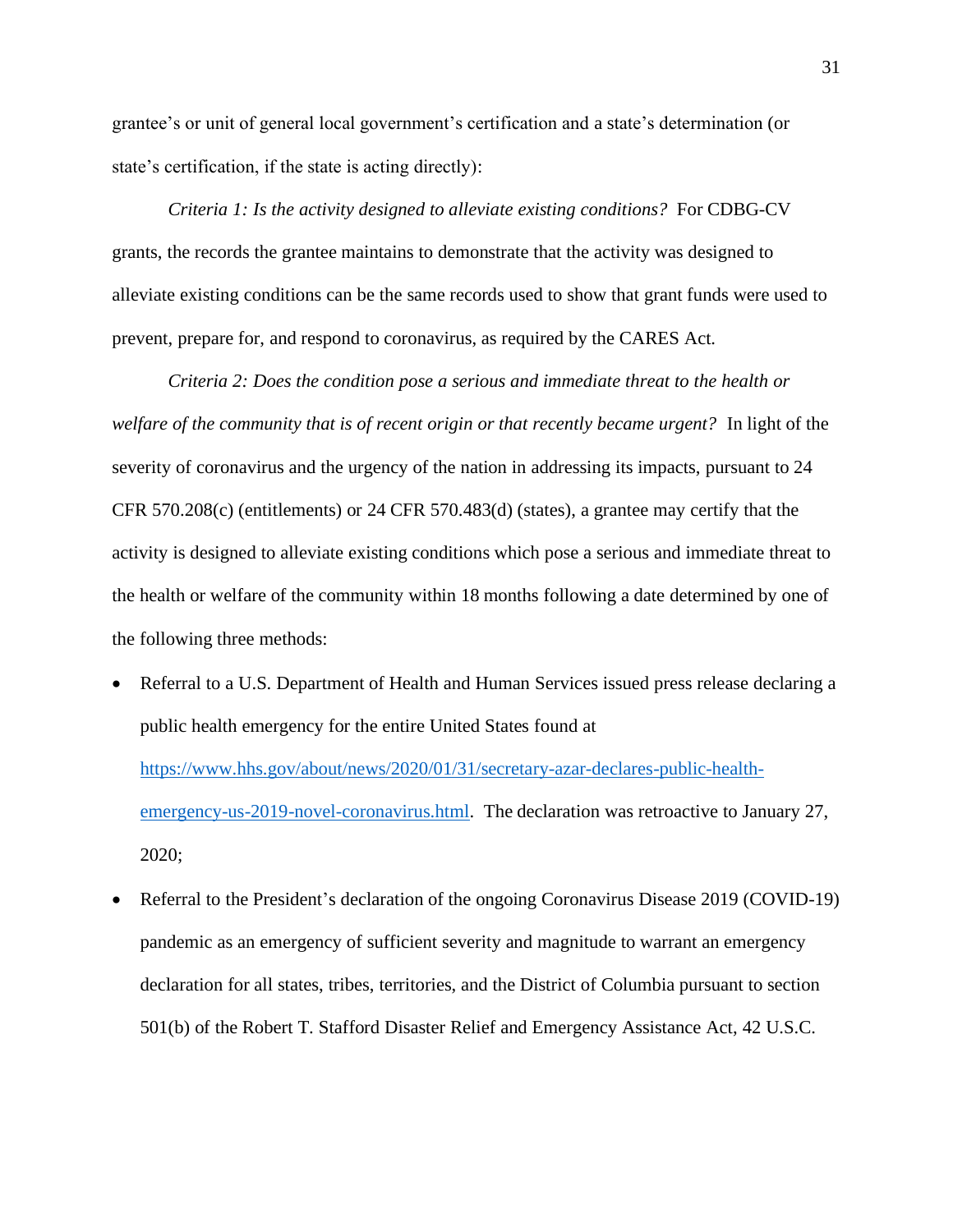grantee's or unit of general local government's certification and a state's determination (or state's certification, if the state is acting directly):

*Criteria 1: Is the activity designed to alleviate existing conditions?* For CDBG-CV grants, the records the grantee maintains to demonstrate that the activity was designed to alleviate existing conditions can be the same records used to show that grant funds were used to prevent, prepare for, and respond to coronavirus, as required by the CARES Act.

*Criteria 2: Does the condition pose a serious and immediate threat to the health or welfare of the community that is of recent origin or that recently became urgent?* In light of the severity of coronavirus and the urgency of the nation in addressing its impacts, pursuant to 24 CFR 570.208(c) (entitlements) or 24 CFR 570.483(d) (states), a grantee may certify that the activity is designed to alleviate existing conditions which pose a serious and immediate threat to the health or welfare of the community within 18 months following a date determined by one of the following three methods:

- Referral to a U.S. Department of Health and Human Services issued press release declaring a public health emergency for the entire United States found at [https://www.hhs.gov/about/news/2020/01/31/secretary-azar-declares-public-health](https://www.hhs.gov/about/news/2020/01/31/secretary-azar-declares-public-health-emergency-us-2019-novel-coronavirus.html)[emergency-us-2019-novel-coronavirus.html.](https://www.hhs.gov/about/news/2020/01/31/secretary-azar-declares-public-health-emergency-us-2019-novel-coronavirus.html) The declaration was retroactive to January 27, 2020;
- Referral to the President's declaration of the ongoing Coronavirus Disease 2019 (COVID-19) pandemic as an emergency of sufficient severity and magnitude to warrant an emergency declaration for all states, tribes, territories, and the District of Columbia pursuant to section 501(b) of the Robert T. Stafford Disaster Relief and Emergency Assistance Act, 42 U.S.C.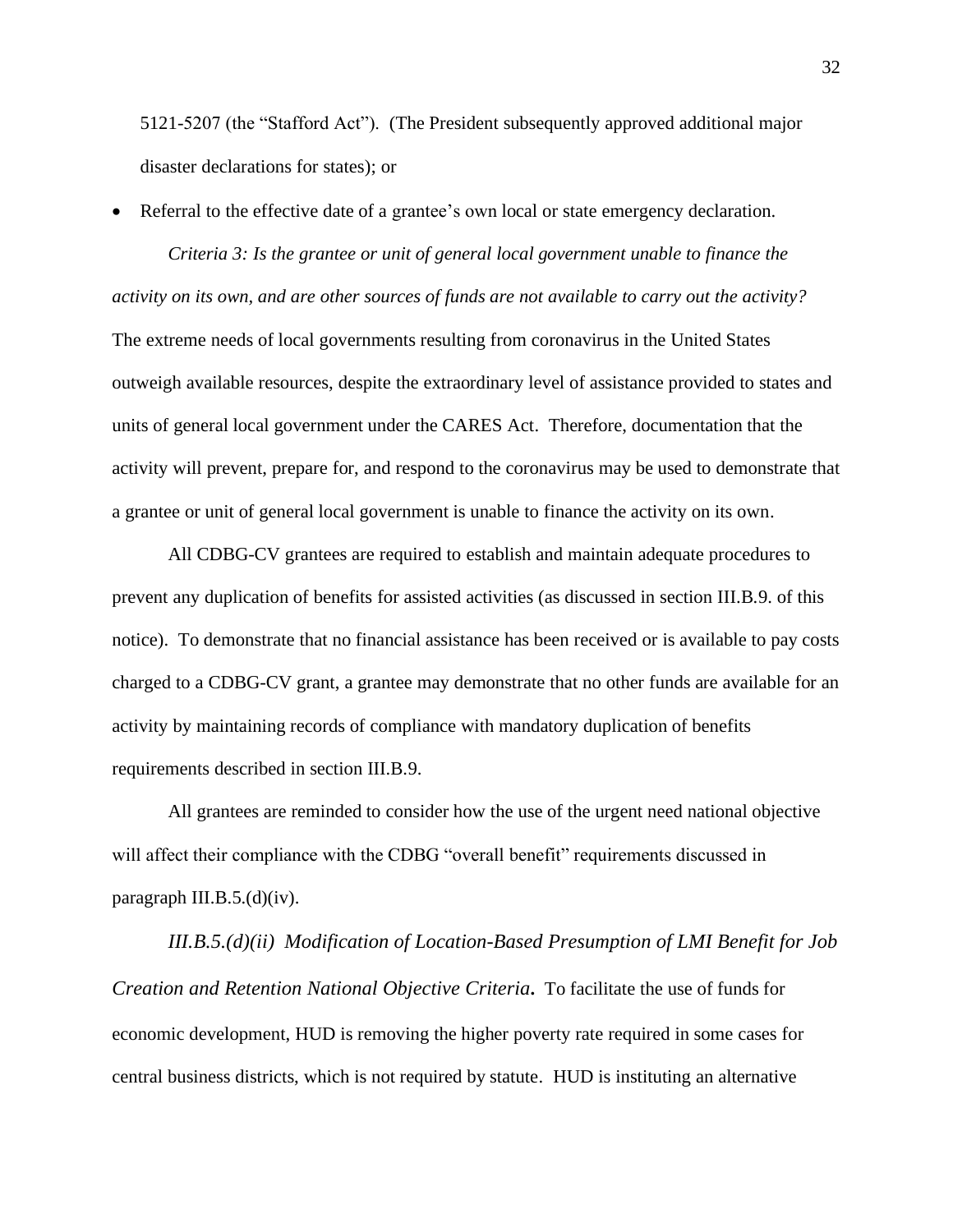5121-5207 (the "Stafford Act"). (The President subsequently approved additional major disaster declarations for states); or

• Referral to the effective date of a grantee's own local or state emergency declaration.

*Criteria 3: Is the grantee or unit of general local government unable to finance the activity on its own, and are other sources of funds are not available to carry out the activity?* The extreme needs of local governments resulting from coronavirus in the United States outweigh available resources, despite the extraordinary level of assistance provided to states and units of general local government under the CARES Act. Therefore, documentation that the activity will prevent, prepare for, and respond to the coronavirus may be used to demonstrate that a grantee or unit of general local government is unable to finance the activity on its own.

All CDBG-CV grantees are required to establish and maintain adequate procedures to prevent any duplication of benefits for assisted activities (as discussed in section III.B.9. of this notice). To demonstrate that no financial assistance has been received or is available to pay costs charged to a CDBG-CV grant, a grantee may demonstrate that no other funds are available for an activity by maintaining records of compliance with mandatory duplication of benefits requirements described in section III.B.9.

All grantees are reminded to consider how the use of the urgent need national objective will affect their compliance with the CDBG "overall benefit" requirements discussed in paragraph III.B.5.(d)(iv).

*III.B.5.(d)(ii) Modification of Location-Based Presumption of LMI Benefit for Job Creation and Retention National Objective Criteria***.** To facilitate the use of funds for economic development, HUD is removing the higher poverty rate required in some cases for central business districts, which is not required by statute. HUD is instituting an alternative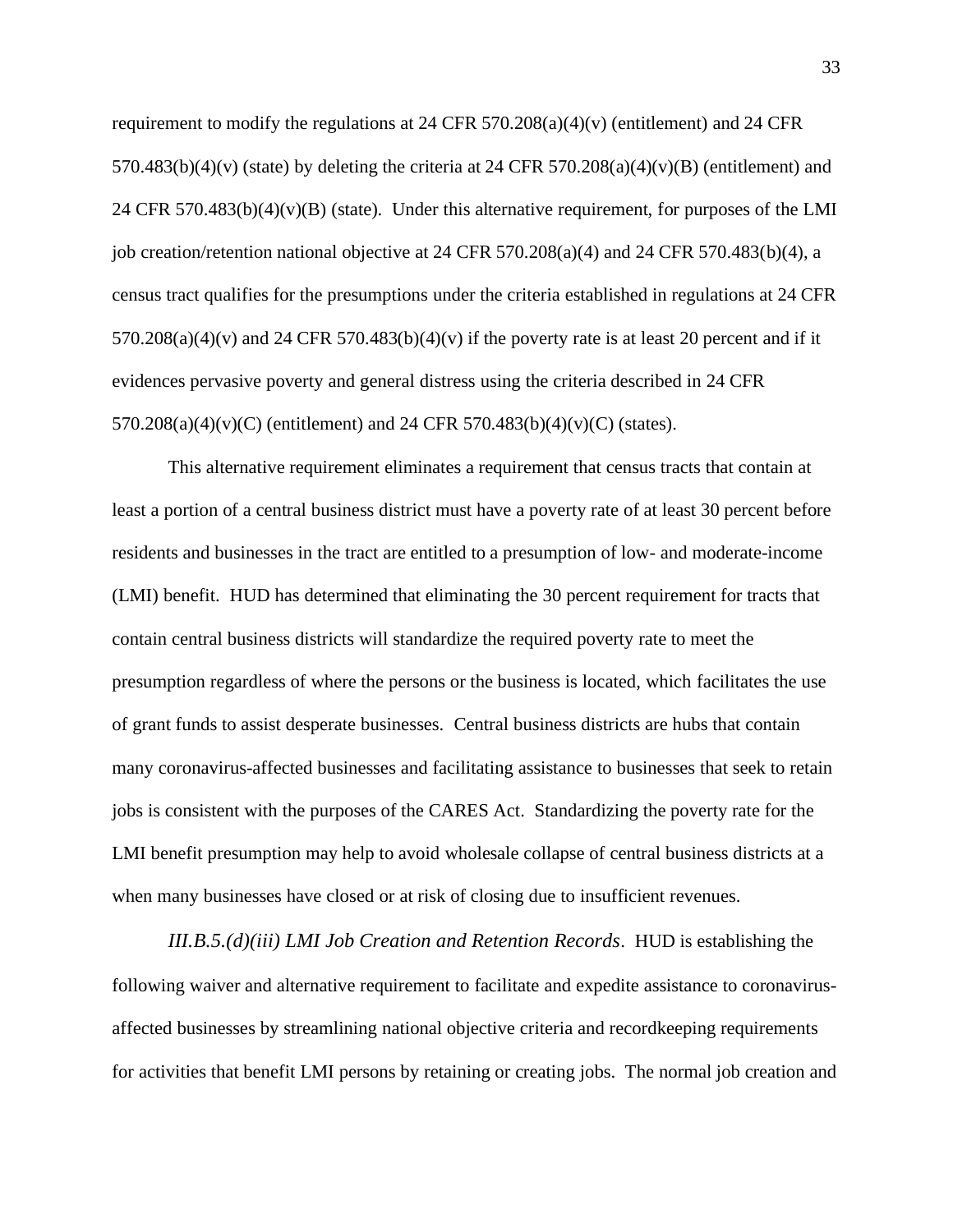requirement to modify the regulations at 24 CFR 570.208(a)(4)(v) (entitlement) and 24 CFR  $570.483(b)(4)(v)$  (state) by deleting the criteria at 24 CFR  $570.208(a)(4)(v)(B)$  (entitlement) and 24 CFR 570.483(b)(4)(v)(B) (state). Under this alternative requirement, for purposes of the LMI job creation/retention national objective at 24 CFR 570.208(a)(4) and 24 CFR 570.483(b)(4), a census tract qualifies for the presumptions under the criteria established in regulations at 24 CFR  $570.208(a)(4)(v)$  and  $24$  CFR  $570.483(b)(4)(v)$  if the poverty rate is at least 20 percent and if it evidences pervasive poverty and general distress using the criteria described in 24 CFR 570.208(a)(4)(v)(C) (entitlement) and 24 CFR 570.483(b)(4)(v)(C) (states).

This alternative requirement eliminates a requirement that census tracts that contain at least a portion of a central business district must have a poverty rate of at least 30 percent before residents and businesses in the tract are entitled to a presumption of low- and moderate-income (LMI) benefit. HUD has determined that eliminating the 30 percent requirement for tracts that contain central business districts will standardize the required poverty rate to meet the presumption regardless of where the persons or the business is located, which facilitates the use of grant funds to assist desperate businesses. Central business districts are hubs that contain many coronavirus-affected businesses and facilitating assistance to businesses that seek to retain jobs is consistent with the purposes of the CARES Act. Standardizing the poverty rate for the LMI benefit presumption may help to avoid wholesale collapse of central business districts at a when many businesses have closed or at risk of closing due to insufficient revenues.

*III.B.5.(d)(iii) LMI Job Creation and Retention Records*. HUD is establishing the following waiver and alternative requirement to facilitate and expedite assistance to coronavirusaffected businesses by streamlining national objective criteria and recordkeeping requirements for activities that benefit LMI persons by retaining or creating jobs. The normal job creation and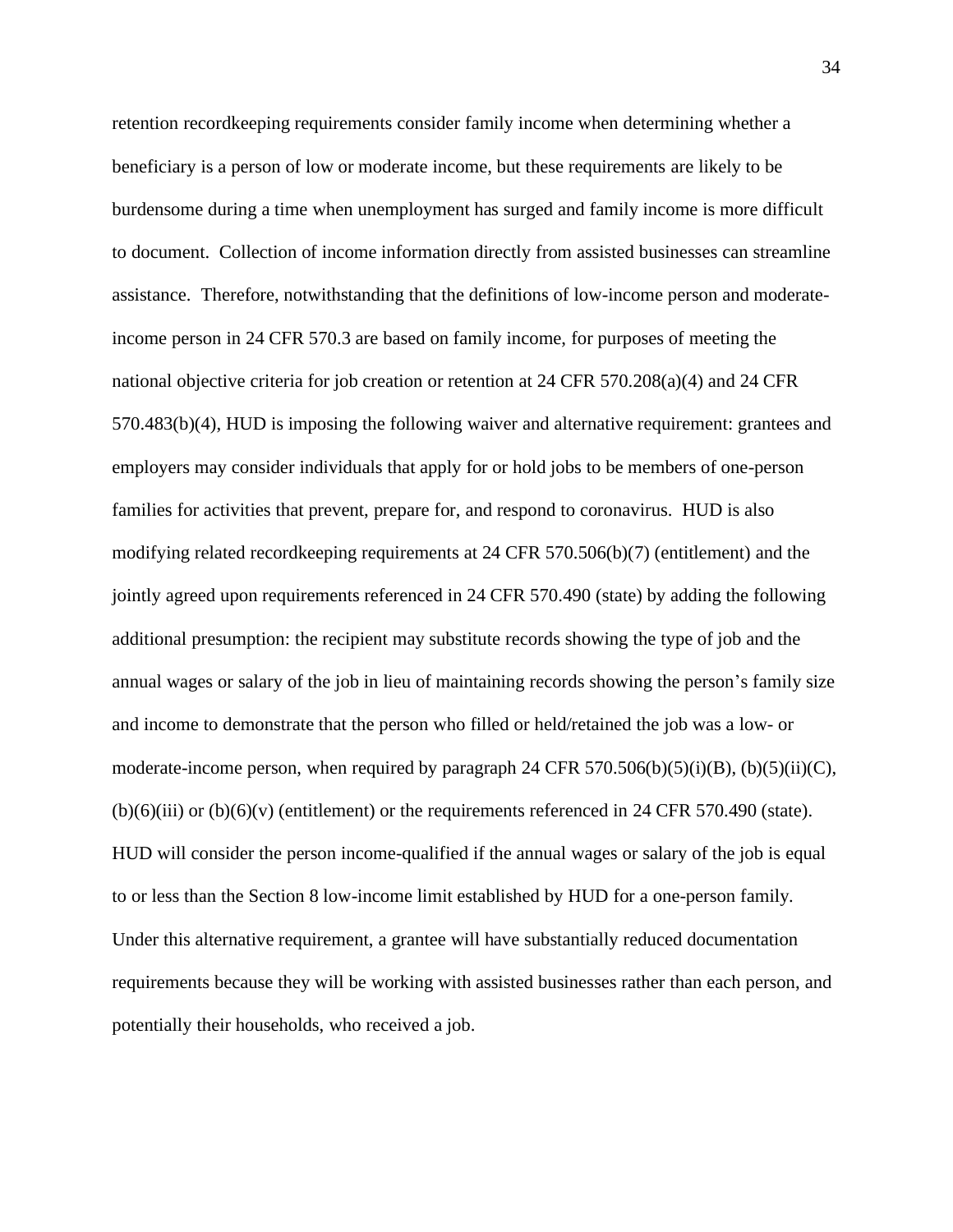retention recordkeeping requirements consider family income when determining whether a beneficiary is a person of low or moderate income, but these requirements are likely to be burdensome during a time when unemployment has surged and family income is more difficult to document. Collection of income information directly from assisted businesses can streamline assistance. Therefore, notwithstanding that the definitions of low-income person and moderateincome person in 24 CFR 570.3 are based on family income, for purposes of meeting the national objective criteria for job creation or retention at 24 CFR 570.208(a)(4) and 24 CFR 570.483(b)(4), HUD is imposing the following waiver and alternative requirement: grantees and employers may consider individuals that apply for or hold jobs to be members of one-person families for activities that prevent, prepare for, and respond to coronavirus. HUD is also modifying related recordkeeping requirements at 24 CFR 570.506(b)(7) (entitlement) and the jointly agreed upon requirements referenced in 24 CFR 570.490 (state) by adding the following additional presumption: the recipient may substitute records showing the type of job and the annual wages or salary of the job in lieu of maintaining records showing the person's family size and income to demonstrate that the person who filled or held/retained the job was a low- or moderate-income person, when required by paragraph 24 CFR 570.506(b)(5)(i)(B), (b)(5)(ii)(C),  $(b)(6)(iii)$  or  $(b)(6)(v)$  (entitlement) or the requirements referenced in 24 CFR 570.490 (state). HUD will consider the person income-qualified if the annual wages or salary of the job is equal to or less than the Section 8 low-income limit established by HUD for a one-person family. Under this alternative requirement, a grantee will have substantially reduced documentation requirements because they will be working with assisted businesses rather than each person, and potentially their households, who received a job.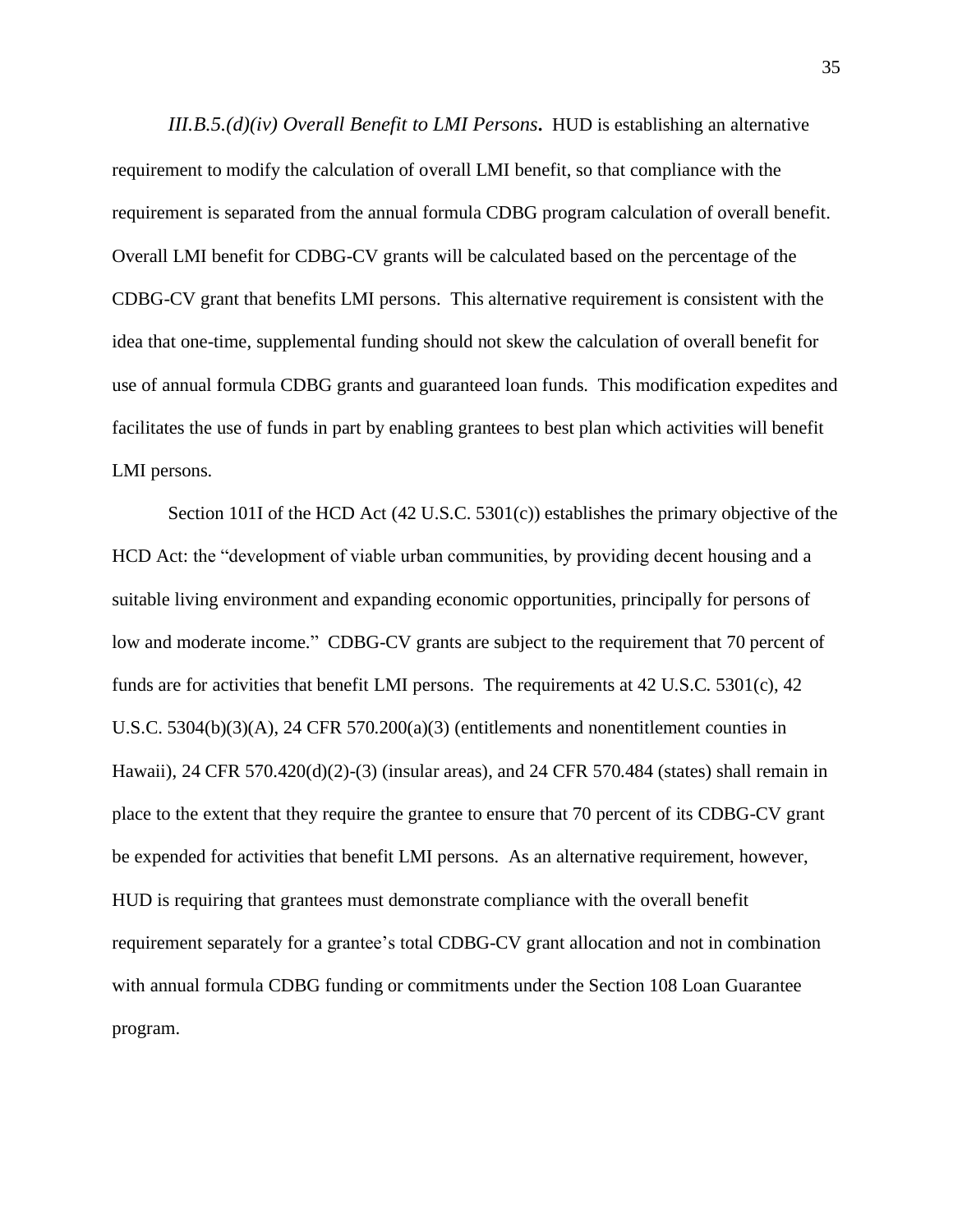*III.B.5.(d)(iv) Overall Benefit to LMI Persons***.** HUD is establishing an alternative requirement to modify the calculation of overall LMI benefit, so that compliance with the requirement is separated from the annual formula CDBG program calculation of overall benefit. Overall LMI benefit for CDBG-CV grants will be calculated based on the percentage of the CDBG-CV grant that benefits LMI persons. This alternative requirement is consistent with the idea that one-time, supplemental funding should not skew the calculation of overall benefit for use of annual formula CDBG grants and guaranteed loan funds. This modification expedites and facilitates the use of funds in part by enabling grantees to best plan which activities will benefit LMI persons.

Section 101I of the HCD Act (42 U.S.C. 5301(c)) establishes the primary objective of the HCD Act: the "development of viable urban communities, by providing decent housing and a suitable living environment and expanding economic opportunities, principally for persons of low and moderate income." CDBG-CV grants are subject to the requirement that 70 percent of funds are for activities that benefit LMI persons. The requirements at 42 U.S.C. 5301(c), 42 U.S.C. 5304(b)(3)(A), 24 CFR 570.200(a)(3) (entitlements and nonentitlement counties in Hawaii), 24 CFR 570.420(d)(2)-(3) (insular areas), and 24 CFR 570.484 (states) shall remain in place to the extent that they require the grantee to ensure that 70 percent of its CDBG-CV grant be expended for activities that benefit LMI persons. As an alternative requirement, however, HUD is requiring that grantees must demonstrate compliance with the overall benefit requirement separately for a grantee's total CDBG-CV grant allocation and not in combination with annual formula CDBG funding or commitments under the Section 108 Loan Guarantee program.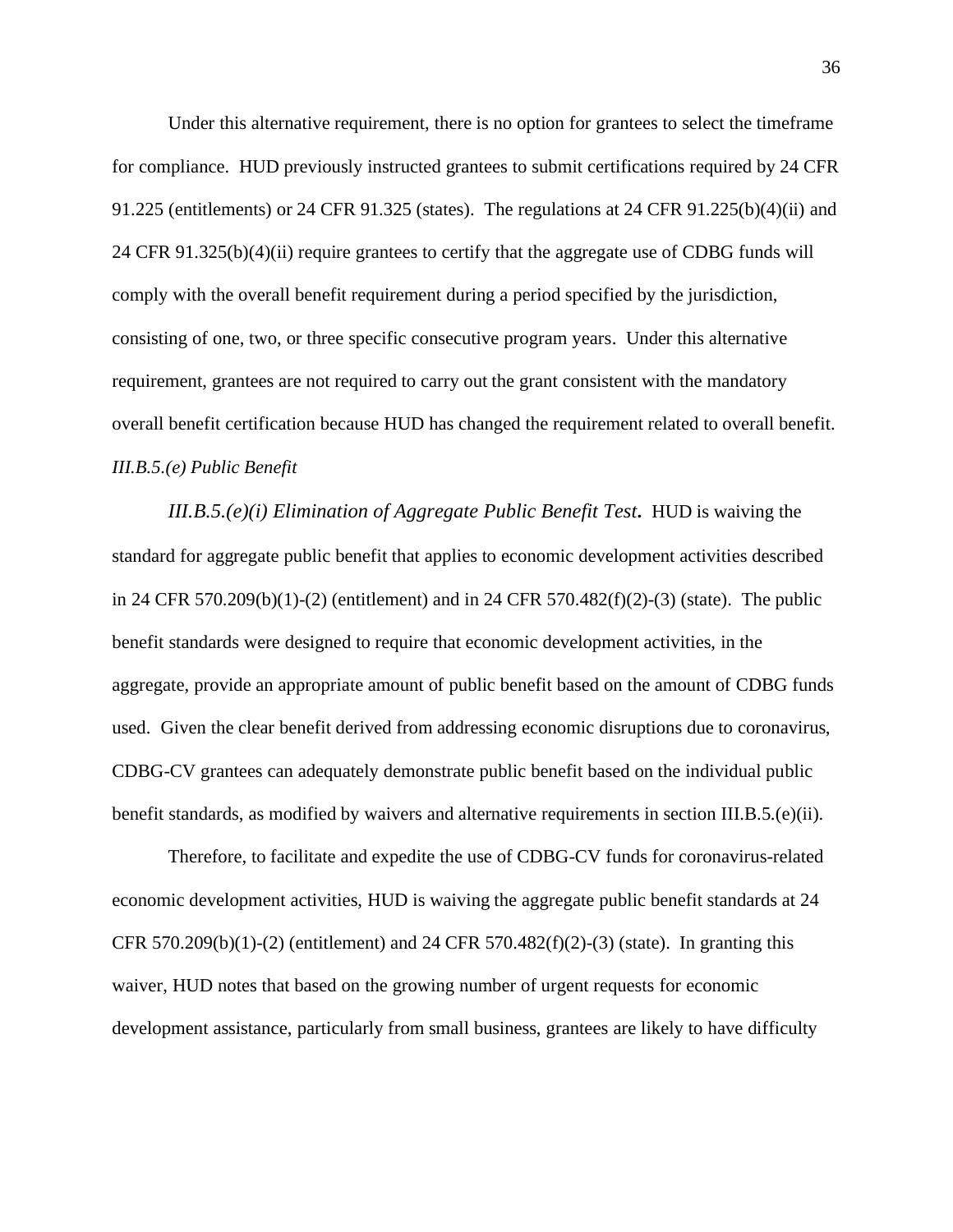Under this alternative requirement, there is no option for grantees to select the timeframe for compliance. HUD previously instructed grantees to submit certifications required by 24 CFR 91.225 (entitlements) or 24 CFR 91.325 (states). The regulations at 24 CFR 91.225(b)(4)(ii) and 24 CFR 91.325(b)(4)(ii) require grantees to certify that the aggregate use of CDBG funds will comply with the overall benefit requirement during a period specified by the jurisdiction, consisting of one, two, or three specific consecutive program years. Under this alternative requirement, grantees are not required to carry out the grant consistent with the mandatory overall benefit certification because HUD has changed the requirement related to overall benefit. *III.B.5.(e) Public Benefit*

*III.B.5.(e)(i) Elimination of Aggregate Public Benefit Test***.** HUD is waiving the standard for aggregate public benefit that applies to economic development activities described in 24 CFR 570.209(b)(1)-(2) (entitlement) and in 24 CFR 570.482(f)(2)-(3) (state). The public benefit standards were designed to require that economic development activities, in the aggregate, provide an appropriate amount of public benefit based on the amount of CDBG funds used. Given the clear benefit derived from addressing economic disruptions due to coronavirus, CDBG-CV grantees can adequately demonstrate public benefit based on the individual public benefit standards, as modified by waivers and alternative requirements in section III.B.5.(e)(ii).

Therefore, to facilitate and expedite the use of CDBG-CV funds for coronavirus-related economic development activities, HUD is waiving the aggregate public benefit standards at 24 CFR 570.209(b)(1)-(2) (entitlement) and 24 CFR 570.482(f)(2)-(3) (state). In granting this waiver, HUD notes that based on the growing number of urgent requests for economic development assistance, particularly from small business, grantees are likely to have difficulty

36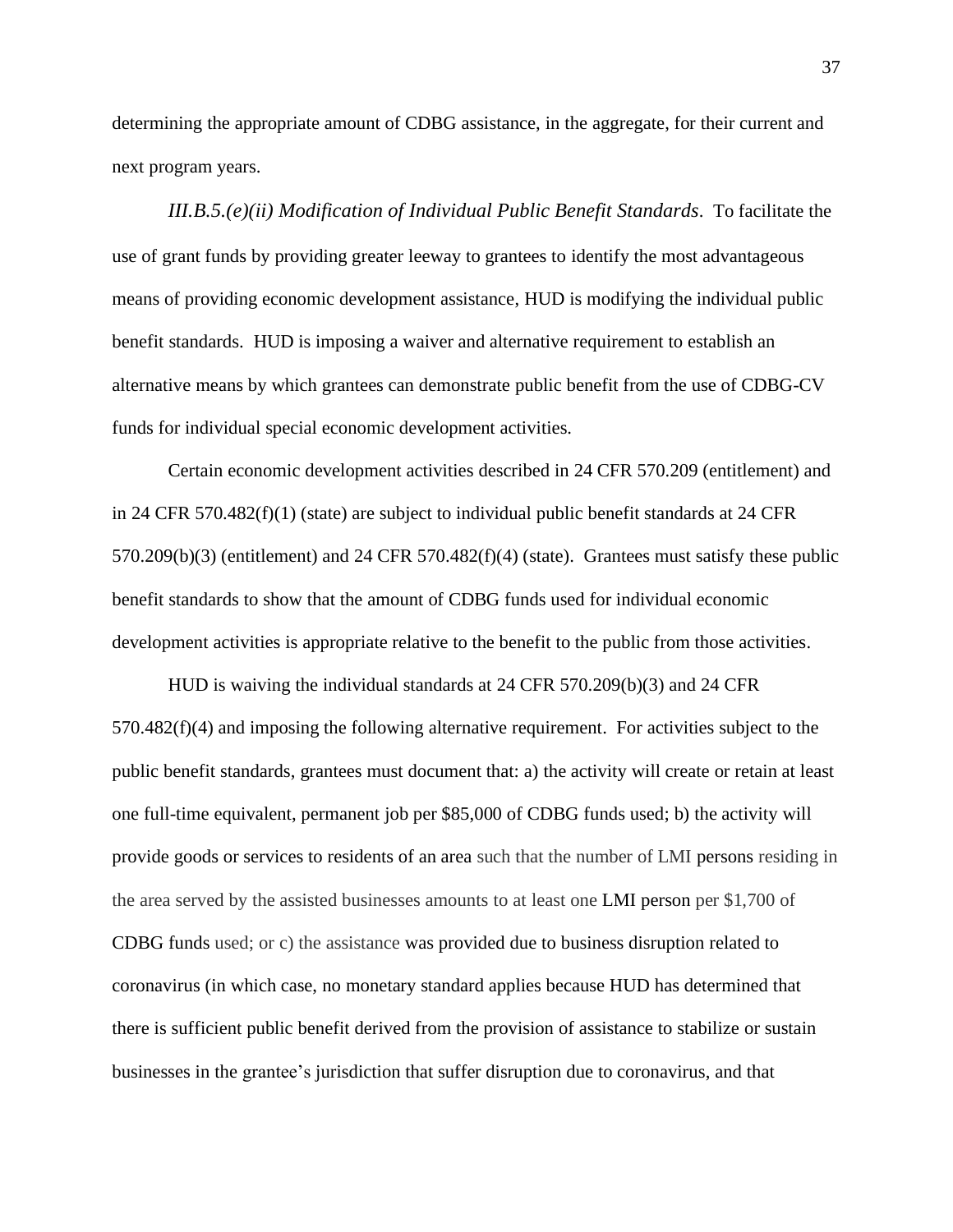determining the appropriate amount of CDBG assistance, in the aggregate, for their current and next program years.

*III.B.5.(e)(ii) Modification of Individual Public Benefit Standards*. To facilitate the use of grant funds by providing greater leeway to grantees to identify the most advantageous means of providing economic development assistance, HUD is modifying the individual public benefit standards. HUD is imposing a waiver and alternative requirement to establish an alternative means by which grantees can demonstrate public benefit from the use of CDBG-CV funds for individual special economic development activities.

Certain economic development activities described in 24 CFR 570.209 (entitlement) and in 24 CFR 570.482(f)(1) (state) are subject to individual public benefit standards at 24 CFR 570.209(b)(3) (entitlement) and 24 CFR 570.482(f)(4) (state). Grantees must satisfy these public benefit standards to show that the amount of CDBG funds used for individual economic development activities is appropriate relative to the benefit to the public from those activities.

HUD is waiving the individual standards at 24 CFR 570.209(b)(3) and 24 CFR 570.482(f)(4) and imposing the following alternative requirement. For activities subject to the public benefit standards, grantees must document that: a) the activity will create or retain at least one full-time equivalent, permanent job per \$85,000 of CDBG funds used; b) the activity will provide goods or services to residents of an area such that the number of LMI persons residing in the area served by the assisted businesses amounts to at least one LMI person per \$1,700 of CDBG funds used; or c) the assistance was provided due to business disruption related to coronavirus (in which case, no monetary standard applies because HUD has determined that there is sufficient public benefit derived from the provision of assistance to stabilize or sustain businesses in the grantee's jurisdiction that suffer disruption due to coronavirus, and that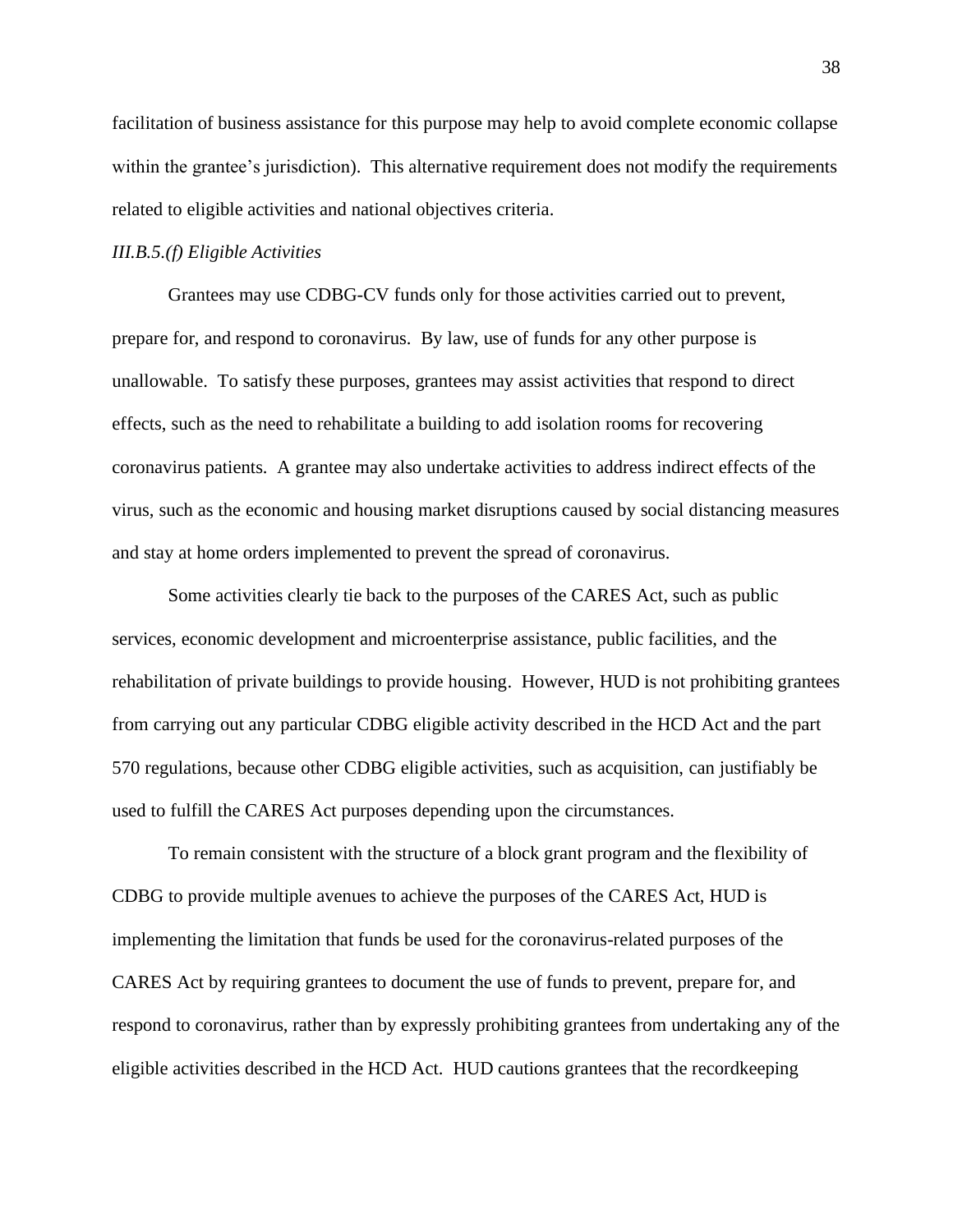facilitation of business assistance for this purpose may help to avoid complete economic collapse within the grantee's jurisdiction). This alternative requirement does not modify the requirements related to eligible activities and national objectives criteria.

## *III.B.5.(f) Eligible Activities*

Grantees may use CDBG-CV funds only for those activities carried out to prevent, prepare for, and respond to coronavirus. By law, use of funds for any other purpose is unallowable. To satisfy these purposes, grantees may assist activities that respond to direct effects, such as the need to rehabilitate a building to add isolation rooms for recovering coronavirus patients. A grantee may also undertake activities to address indirect effects of the virus, such as the economic and housing market disruptions caused by social distancing measures and stay at home orders implemented to prevent the spread of coronavirus.

Some activities clearly tie back to the purposes of the CARES Act, such as public services, economic development and microenterprise assistance, public facilities, and the rehabilitation of private buildings to provide housing. However, HUD is not prohibiting grantees from carrying out any particular CDBG eligible activity described in the HCD Act and the part 570 regulations, because other CDBG eligible activities, such as acquisition, can justifiably be used to fulfill the CARES Act purposes depending upon the circumstances.

To remain consistent with the structure of a block grant program and the flexibility of CDBG to provide multiple avenues to achieve the purposes of the CARES Act, HUD is implementing the limitation that funds be used for the coronavirus-related purposes of the CARES Act by requiring grantees to document the use of funds to prevent, prepare for, and respond to coronavirus, rather than by expressly prohibiting grantees from undertaking any of the eligible activities described in the HCD Act. HUD cautions grantees that the recordkeeping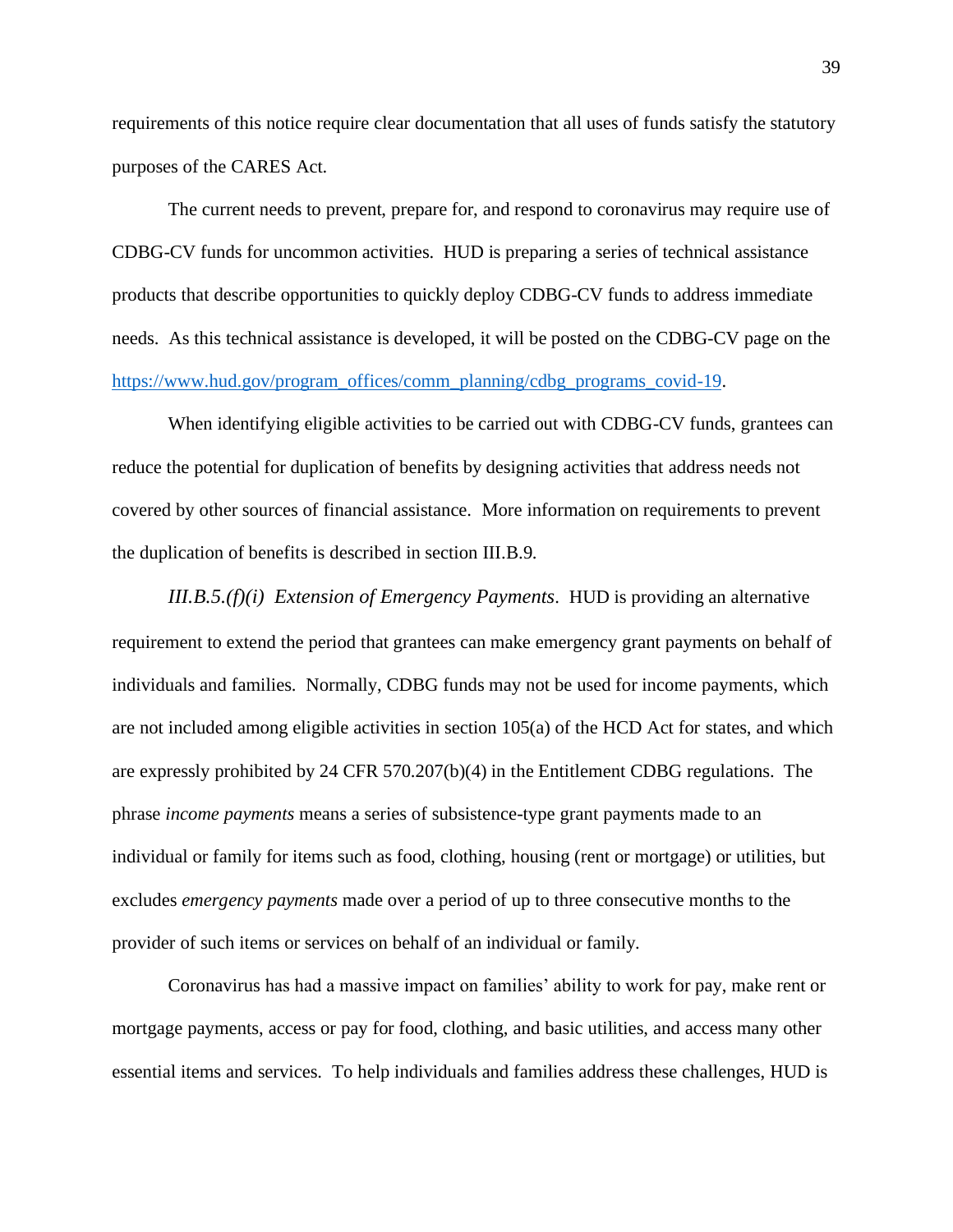requirements of this notice require clear documentation that all uses of funds satisfy the statutory purposes of the CARES Act.

The current needs to prevent, prepare for, and respond to coronavirus may require use of CDBG-CV funds for uncommon activities. HUD is preparing a series of technical assistance products that describe opportunities to quickly deploy CDBG-CV funds to address immediate needs. As this technical assistance is developed, it will be posted on the CDBG-CV page on the [https://www.hud.gov/program\\_offices/comm\\_planning/cdbg\\_programs\\_covid-19.](https://www.hud.gov/program_offices/comm_planning/cdbg_programs_covid-19)

When identifying eligible activities to be carried out with CDBG-CV funds, grantees can reduce the potential for duplication of benefits by designing activities that address needs not covered by other sources of financial assistance. More information on requirements to prevent the duplication of benefits is described in section III.B.9.

*III.B.5.(f)(i) Extension of Emergency Payments*. HUD is providing an alternative requirement to extend the period that grantees can make emergency grant payments on behalf of individuals and families. Normally, CDBG funds may not be used for income payments, which are not included among eligible activities in section 105(a) of the HCD Act for states, and which are expressly prohibited by 24 CFR 570.207(b)(4) in the Entitlement CDBG regulations. The phrase *income payments* means a series of subsistence-type grant payments made to an individual or family for items such as food, clothing, housing (rent or mortgage) or utilities, but excludes *emergency payments* made over a period of up to three consecutive months to the provider of such items or services on behalf of an individual or family.

Coronavirus has had a massive impact on families' ability to work for pay, make rent or mortgage payments, access or pay for food, clothing, and basic utilities, and access many other essential items and services. To help individuals and families address these challenges, HUD is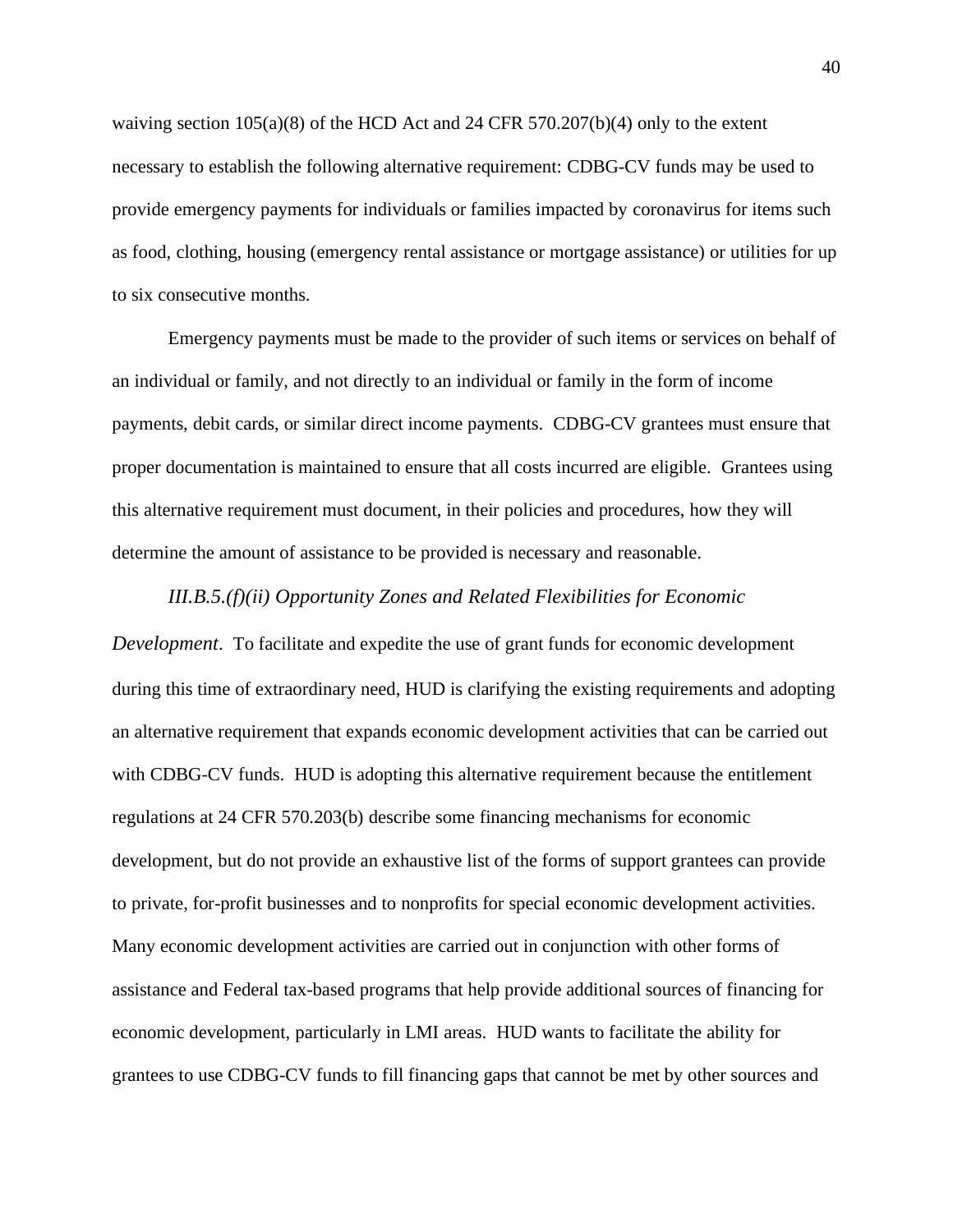waiving section  $105(a)(8)$  of the HCD Act and 24 CFR 570.207(b)(4) only to the extent necessary to establish the following alternative requirement: CDBG-CV funds may be used to provide emergency payments for individuals or families impacted by coronavirus for items such as food, clothing, housing (emergency rental assistance or mortgage assistance) or utilities for up to six consecutive months.

Emergency payments must be made to the provider of such items or services on behalf of an individual or family, and not directly to an individual or family in the form of income payments, debit cards, or similar direct income payments. CDBG-CV grantees must ensure that proper documentation is maintained to ensure that all costs incurred are eligible. Grantees using this alternative requirement must document, in their policies and procedures, how they will determine the amount of assistance to be provided is necessary and reasonable.

## *III.B.5.(f)(ii) Opportunity Zones and Related Flexibilities for Economic*

*Development*. To facilitate and expedite the use of grant funds for economic development during this time of extraordinary need, HUD is clarifying the existing requirements and adopting an alternative requirement that expands economic development activities that can be carried out with CDBG-CV funds. HUD is adopting this alternative requirement because the entitlement regulations at 24 CFR 570.203(b) describe some financing mechanisms for economic development, but do not provide an exhaustive list of the forms of support grantees can provide to private, for-profit businesses and to nonprofits for special economic development activities. Many economic development activities are carried out in conjunction with other forms of assistance and Federal tax-based programs that help provide additional sources of financing for economic development, particularly in LMI areas. HUD wants to facilitate the ability for grantees to use CDBG-CV funds to fill financing gaps that cannot be met by other sources and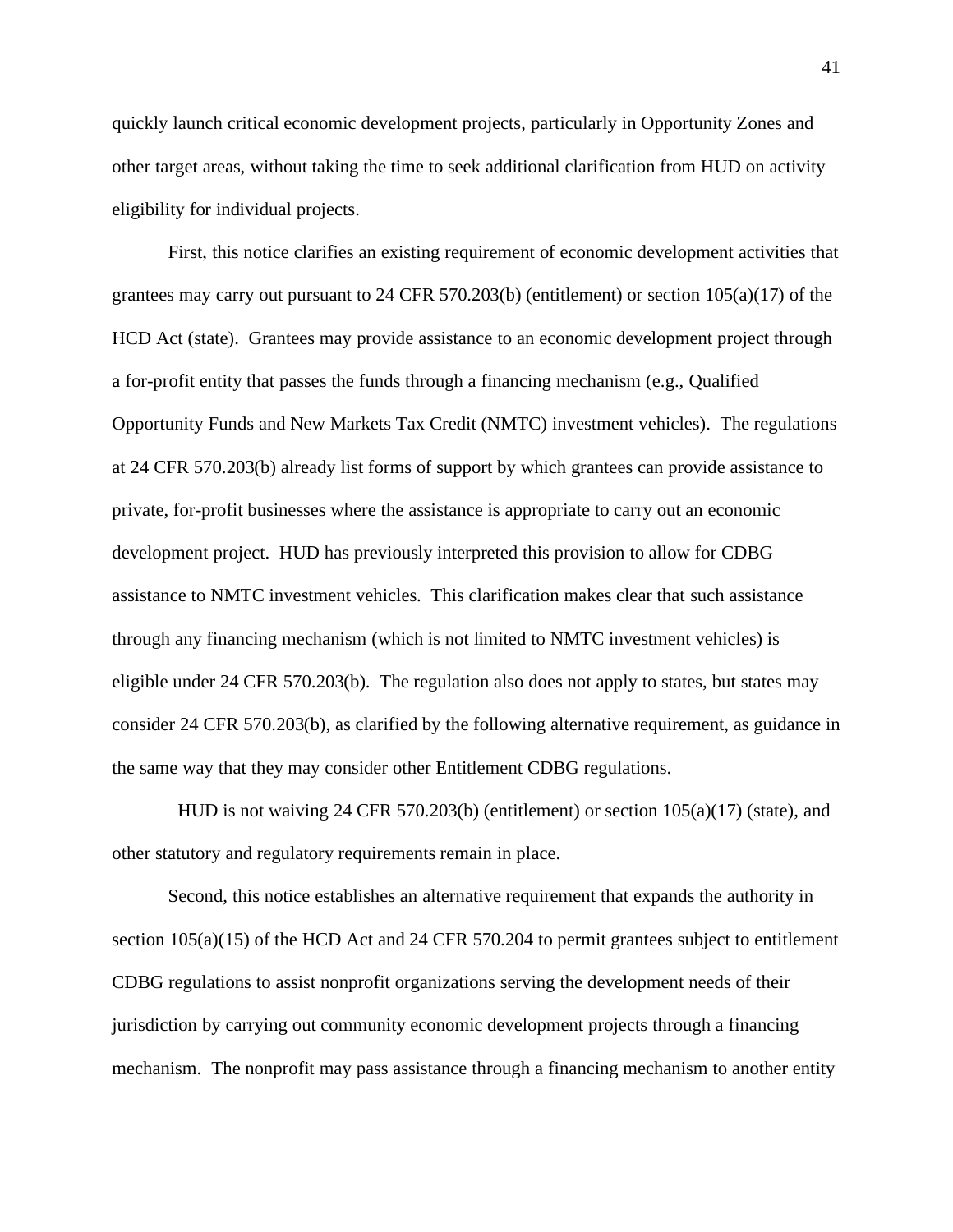quickly launch critical economic development projects, particularly in Opportunity Zones and other target areas, without taking the time to seek additional clarification from HUD on activity eligibility for individual projects.

First, this notice clarifies an existing requirement of economic development activities that grantees may carry out pursuant to 24 CFR 570.203(b) (entitlement) or section  $105(a)(17)$  of the HCD Act (state). Grantees may provide assistance to an economic development project through a for-profit entity that passes the funds through a financing mechanism (e.g., Qualified Opportunity Funds and New Markets Tax Credit (NMTC) investment vehicles). The regulations at 24 CFR 570.203(b) already list forms of support by which grantees can provide assistance to private, for-profit businesses where the assistance is appropriate to carry out an economic development project. HUD has previously interpreted this provision to allow for CDBG assistance to NMTC investment vehicles. This clarification makes clear that such assistance through any financing mechanism (which is not limited to NMTC investment vehicles) is eligible under 24 CFR 570.203(b). The regulation also does not apply to states, but states may consider 24 CFR 570.203(b), as clarified by the following alternative requirement, as guidance in the same way that they may consider other Entitlement CDBG regulations.

 HUD is not waiving 24 CFR 570.203(b) (entitlement) or section 105(a)(17) (state), and other statutory and regulatory requirements remain in place.

Second, this notice establishes an alternative requirement that expands the authority in section  $105(a)(15)$  of the HCD Act and 24 CFR 570.204 to permit grantees subject to entitlement CDBG regulations to assist nonprofit organizations serving the development needs of their jurisdiction by carrying out community economic development projects through a financing mechanism. The nonprofit may pass assistance through a financing mechanism to another entity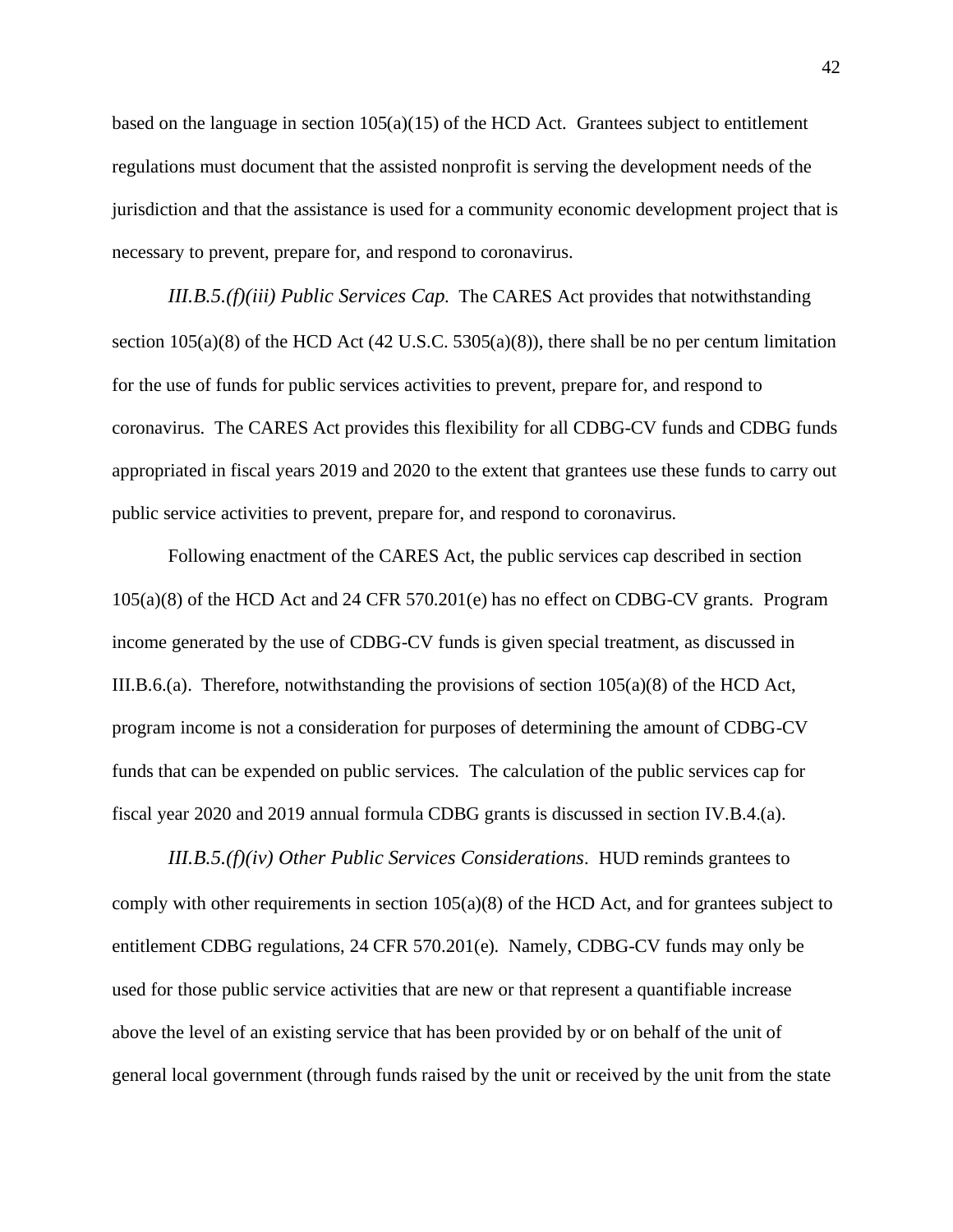based on the language in section  $105(a)(15)$  of the HCD Act. Grantees subject to entitlement regulations must document that the assisted nonprofit is serving the development needs of the jurisdiction and that the assistance is used for a community economic development project that is necessary to prevent, prepare for, and respond to coronavirus.

*III.B.5.(f)(iii) Public Services Cap*. The CARES Act provides that notwithstanding section  $105(a)(8)$  of the HCD Act  $(42 \text{ U.S.C. } 5305(a)(8))$ , there shall be no per centum limitation for the use of funds for public services activities to prevent, prepare for, and respond to coronavirus. The CARES Act provides this flexibility for all CDBG-CV funds and CDBG funds appropriated in fiscal years 2019 and 2020 to the extent that grantees use these funds to carry out public service activities to prevent, prepare for, and respond to coronavirus.

Following enactment of the CARES Act, the public services cap described in section 105(a)(8) of the HCD Act and 24 CFR 570.201(e) has no effect on CDBG-CV grants. Program income generated by the use of CDBG-CV funds is given special treatment, as discussed in III.B.6.(a). Therefore, notwithstanding the provisions of section 105(a)(8) of the HCD Act, program income is not a consideration for purposes of determining the amount of CDBG-CV funds that can be expended on public services. The calculation of the public services cap for fiscal year 2020 and 2019 annual formula CDBG grants is discussed in section IV.B.4.(a).

*III.B.5.(f)(iv) Other Public Services Considerations*. HUD reminds grantees to comply with other requirements in section  $105(a)(8)$  of the HCD Act, and for grantees subject to entitlement CDBG regulations, 24 CFR 570.201(e). Namely, CDBG-CV funds may only be used for those public service activities that are new or that represent a quantifiable increase above the level of an existing service that has been provided by or on behalf of the unit of general local government (through funds raised by the unit or received by the unit from the state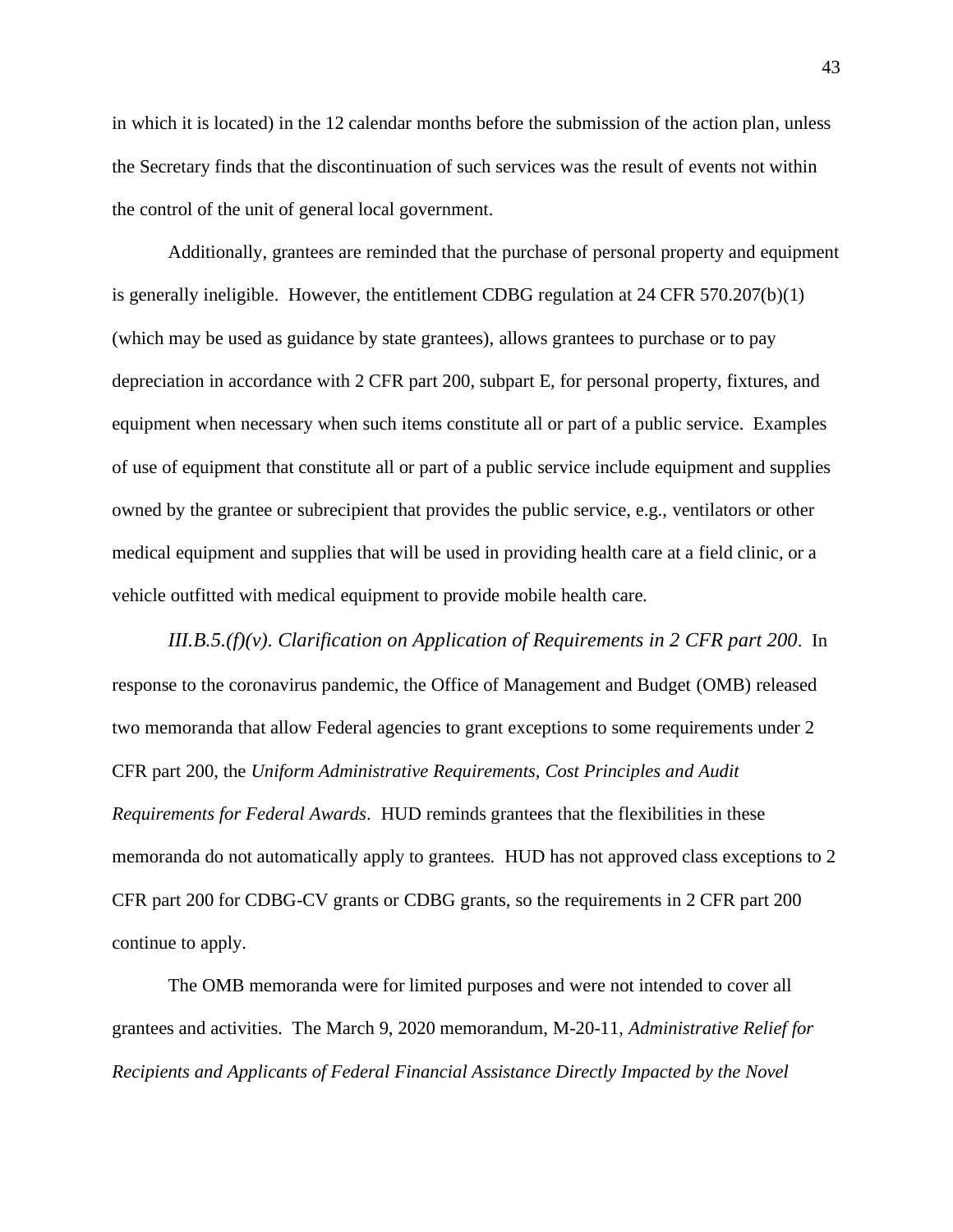in which it is located) in the 12 calendar months before the submission of the action plan, unless the Secretary finds that the discontinuation of such services was the result of events not within the control of the unit of general local government.

Additionally, grantees are reminded that the purchase of personal property and equipment is generally ineligible. However, the entitlement CDBG regulation at 24 CFR 570.207(b)(1) (which may be used as guidance by state grantees), allows grantees to purchase or to pay depreciation in accordance with 2 CFR part 200, subpart E, for personal property, fixtures, and equipment when necessary when such items constitute all or part of a public service. Examples of use of equipment that constitute all or part of a public service include equipment and supplies owned by the grantee or subrecipient that provides the public service, e.g., ventilators or other medical equipment and supplies that will be used in providing health care at a field clinic, or a vehicle outfitted with medical equipment to provide mobile health care.

*III.B.5.(f)(v). Clarification on Application of Requirements in 2 CFR part 200*. In response to the coronavirus pandemic, the Office of Management and Budget (OMB) released two memoranda that allow Federal agencies to grant exceptions to some requirements under 2 CFR part 200, the *Uniform Administrative Requirements, Cost Principles and Audit Requirements for Federal Awards*. HUD reminds grantees that the flexibilities in these memoranda do not automatically apply to grantees. HUD has not approved class exceptions to 2 CFR part 200 for CDBG-CV grants or CDBG grants, so the requirements in 2 CFR part 200 continue to apply.

The OMB memoranda were for limited purposes and were not intended to cover all grantees and activities. The March 9, 2020 memorandum, M-20-11, *Administrative Relief for Recipients and Applicants of Federal Financial Assistance Directly Impacted by the Novel*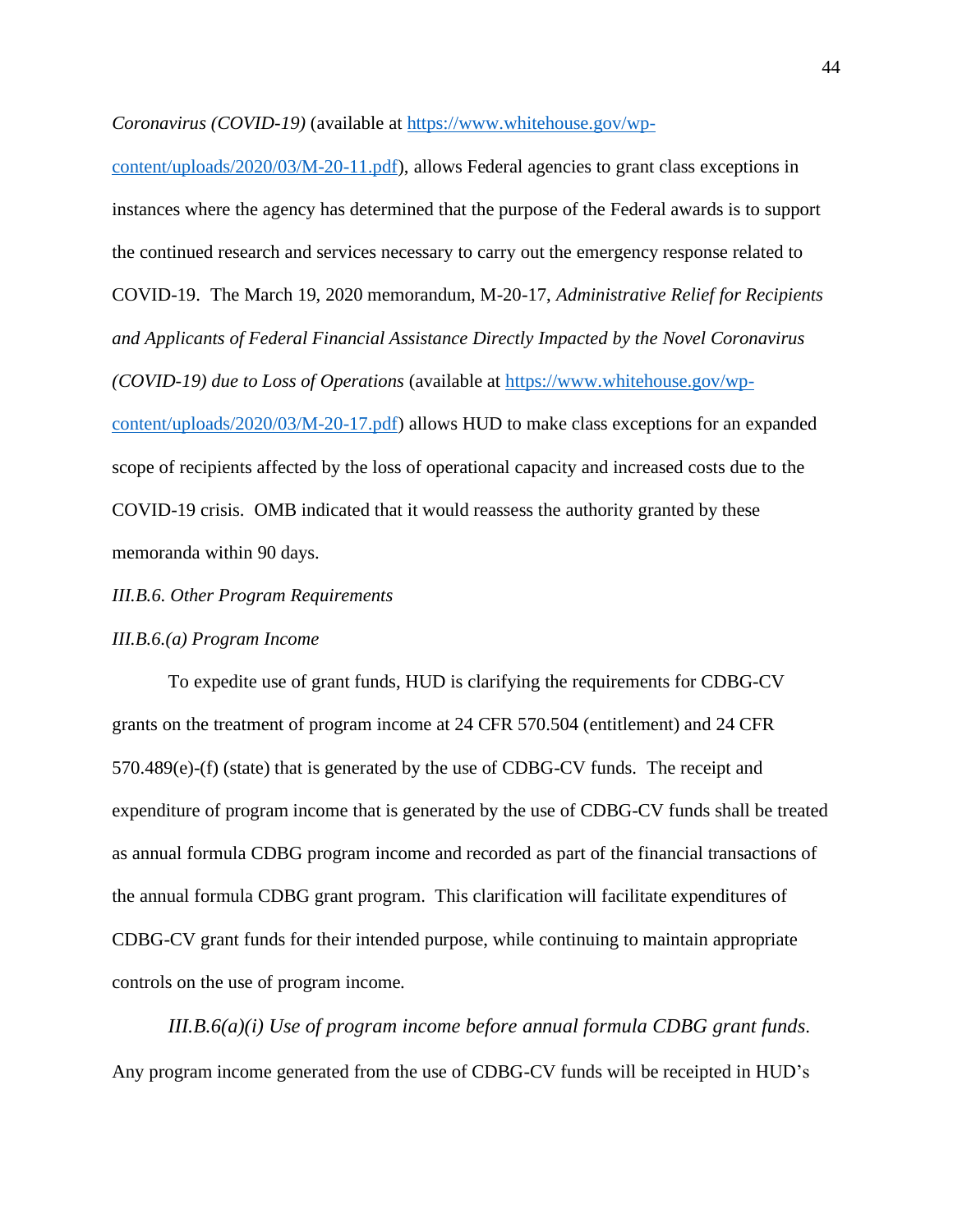*Coronavirus (COVID-19)* (available at [https://www.whitehouse.gov/wp-](https://www.whitehouse.gov/wp-content/uploads/2020/03/M-20-11.pdf)

[content/uploads/2020/03/M-20-11.pdf\)](https://www.whitehouse.gov/wp-content/uploads/2020/03/M-20-11.pdf), allows Federal agencies to grant class exceptions in instances where the agency has determined that the purpose of the Federal awards is to support the continued research and services necessary to carry out the emergency response related to COVID-19. The March 19, 2020 memorandum, M-20-17, *Administrative Relief for Recipients and Applicants of Federal Financial Assistance Directly Impacted by the Novel Coronavirus (COVID-19) due to Loss of Operations* (available at [https://www.whitehouse.gov/wp](https://www.whitehouse.gov/wp-content/uploads/2020/03/M-20-17.pdf)[content/uploads/2020/03/M-20-17.pdf\)](https://www.whitehouse.gov/wp-content/uploads/2020/03/M-20-17.pdf) allows HUD to make class exceptions for an expanded scope of recipients affected by the loss of operational capacity and increased costs due to the COVID-19 crisis. OMB indicated that it would reassess the authority granted by these memoranda within 90 days.

### <span id="page-43-0"></span>*III.B.6. Other Program Requirements*

#### *III.B.6.(a) Program Income*

To expedite use of grant funds, HUD is clarifying the requirements for CDBG-CV grants on the treatment of program income at 24 CFR 570.504 (entitlement) and 24 CFR 570.489(e)-(f) (state) that is generated by the use of CDBG-CV funds. The receipt and expenditure of program income that is generated by the use of CDBG-CV funds shall be treated as annual formula CDBG program income and recorded as part of the financial transactions of the annual formula CDBG grant program. This clarification will facilitate expenditures of CDBG-CV grant funds for their intended purpose, while continuing to maintain appropriate controls on the use of program income.

*III.B.6(a)(i) Use of program income before annual formula CDBG grant funds*. Any program income generated from the use of CDBG-CV funds will be receipted in HUD's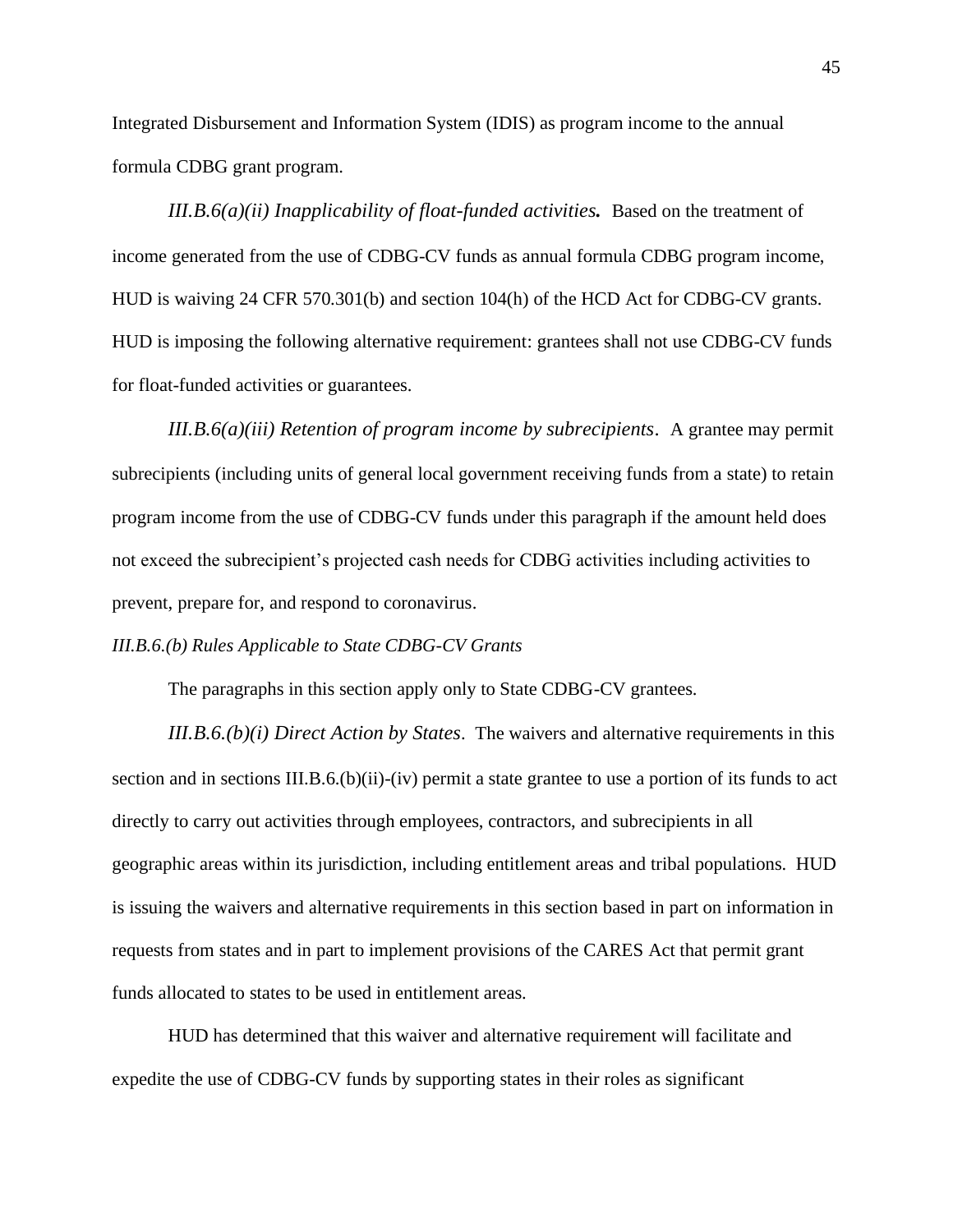Integrated Disbursement and Information System (IDIS) as program income to the annual formula CDBG grant program.

*III.B.6(a)(ii) Inapplicability of float-funded activities.* Based on the treatment of income generated from the use of CDBG-CV funds as annual formula CDBG program income, HUD is waiving 24 CFR 570.301(b) and section 104(h) of the HCD Act for CDBG-CV grants. HUD is imposing the following alternative requirement: grantees shall not use CDBG-CV funds for float-funded activities or guarantees.

*III.B.6(a)(iii) Retention of program income by subrecipients*. A grantee may permit subrecipients (including units of general local government receiving funds from a state) to retain program income from the use of CDBG-CV funds under this paragraph if the amount held does not exceed the subrecipient's projected cash needs for CDBG activities including activities to prevent, prepare for, and respond to coronavirus.

## *III.B.6.(b) Rules Applicable to State CDBG-CV Grants*

The paragraphs in this section apply only to State CDBG-CV grantees.

*III.B.6.(b)(i) Direct Action by States*. The waivers and alternative requirements in this section and in sections III.B.6.(b)(ii)-(iv) permit a state grantee to use a portion of its funds to act directly to carry out activities through employees, contractors, and subrecipients in all geographic areas within its jurisdiction, including entitlement areas and tribal populations. HUD is issuing the waivers and alternative requirements in this section based in part on information in requests from states and in part to implement provisions of the CARES Act that permit grant funds allocated to states to be used in entitlement areas.

HUD has determined that this waiver and alternative requirement will facilitate and expedite the use of CDBG-CV funds by supporting states in their roles as significant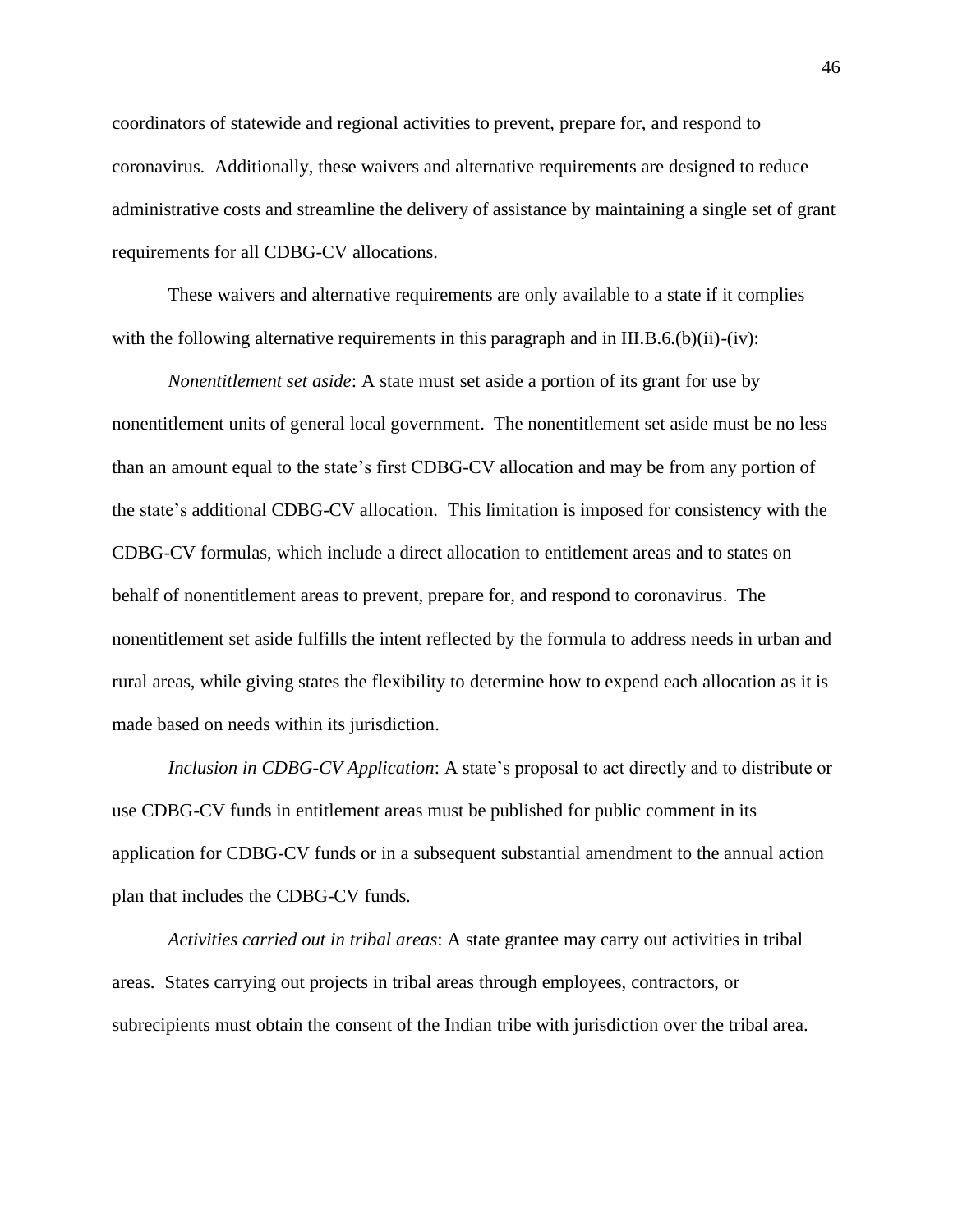coordinators of statewide and regional activities to prevent, prepare for, and respond to coronavirus. Additionally, these waivers and alternative requirements are designed to reduce administrative costs and streamline the delivery of assistance by maintaining a single set of grant requirements for all CDBG-CV allocations.

These waivers and alternative requirements are only available to a state if it complies with the following alternative requirements in this paragraph and in III.B.6.(b)(ii)-(iv):

*Nonentitlement set aside*: A state must set aside a portion of its grant for use by nonentitlement units of general local government. The nonentitlement set aside must be no less than an amount equal to the state's first CDBG-CV allocation and may be from any portion of the state's additional CDBG-CV allocation. This limitation is imposed for consistency with the CDBG-CV formulas, which include a direct allocation to entitlement areas and to states on behalf of nonentitlement areas to prevent, prepare for, and respond to coronavirus. The nonentitlement set aside fulfills the intent reflected by the formula to address needs in urban and rural areas, while giving states the flexibility to determine how to expend each allocation as it is made based on needs within its jurisdiction.

*Inclusion in CDBG-CV Application*: A state's proposal to act directly and to distribute or use CDBG-CV funds in entitlement areas must be published for public comment in its application for CDBG-CV funds or in a subsequent substantial amendment to the annual action plan that includes the CDBG-CV funds.

*Activities carried out in tribal areas*: A state grantee may carry out activities in tribal areas. States carrying out projects in tribal areas through employees, contractors, or subrecipients must obtain the consent of the Indian tribe with jurisdiction over the tribal area.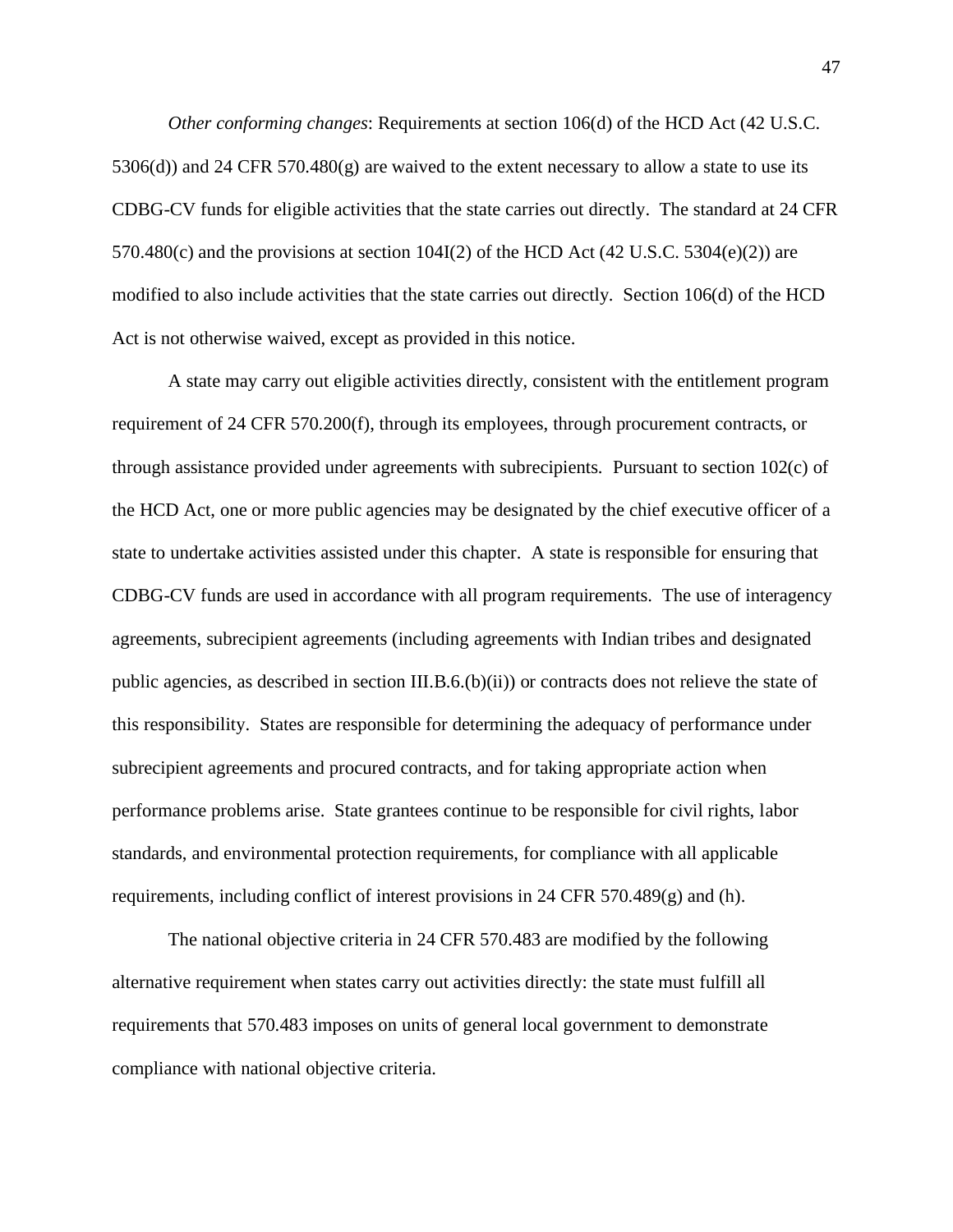*Other conforming changes*: Requirements at section 106(d) of the HCD Act (42 U.S.C. 5306(d)) and 24 CFR 570.480(g) are waived to the extent necessary to allow a state to use its CDBG-CV funds for eligible activities that the state carries out directly. The standard at 24 CFR 570.480(c) and the provisions at section 104I(2) of the HCD Act (42 U.S.C. 5304(e)(2)) are modified to also include activities that the state carries out directly. Section 106(d) of the HCD Act is not otherwise waived, except as provided in this notice.

A state may carry out eligible activities directly, consistent with the entitlement program requirement of 24 CFR 570.200(f), through its employees, through procurement contracts, or through assistance provided under agreements with subrecipients. Pursuant to section 102(c) of the HCD Act, one or more public agencies may be designated by the chief executive officer of a state to undertake activities assisted under this chapter. A state is responsible for ensuring that CDBG-CV funds are used in accordance with all program requirements. The use of interagency agreements, subrecipient agreements (including agreements with Indian tribes and designated public agencies, as described in section III.B.6.(b)(ii)) or contracts does not relieve the state of this responsibility. States are responsible for determining the adequacy of performance under subrecipient agreements and procured contracts, and for taking appropriate action when performance problems arise. State grantees continue to be responsible for civil rights, labor standards, and environmental protection requirements, for compliance with all applicable requirements, including conflict of interest provisions in 24 CFR 570.489(g) and (h).

The national objective criteria in 24 CFR 570.483 are modified by the following alternative requirement when states carry out activities directly: the state must fulfill all requirements that 570.483 imposes on units of general local government to demonstrate compliance with national objective criteria.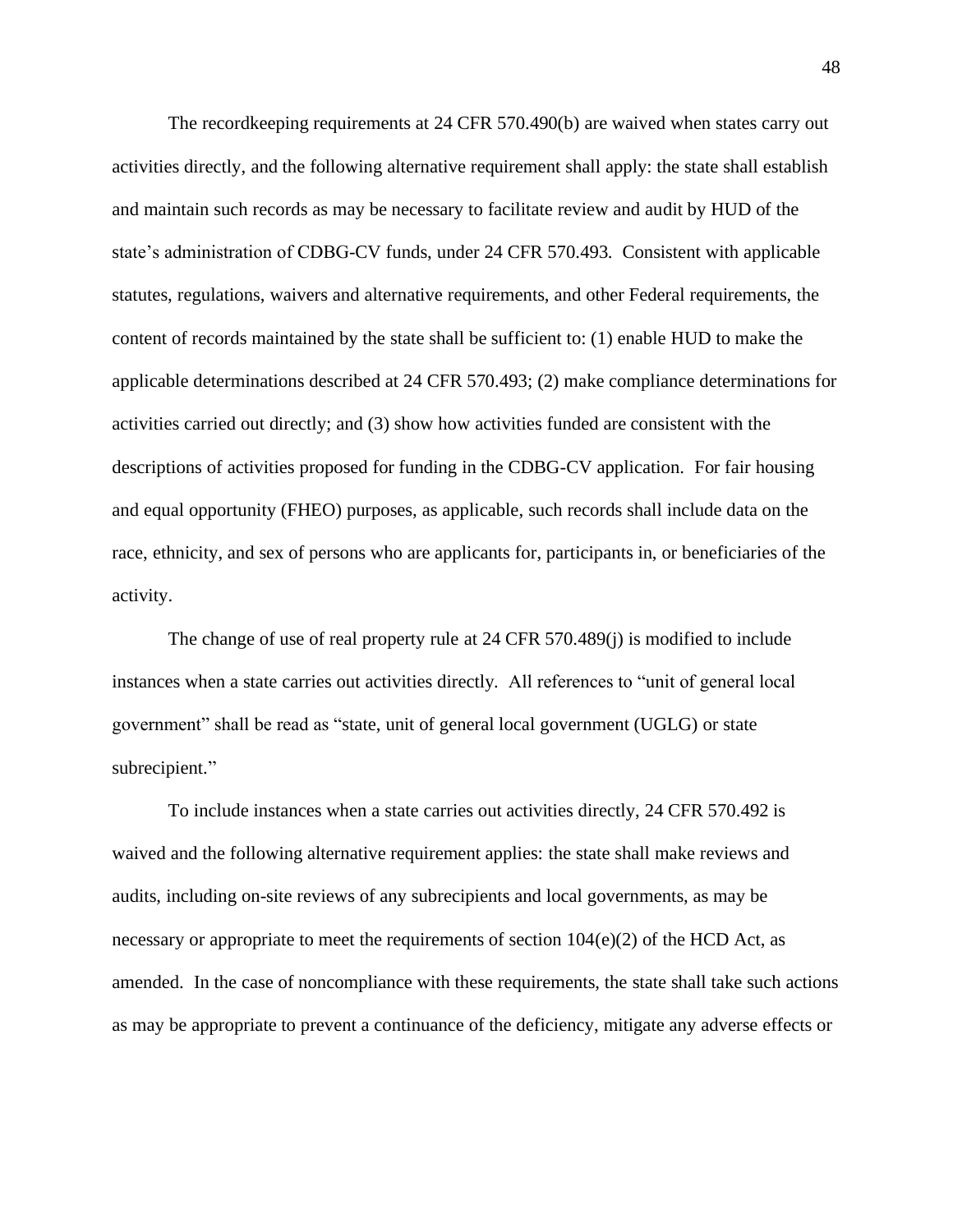The recordkeeping requirements at 24 CFR 570.490(b) are waived when states carry out activities directly, and the following alternative requirement shall apply: the state shall establish and maintain such records as may be necessary to facilitate review and audit by HUD of the state's administration of CDBG-CV funds, under 24 CFR 570.493. Consistent with applicable statutes, regulations, waivers and alternative requirements, and other Federal requirements, the content of records maintained by the state shall be sufficient to: (1) enable HUD to make the applicable determinations described at 24 CFR 570.493; (2) make compliance determinations for activities carried out directly; and (3) show how activities funded are consistent with the descriptions of activities proposed for funding in the CDBG-CV application. For fair housing and equal opportunity (FHEO) purposes, as applicable, such records shall include data on the race, ethnicity, and sex of persons who are applicants for, participants in, or beneficiaries of the activity.

The change of use of real property rule at 24 CFR 570.489(j) is modified to include instances when a state carries out activities directly. All references to "unit of general local government" shall be read as "state, unit of general local government (UGLG) or state subrecipient."

To include instances when a state carries out activities directly, 24 CFR 570.492 is waived and the following alternative requirement applies: the state shall make reviews and audits, including on-site reviews of any subrecipients and local governments, as may be necessary or appropriate to meet the requirements of section  $104(e)(2)$  of the HCD Act, as amended. In the case of noncompliance with these requirements, the state shall take such actions as may be appropriate to prevent a continuance of the deficiency, mitigate any adverse effects or

48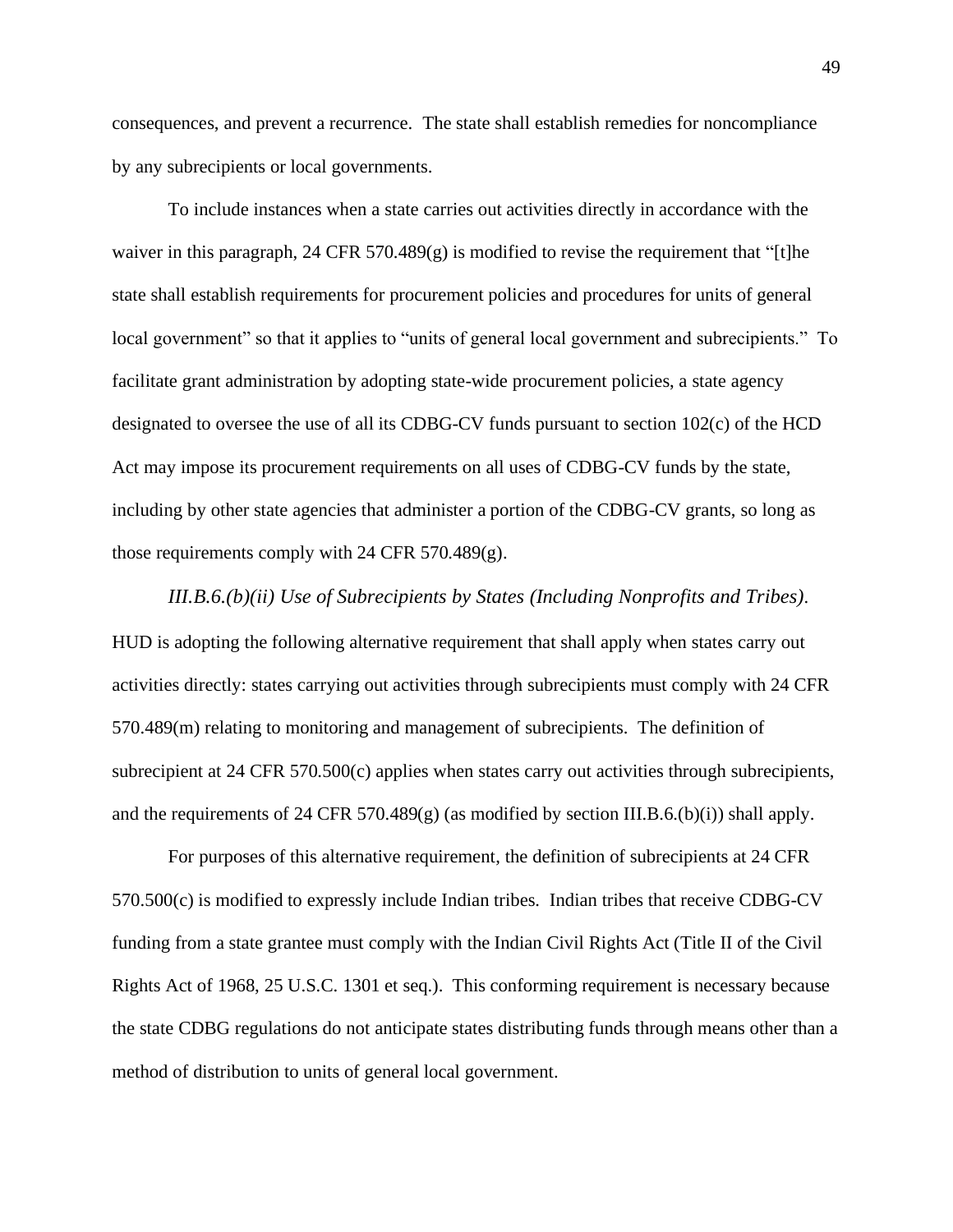consequences, and prevent a recurrence. The state shall establish remedies for noncompliance by any subrecipients or local governments.

To include instances when a state carries out activities directly in accordance with the waiver in this paragraph, 24 CFR 570.489 $(g)$  is modified to revise the requirement that "[t]he state shall establish requirements for procurement policies and procedures for units of general local government" so that it applies to "units of general local government and subrecipients." To facilitate grant administration by adopting state-wide procurement policies, a state agency designated to oversee the use of all its CDBG-CV funds pursuant to section 102(c) of the HCD Act may impose its procurement requirements on all uses of CDBG-CV funds by the state, including by other state agencies that administer a portion of the CDBG-CV grants, so long as those requirements comply with 24 CFR 570.489(g).

*III.B.6.(b)(ii) Use of Subrecipients by States (Including Nonprofits and Tribes)*. HUD is adopting the following alternative requirement that shall apply when states carry out activities directly: states carrying out activities through subrecipients must comply with 24 CFR 570.489(m) relating to monitoring and management of subrecipients. The definition of subrecipient at 24 CFR 570.500(c) applies when states carry out activities through subrecipients, and the requirements of 24 CFR 570.489(g) (as modified by section III.B.6.(b)(i)) shall apply.

For purposes of this alternative requirement, the definition of subrecipients at 24 CFR 570.500(c) is modified to expressly include Indian tribes. Indian tribes that receive CDBG-CV funding from a state grantee must comply with the Indian Civil Rights Act (Title II of the Civil Rights Act of 1968, 25 U.S.C. 1301 et seq.). This conforming requirement is necessary because the state CDBG regulations do not anticipate states distributing funds through means other than a method of distribution to units of general local government.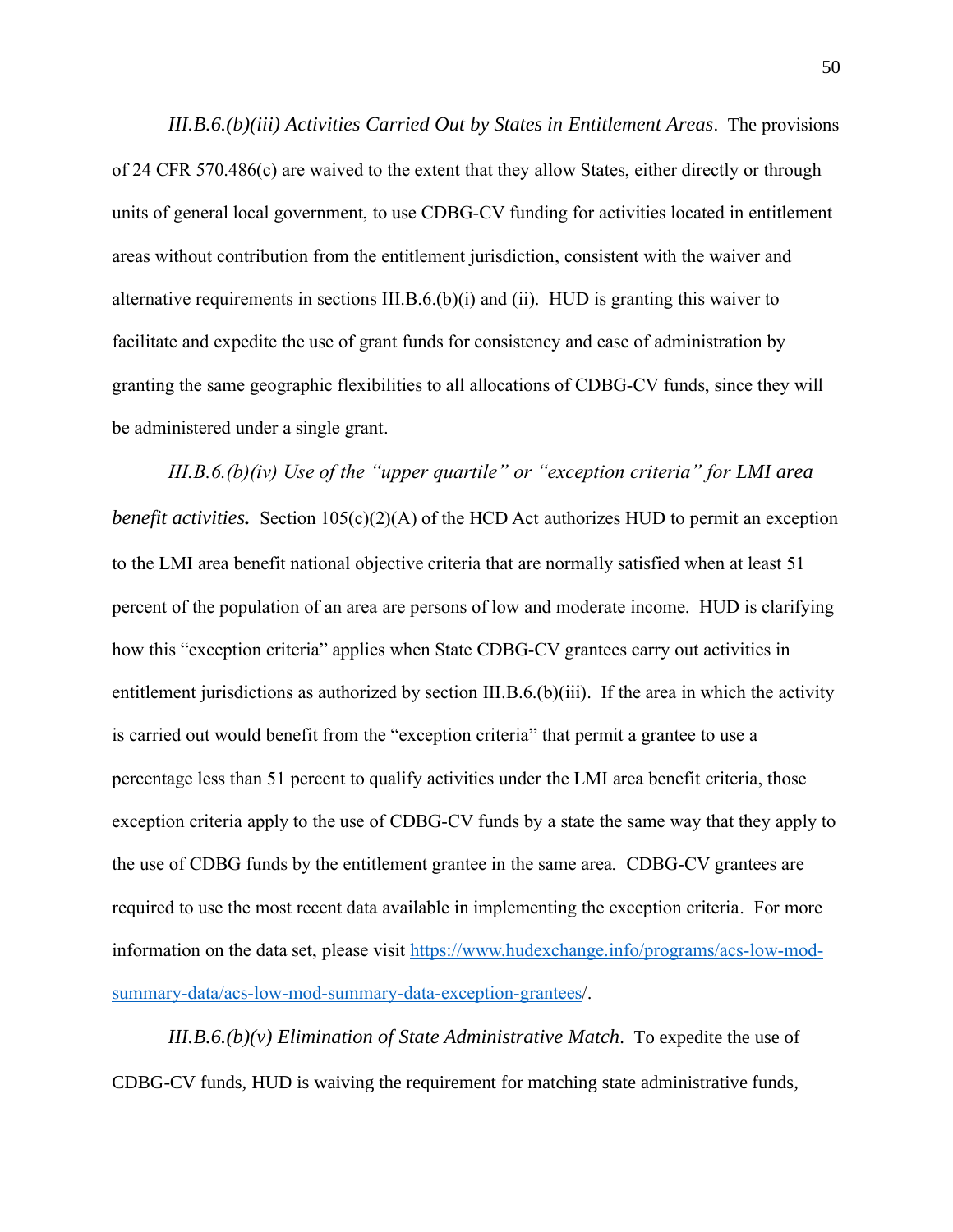*III.B.6.(b)(iii) Activities Carried Out by States in Entitlement Areas*. The provisions of 24 CFR 570.486(c) are waived to the extent that they allow States, either directly or through units of general local government, to use CDBG-CV funding for activities located in entitlement areas without contribution from the entitlement jurisdiction, consistent with the waiver and alternative requirements in sections III.B. $6.(b)(i)$  and (ii). HUD is granting this waiver to facilitate and expedite the use of grant funds for consistency and ease of administration by granting the same geographic flexibilities to all allocations of CDBG-CV funds, since they will be administered under a single grant.

*III.B.6.(b)(iv) Use of the "upper quartile" or "exception criteria" for LMI area benefit activities.* Section 105(c)(2)(A) of the HCD Act authorizes HUD to permit an exception to the LMI area benefit national objective criteria that are normally satisfied when at least 51 percent of the population of an area are persons of low and moderate income. HUD is clarifying how this "exception criteria" applies when State CDBG-CV grantees carry out activities in entitlement jurisdictions as authorized by section III.B.6.(b)(iii). If the area in which the activity is carried out would benefit from the "exception criteria" that permit a grantee to use a percentage less than 51 percent to qualify activities under the LMI area benefit criteria, those exception criteria apply to the use of CDBG-CV funds by a state the same way that they apply to the use of CDBG funds by the entitlement grantee in the same area*.* CDBG-CV grantees are required to use the most recent data available in implementing the exception criteria. For more information on the data set, please visit [https://www.hudexchange.info/programs/acs-low-mod](https://www.hudexchange.info/programs/acs-low-mod-summary-data/acs-low-mod-summary-data-exception-grantees)[summary-data/acs-low-mod-summary-data-exception-grantees/](https://www.hudexchange.info/programs/acs-low-mod-summary-data/acs-low-mod-summary-data-exception-grantees).

*III.B.6.(b)(v) Elimination of State Administrative Match*. To expedite the use of CDBG-CV funds, HUD is waiving the requirement for matching state administrative funds,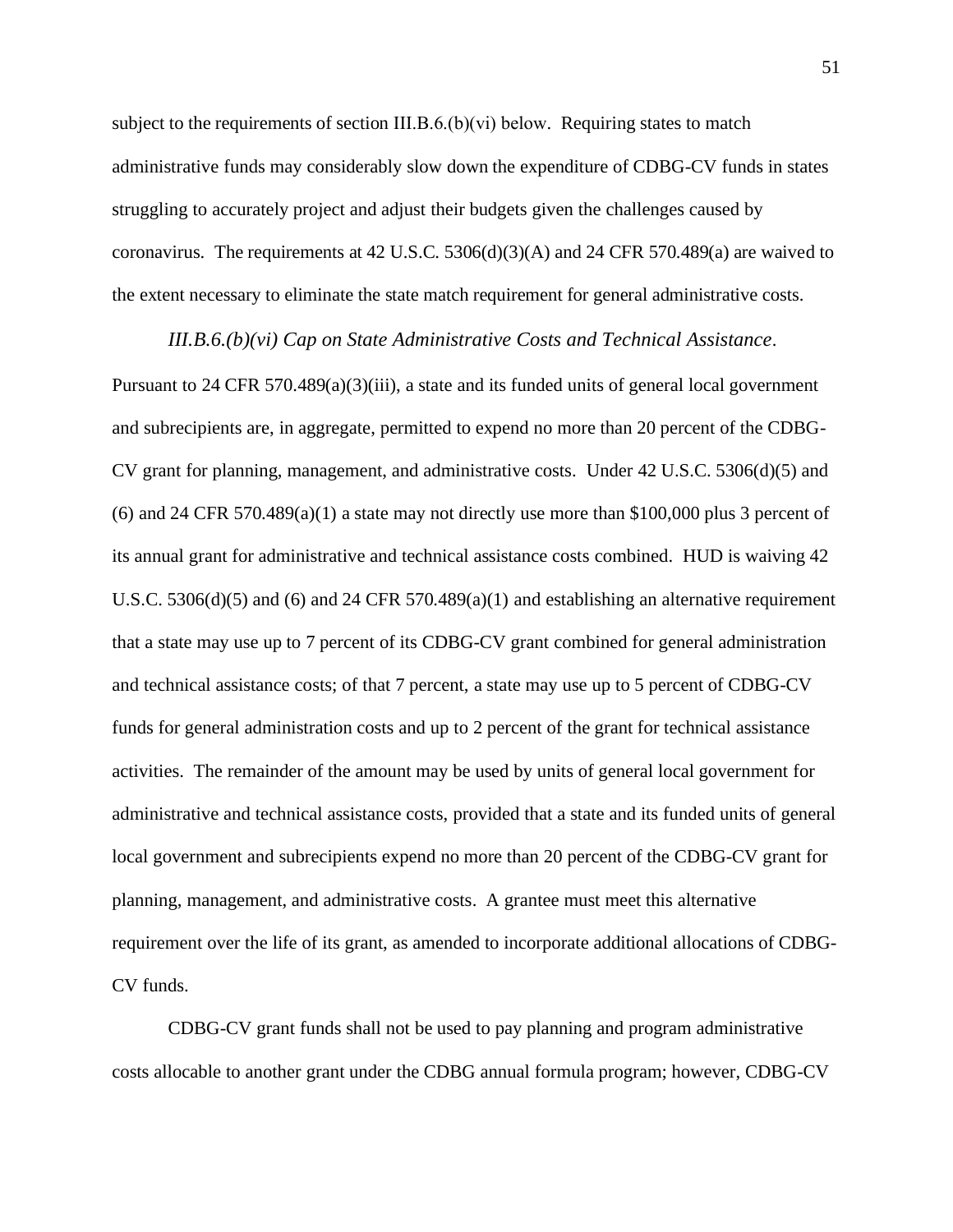subject to the requirements of section III.B.6.(b)(vi) below. Requiring states to match administrative funds may considerably slow down the expenditure of CDBG-CV funds in states struggling to accurately project and adjust their budgets given the challenges caused by coronavirus. The requirements at 42 U.S.C. 5306(d)(3)(A) and 24 CFR 570.489(a) are waived to the extent necessary to eliminate the state match requirement for general administrative costs.

*III.B.6.(b)(vi) Cap on State Administrative Costs and Technical Assistance*.

Pursuant to 24 CFR 570.489(a)(3)(iii), a state and its funded units of general local government and subrecipients are, in aggregate, permitted to expend no more than 20 percent of the CDBG-CV grant for planning, management, and administrative costs. Under 42 U.S.C. 5306(d)(5) and (6) and 24 CFR 570.489(a)(1) a state may not directly use more than \$100,000 plus 3 percent of its annual grant for administrative and technical assistance costs combined. HUD is waiving 42 U.S.C. 5306(d)(5) and (6) and 24 CFR 570.489(a)(1) and establishing an alternative requirement that a state may use up to 7 percent of its CDBG-CV grant combined for general administration and technical assistance costs; of that 7 percent, a state may use up to 5 percent of CDBG-CV funds for general administration costs and up to 2 percent of the grant for technical assistance activities. The remainder of the amount may be used by units of general local government for administrative and technical assistance costs, provided that a state and its funded units of general local government and subrecipients expend no more than 20 percent of the CDBG-CV grant for planning, management, and administrative costs. A grantee must meet this alternative requirement over the life of its grant, as amended to incorporate additional allocations of CDBG-CV funds.

CDBG-CV grant funds shall not be used to pay planning and program administrative costs allocable to another grant under the CDBG annual formula program; however, CDBG-CV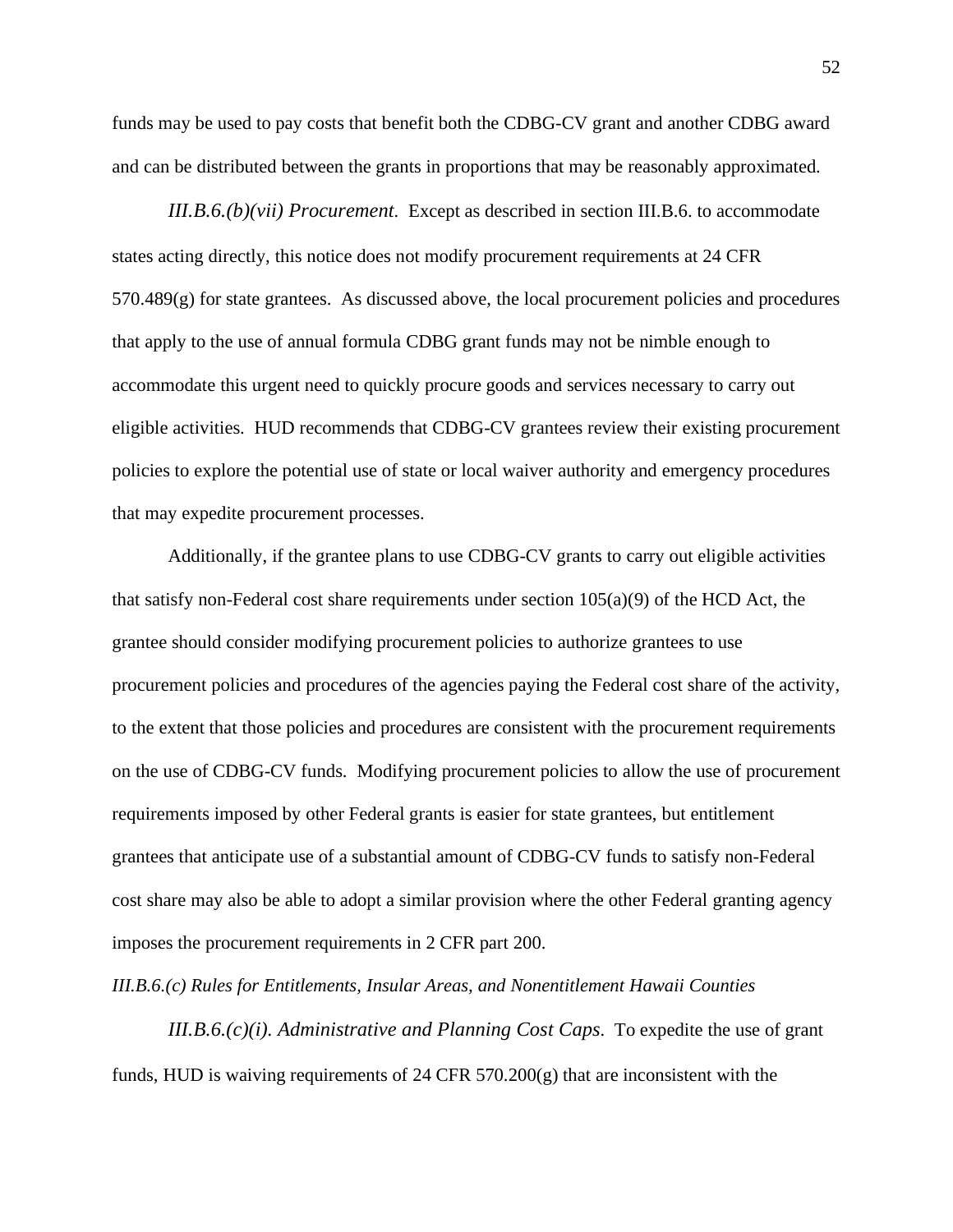funds may be used to pay costs that benefit both the CDBG-CV grant and another CDBG award and can be distributed between the grants in proportions that may be reasonably approximated.

*III.B.6.(b)(vii) Procurement*. Except as described in section III.B.6. to accommodate states acting directly, this notice does not modify procurement requirements at 24 CFR  $570.489(g)$  for state grantees. As discussed above, the local procurement policies and procedures that apply to the use of annual formula CDBG grant funds may not be nimble enough to accommodate this urgent need to quickly procure goods and services necessary to carry out eligible activities. HUD recommends that CDBG-CV grantees review their existing procurement policies to explore the potential use of state or local waiver authority and emergency procedures that may expedite procurement processes.

Additionally, if the grantee plans to use CDBG-CV grants to carry out eligible activities that satisfy non-Federal cost share requirements under section  $105(a)(9)$  of the HCD Act, the grantee should consider modifying procurement policies to authorize grantees to use procurement policies and procedures of the agencies paying the Federal cost share of the activity, to the extent that those policies and procedures are consistent with the procurement requirements on the use of CDBG-CV funds. Modifying procurement policies to allow the use of procurement requirements imposed by other Federal grants is easier for state grantees, but entitlement grantees that anticipate use of a substantial amount of CDBG-CV funds to satisfy non-Federal cost share may also be able to adopt a similar provision where the other Federal granting agency imposes the procurement requirements in 2 CFR part 200.

*III.B.6.(c) Rules for Entitlements, Insular Areas, and Nonentitlement Hawaii Counties*

*III.B.6.(c)(i). Administrative and Planning Cost Caps*. To expedite the use of grant funds, HUD is waiving requirements of 24 CFR 570.200(g) that are inconsistent with the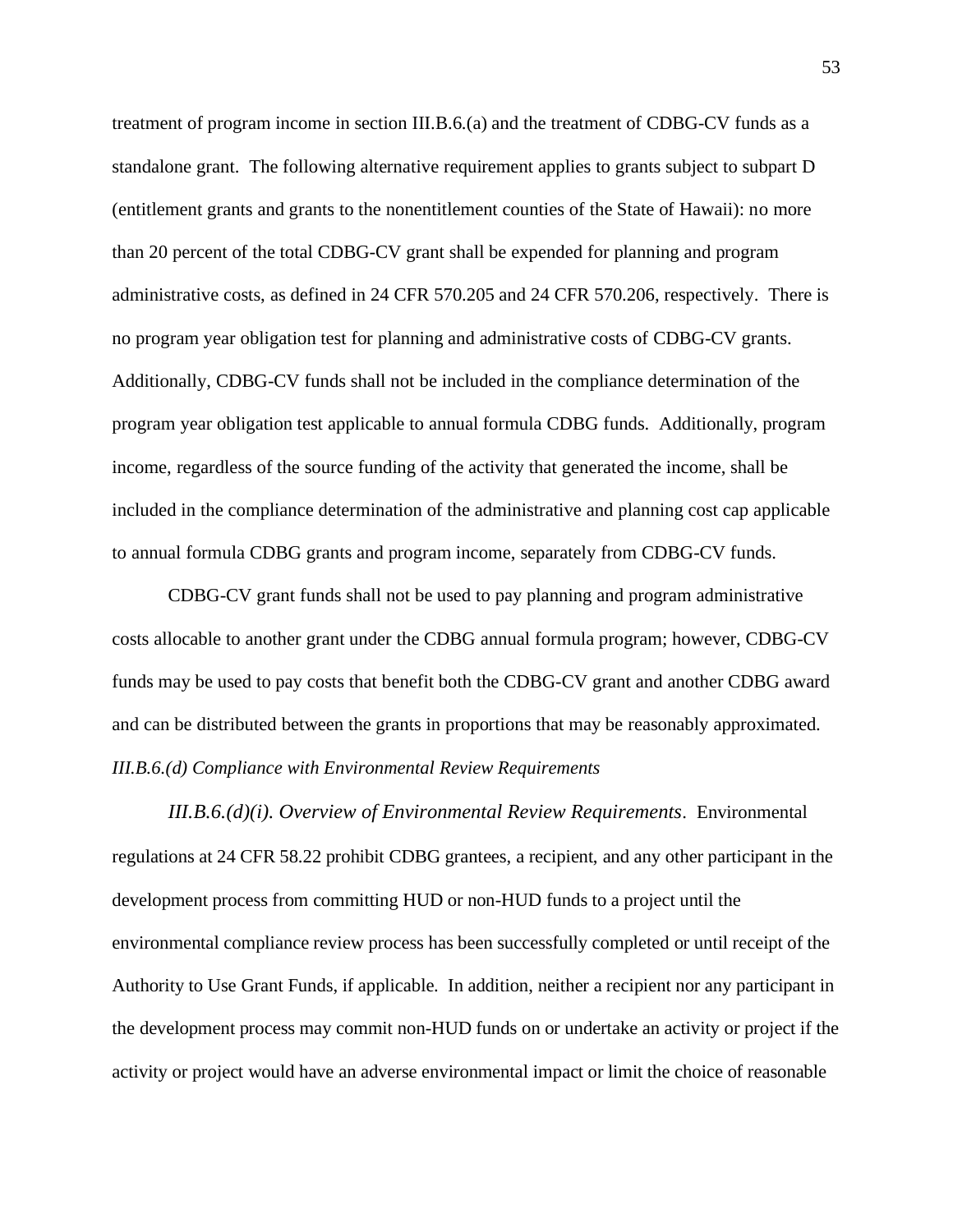treatment of program income in section III.B.6.(a) and the treatment of CDBG-CV funds as a standalone grant. The following alternative requirement applies to grants subject to subpart D (entitlement grants and grants to the nonentitlement counties of the State of Hawaii): no more than 20 percent of the total CDBG-CV grant shall be expended for planning and program administrative costs, as defined in 24 CFR 570.205 and 24 CFR 570.206, respectively. There is no program year obligation test for planning and administrative costs of CDBG-CV grants. Additionally, CDBG-CV funds shall not be included in the compliance determination of the program year obligation test applicable to annual formula CDBG funds. Additionally, program income, regardless of the source funding of the activity that generated the income, shall be included in the compliance determination of the administrative and planning cost cap applicable to annual formula CDBG grants and program income, separately from CDBG-CV funds.

CDBG-CV grant funds shall not be used to pay planning and program administrative costs allocable to another grant under the CDBG annual formula program; however, CDBG-CV funds may be used to pay costs that benefit both the CDBG-CV grant and another CDBG award and can be distributed between the grants in proportions that may be reasonably approximated. *III.B.6.(d) Compliance with Environmental Review Requirements*

*III.B.6.(d)(i). Overview of Environmental Review Requirements*. Environmental regulations at 24 CFR 58.22 prohibit CDBG grantees, a recipient, and any other participant in the development process from committing HUD or non-HUD funds to a project until the environmental compliance review process has been successfully completed or until receipt of the Authority to Use Grant Funds, if applicable. In addition, neither a recipient nor any participant in the development process may commit non-HUD funds on or undertake an activity or project if the activity or project would have an adverse environmental impact or limit the choice of reasonable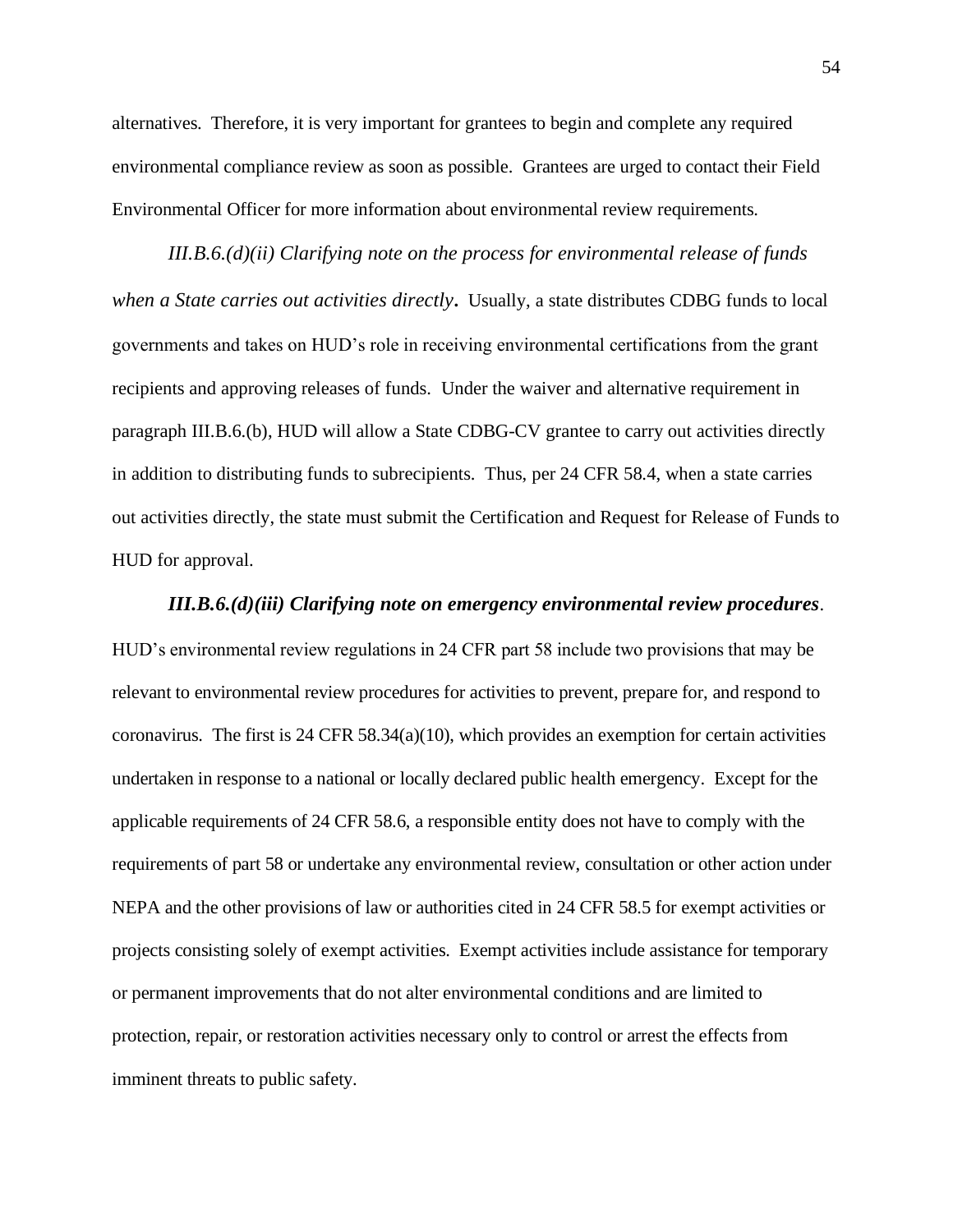alternatives. Therefore, it is very important for grantees to begin and complete any required environmental compliance review as soon as possible. Grantees are urged to contact their Field Environmental Officer for more information about environmental review requirements.

*III.B.6.(d)(ii) Clarifying note on the process for environmental release of funds when a State carries out activities directly***.** Usually, a state distributes CDBG funds to local governments and takes on HUD's role in receiving environmental certifications from the grant recipients and approving releases of funds. Under the waiver and alternative requirement in paragraph III.B.6.(b), HUD will allow a State CDBG-CV grantee to carry out activities directly in addition to distributing funds to subrecipients. Thus, per 24 CFR 58.4, when a state carries out activities directly, the state must submit the Certification and Request for Release of Funds to HUD for approval.

*III.B.6.(d)(iii) Clarifying note on emergency environmental review procedures*. HUD's environmental review regulations in 24 CFR part 58 include two provisions that may be relevant to environmental review procedures for activities to prevent, prepare for, and respond to coronavirus. The first is 24 CFR 58.34(a)(10), which provides an exemption for certain activities undertaken in response to a national or locally declared public health emergency. Except for the applicable requirements of 24 CFR 58.6, a responsible entity does not have to comply with the requirements of part 58 or undertake any environmental review, consultation or other action under NEPA and the other provisions of law or authorities cited in 24 CFR 58.5 for exempt activities or projects consisting solely of exempt activities. Exempt activities include assistance for temporary or permanent improvements that do not alter environmental conditions and are limited to protection, repair, or restoration activities necessary only to control or arrest the effects from imminent threats to public safety.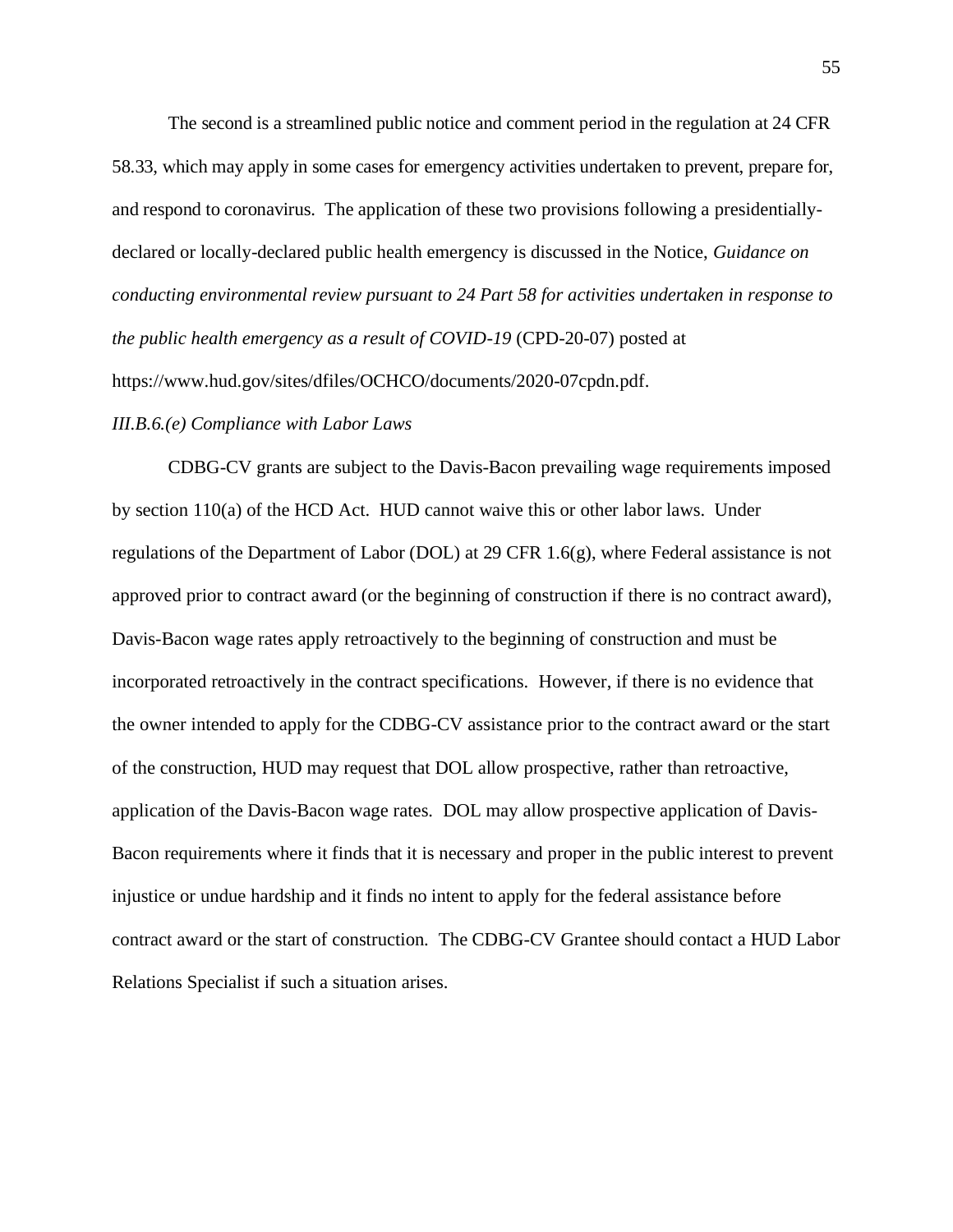The second is a streamlined public notice and comment period in the regulation at 24 CFR 58.33, which may apply in some cases for emergency activities undertaken to prevent, prepare for, and respond to coronavirus. The application of these two provisions following a presidentiallydeclared or locally-declared public health emergency is discussed in the Notice, *Guidance on conducting environmental review pursuant to 24 Part 58 for activities undertaken in response to the public health emergency as a result of COVID-19* (CPD-20-07) posted at https://www.hud.gov/sites/dfiles/OCHCO/documents/2020-07cpdn.pdf.

### *III.B.6.(e) Compliance with Labor Laws*

CDBG-CV grants are subject to the Davis-Bacon prevailing wage requirements imposed by section 110(a) of the HCD Act. HUD cannot waive this or other labor laws. Under regulations of the Department of Labor (DOL) at 29 CFR 1.6(g), where Federal assistance is not approved prior to contract award (or the beginning of construction if there is no contract award), Davis-Bacon wage rates apply retroactively to the beginning of construction and must be incorporated retroactively in the contract specifications. However, if there is no evidence that the owner intended to apply for the CDBG-CV assistance prior to the contract award or the start of the construction, HUD may request that DOL allow prospective, rather than retroactive, application of the Davis-Bacon wage rates. DOL may allow prospective application of Davis-Bacon requirements where it finds that it is necessary and proper in the public interest to prevent injustice or undue hardship and it finds no intent to apply for the federal assistance before contract award or the start of construction. The CDBG-CV Grantee should contact a HUD Labor Relations Specialist if such a situation arises.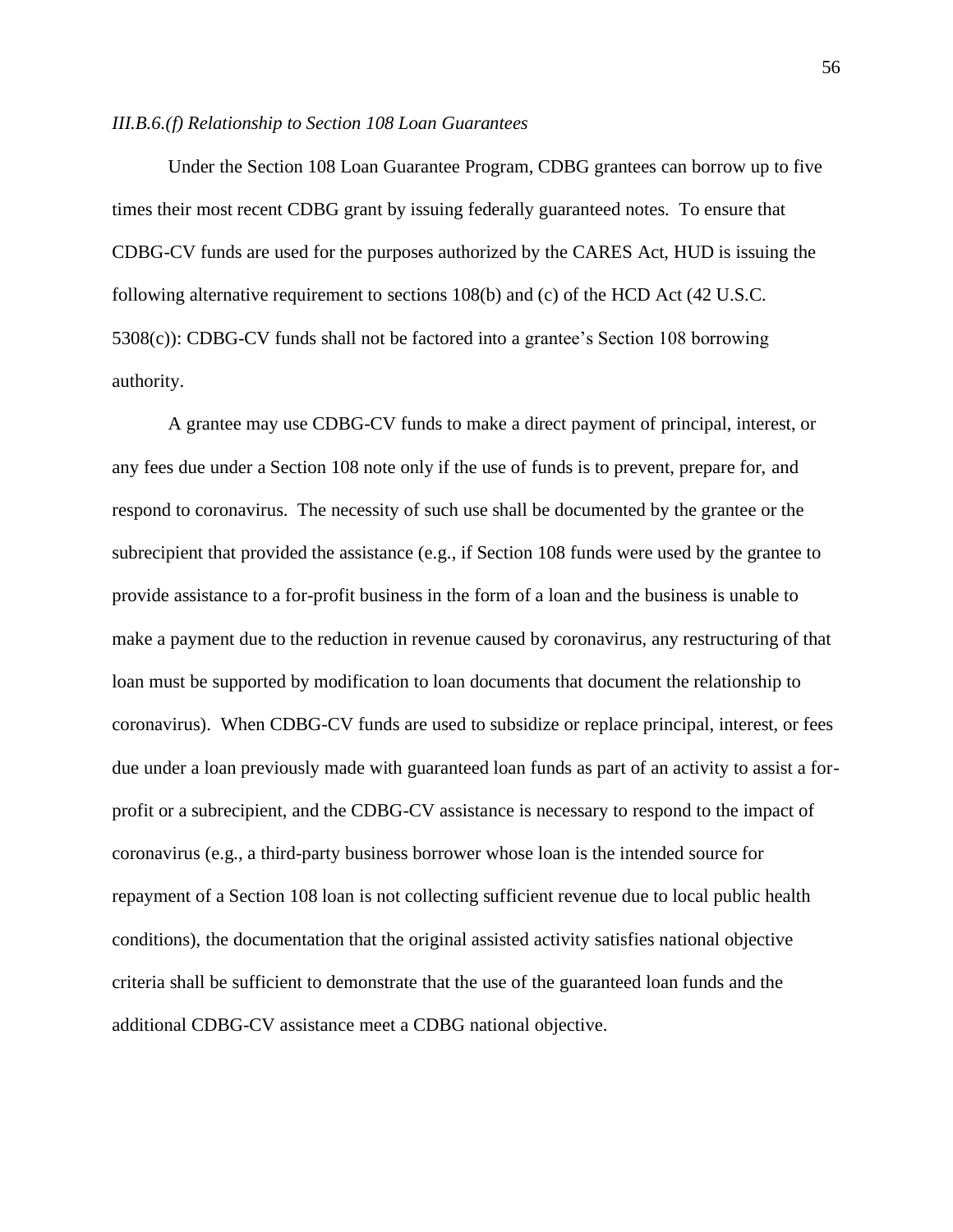#### *III.B.6.(f) Relationship to Section 108 Loan Guarantees*

Under the Section 108 Loan Guarantee Program, CDBG grantees can borrow up to five times their most recent CDBG grant by issuing federally guaranteed notes. To ensure that CDBG-CV funds are used for the purposes authorized by the CARES Act, HUD is issuing the following alternative requirement to sections 108(b) and (c) of the HCD Act (42 U.S.C. 5308(c)): CDBG-CV funds shall not be factored into a grantee's Section 108 borrowing authority.

A grantee may use CDBG-CV funds to make a direct payment of principal, interest, or any fees due under a Section 108 note only if the use of funds is to prevent, prepare for, and respond to coronavirus. The necessity of such use shall be documented by the grantee or the subrecipient that provided the assistance (e.g., if Section 108 funds were used by the grantee to provide assistance to a for-profit business in the form of a loan and the business is unable to make a payment due to the reduction in revenue caused by coronavirus, any restructuring of that loan must be supported by modification to loan documents that document the relationship to coronavirus). When CDBG-CV funds are used to subsidize or replace principal, interest, or fees due under a loan previously made with guaranteed loan funds as part of an activity to assist a forprofit or a subrecipient, and the CDBG-CV assistance is necessary to respond to the impact of coronavirus (e.g., a third-party business borrower whose loan is the intended source for repayment of a Section 108 loan is not collecting sufficient revenue due to local public health conditions), the documentation that the original assisted activity satisfies national objective criteria shall be sufficient to demonstrate that the use of the guaranteed loan funds and the additional CDBG-CV assistance meet a CDBG national objective.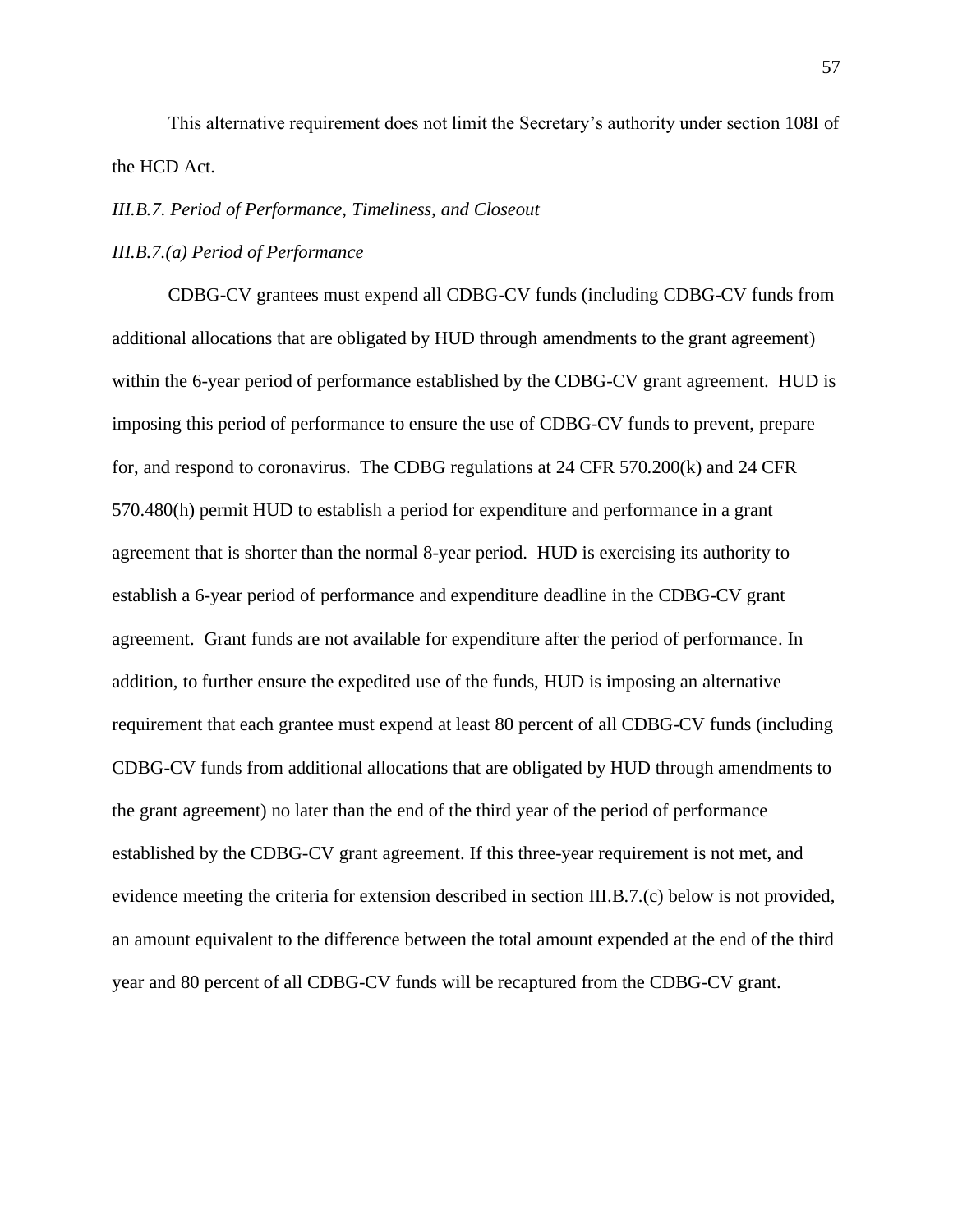This alternative requirement does not limit the Secretary's authority under section 108I of the HCD Act.

#### <span id="page-56-0"></span>*III.B.7. Period of Performance, Timeliness, and Closeout*

## *III.B.7.(a) Period of Performance*

CDBG-CV grantees must expend all CDBG-CV funds (including CDBG-CV funds from additional allocations that are obligated by HUD through amendments to the grant agreement) within the 6-year period of performance established by the CDBG-CV grant agreement. HUD is imposing this period of performance to ensure the use of CDBG-CV funds to prevent, prepare for, and respond to coronavirus. The CDBG regulations at 24 CFR 570.200(k) and 24 CFR 570.480(h) permit HUD to establish a period for expenditure and performance in a grant agreement that is shorter than the normal 8-year period. HUD is exercising its authority to establish a 6-year period of performance and expenditure deadline in the CDBG-CV grant agreement. Grant funds are not available for expenditure after the period of performance. In addition, to further ensure the expedited use of the funds, HUD is imposing an alternative requirement that each grantee must expend at least 80 percent of all CDBG-CV funds (including CDBG-CV funds from additional allocations that are obligated by HUD through amendments to the grant agreement) no later than the end of the third year of the period of performance established by the CDBG-CV grant agreement. If this three-year requirement is not met, and evidence meeting the criteria for extension described in section III.B.7.(c) below is not provided, an amount equivalent to the difference between the total amount expended at the end of the third year and 80 percent of all CDBG-CV funds will be recaptured from the CDBG-CV grant.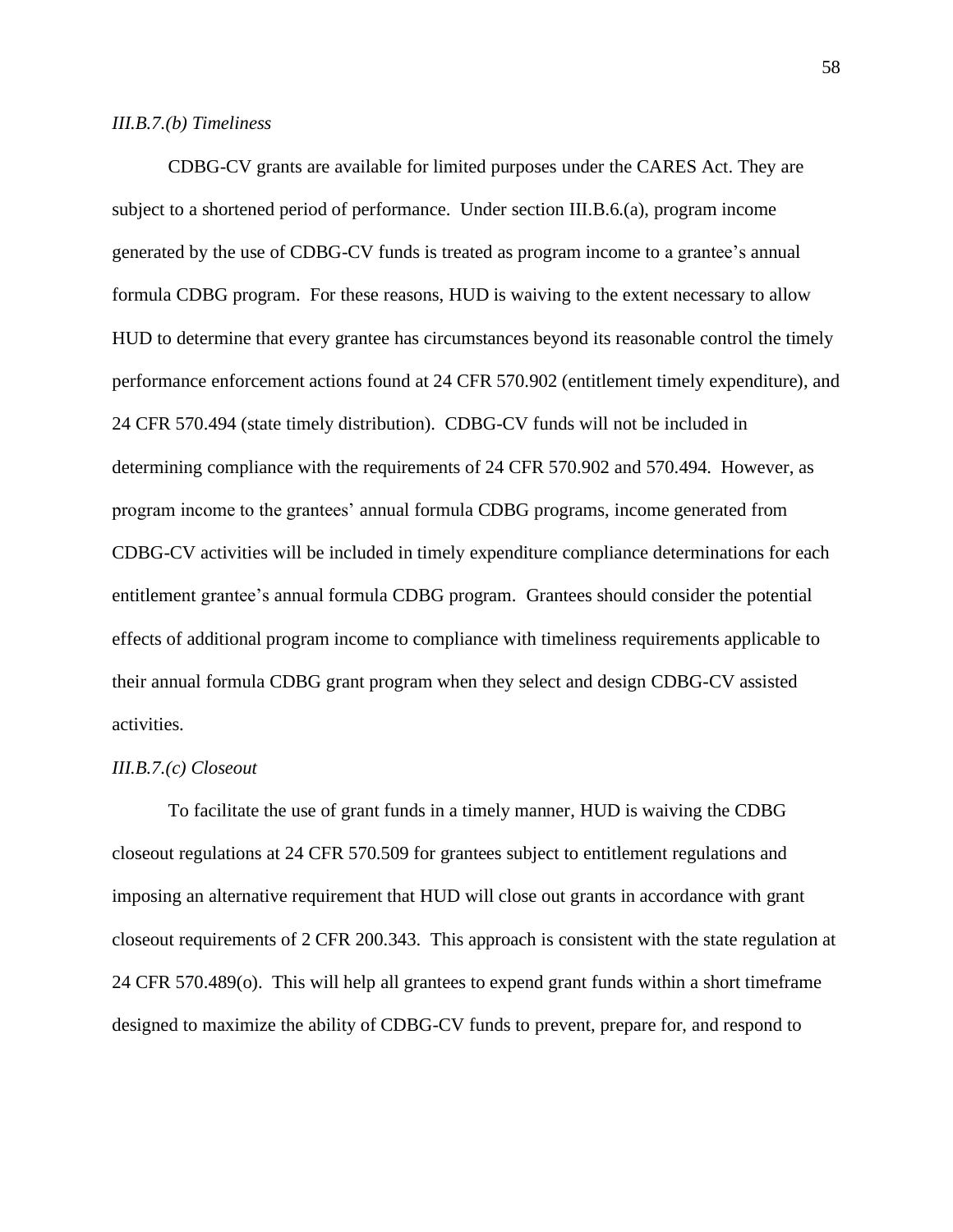## *III.B.7.(b) Timeliness*

CDBG-CV grants are available for limited purposes under the CARES Act. They are subject to a shortened period of performance. Under section III.B.6.(a), program income generated by the use of CDBG-CV funds is treated as program income to a grantee's annual formula CDBG program. For these reasons, HUD is waiving to the extent necessary to allow HUD to determine that every grantee has circumstances beyond its reasonable control the timely performance enforcement actions found at 24 CFR 570.902 (entitlement timely expenditure), and 24 CFR 570.494 (state timely distribution). CDBG-CV funds will not be included in determining compliance with the requirements of 24 CFR 570.902 and 570.494. However, as program income to the grantees' annual formula CDBG programs, income generated from CDBG-CV activities will be included in timely expenditure compliance determinations for each entitlement grantee's annual formula CDBG program. Grantees should consider the potential effects of additional program income to compliance with timeliness requirements applicable to their annual formula CDBG grant program when they select and design CDBG-CV assisted activities.

#### *III.B.7.(c) Closeout*

To facilitate the use of grant funds in a timely manner, HUD is waiving the CDBG closeout regulations at 24 CFR 570.509 for grantees subject to entitlement regulations and imposing an alternative requirement that HUD will close out grants in accordance with grant closeout requirements of 2 CFR 200.343. This approach is consistent with the state regulation at 24 CFR 570.489(o). This will help all grantees to expend grant funds within a short timeframe designed to maximize the ability of CDBG-CV funds to prevent, prepare for, and respond to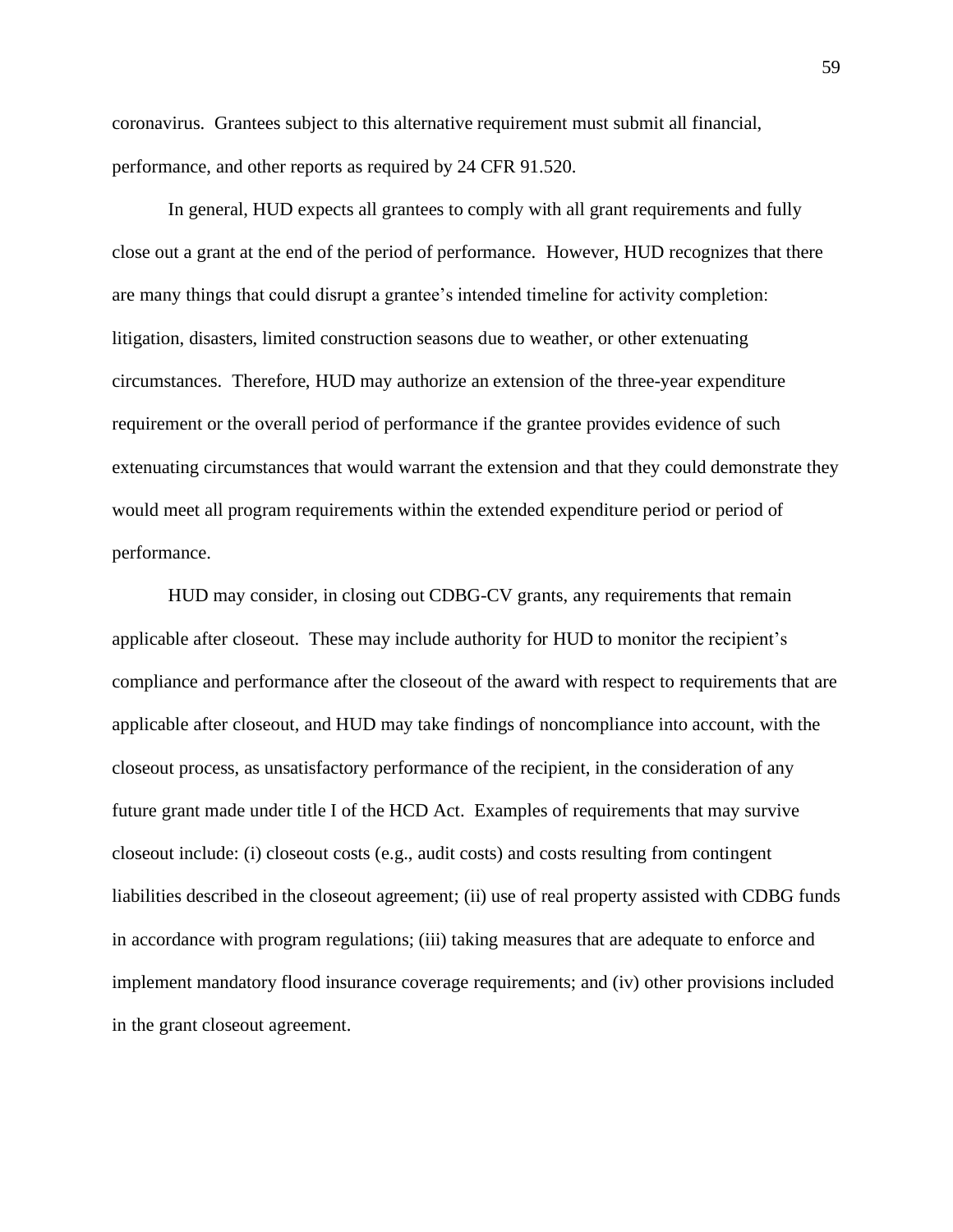coronavirus. Grantees subject to this alternative requirement must submit all financial, performance, and other reports as required by 24 CFR 91.520.

In general, HUD expects all grantees to comply with all grant requirements and fully close out a grant at the end of the period of performance. However, HUD recognizes that there are many things that could disrupt a grantee's intended timeline for activity completion: litigation, disasters, limited construction seasons due to weather, or other extenuating circumstances. Therefore, HUD may authorize an extension of the three-year expenditure requirement or the overall period of performance if the grantee provides evidence of such extenuating circumstances that would warrant the extension and that they could demonstrate they would meet all program requirements within the extended expenditure period or period of performance.

HUD may consider, in closing out CDBG-CV grants, any requirements that remain applicable after closeout. These may include authority for HUD to monitor the recipient's compliance and performance after the closeout of the award with respect to requirements that are applicable after closeout, and HUD may take findings of noncompliance into account, with the closeout process, as unsatisfactory performance of the recipient, in the consideration of any future grant made under title I of the HCD Act. Examples of requirements that may survive closeout include: (i) closeout costs (e.g., audit costs) and costs resulting from contingent liabilities described in the closeout agreement; (ii) use of real property assisted with CDBG funds in accordance with program regulations; (iii) taking measures that are adequate to enforce and implement mandatory flood insurance coverage requirements; and (iv) other provisions included in the grant closeout agreement.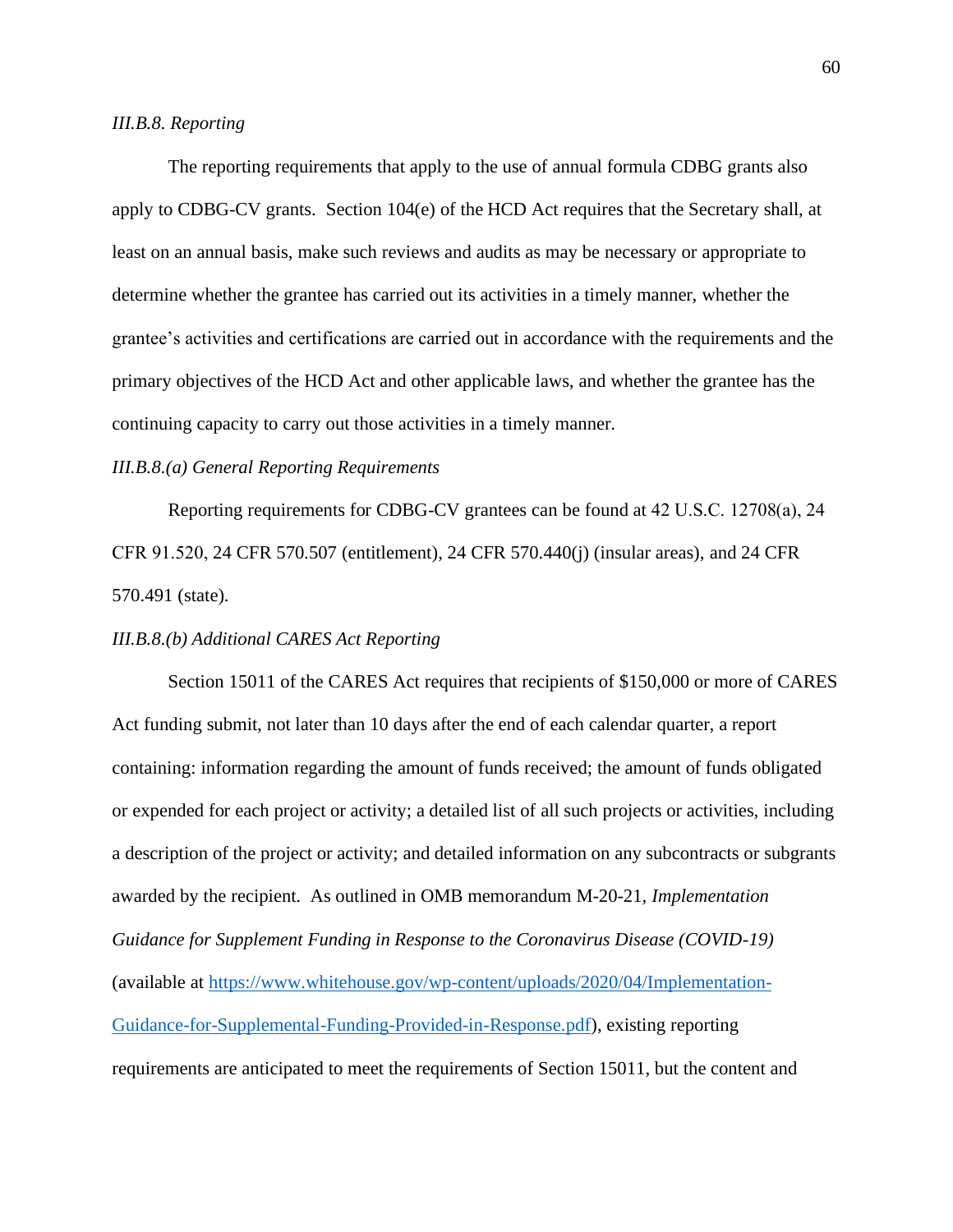### <span id="page-59-0"></span>*III.B.8. Reporting*

The reporting requirements that apply to the use of annual formula CDBG grants also apply to CDBG-CV grants. Section 104(e) of the HCD Act requires that the Secretary shall, at least on an annual basis, make such reviews and audits as may be necessary or appropriate to determine whether the grantee has carried out its activities in a timely manner, whether the grantee's activities and certifications are carried out in accordance with the requirements and the primary objectives of the HCD Act and other applicable laws, and whether the grantee has the continuing capacity to carry out those activities in a timely manner.

## *III.B.8.(a) General Reporting Requirements*

Reporting requirements for CDBG-CV grantees can be found at 42 U.S.C. 12708(a), 24 CFR 91.520, 24 CFR 570.507 (entitlement), 24 CFR 570.440(j) (insular areas), and 24 CFR 570.491 (state).

## *III.B.8.(b) Additional CARES Act Reporting*

Section 15011 of the CARES Act requires that recipients of \$150,000 or more of CARES Act funding submit, not later than 10 days after the end of each calendar quarter, a report containing: information regarding the amount of funds received; the amount of funds obligated or expended for each project or activity; a detailed list of all such projects or activities, including a description of the project or activity; and detailed information on any subcontracts or subgrants awarded by the recipient. As outlined in OMB memorandum M-20-21, *Implementation Guidance for Supplement Funding in Response to the Coronavirus Disease (COVID-19)*  (available at [https://www.whitehouse.gov/wp-content/uploads/2020/04/Implementation-](https://www.whitehouse.gov/wp-content/uploads/2020/04/Implementation-Guidance-for-Supplemental-Funding-Provided-in-Response.pdf)[Guidance-for-Supplemental-Funding-Provided-in-Response.pdf\)](https://www.whitehouse.gov/wp-content/uploads/2020/04/Implementation-Guidance-for-Supplemental-Funding-Provided-in-Response.pdf), existing reporting requirements are anticipated to meet the requirements of Section 15011, but the content and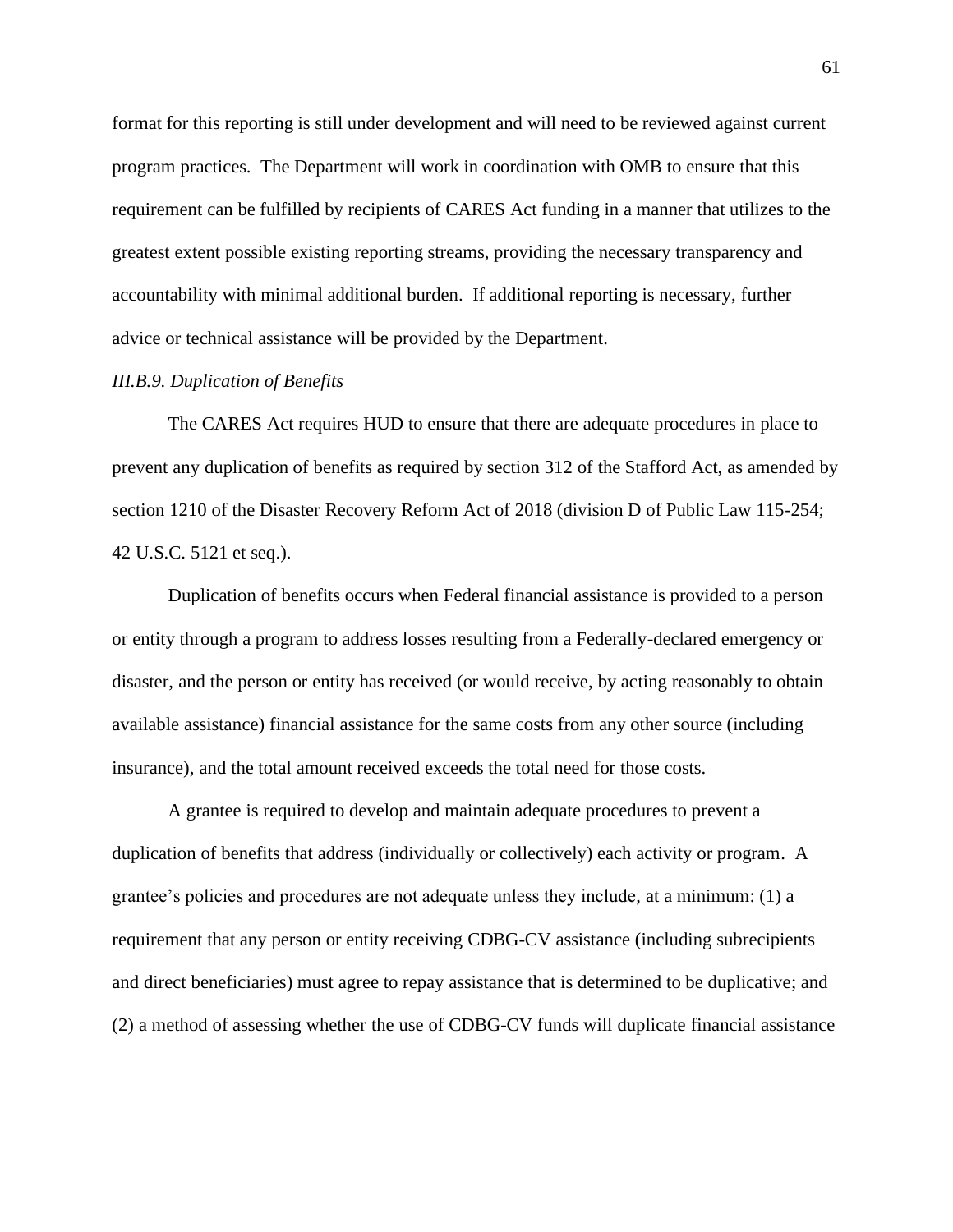format for this reporting is still under development and will need to be reviewed against current program practices. The Department will work in coordination with OMB to ensure that this requirement can be fulfilled by recipients of CARES Act funding in a manner that utilizes to the greatest extent possible existing reporting streams, providing the necessary transparency and accountability with minimal additional burden. If additional reporting is necessary, further advice or technical assistance will be provided by the Department.

## <span id="page-60-0"></span>*III.B.9. Duplication of Benefits*

The CARES Act requires HUD to ensure that there are adequate procedures in place to prevent any duplication of benefits as required by section 312 of the Stafford Act, as amended by section 1210 of the Disaster Recovery Reform Act of 2018 (division D of Public Law 115-254; 42 U.S.C. 5121 et seq.).

Duplication of benefits occurs when Federal financial assistance is provided to a person or entity through a program to address losses resulting from a Federally-declared emergency or disaster, and the person or entity has received (or would receive, by acting reasonably to obtain available assistance) financial assistance for the same costs from any other source (including insurance), and the total amount received exceeds the total need for those costs.

A grantee is required to develop and maintain adequate procedures to prevent a duplication of benefits that address (individually or collectively) each activity or program. A grantee's policies and procedures are not adequate unless they include, at a minimum: (1) a requirement that any person or entity receiving CDBG-CV assistance (including subrecipients and direct beneficiaries) must agree to repay assistance that is determined to be duplicative; and (2) a method of assessing whether the use of CDBG-CV funds will duplicate financial assistance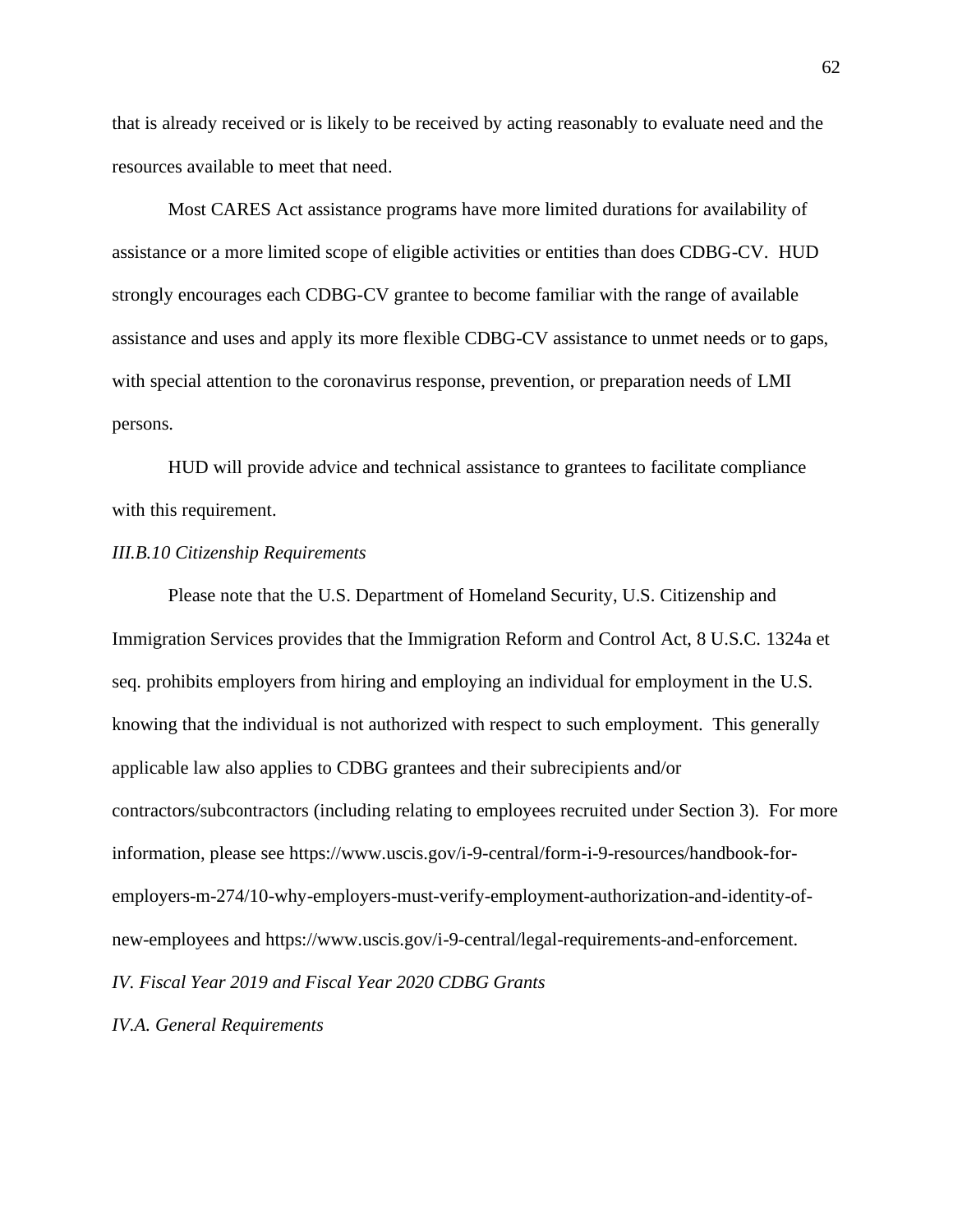that is already received or is likely to be received by acting reasonably to evaluate need and the resources available to meet that need.

Most CARES Act assistance programs have more limited durations for availability of assistance or a more limited scope of eligible activities or entities than does CDBG-CV. HUD strongly encourages each CDBG-CV grantee to become familiar with the range of available assistance and uses and apply its more flexible CDBG-CV assistance to unmet needs or to gaps, with special attention to the coronavirus response, prevention, or preparation needs of LMI persons.

HUD will provide advice and technical assistance to grantees to facilitate compliance with this requirement.

#### <span id="page-61-0"></span>*III.B.10 Citizenship Requirements*

Please note that the U.S. Department of Homeland Security, U.S. Citizenship and Immigration Services provides that the Immigration Reform and Control Act, 8 U.S.C. 1324a et seq. prohibits employers from hiring and employing an individual for employment in the U.S. knowing that the individual is not authorized with respect to such employment. This generally applicable law also applies to CDBG grantees and their subrecipients and/or contractors/subcontractors (including relating to employees recruited under Section 3). For more information, please see https://www.uscis.gov/i-9-central/form-i-9-resources/handbook-foremployers-m-274/10-why-employers-must-verify-employment-authorization-and-identity-ofnew-employees and https://www.uscis.gov/i-9-central/legal-requirements-and-enforcement. *IV. Fiscal Year 2019 and Fiscal Year 2020 CDBG Grants*

<span id="page-61-2"></span><span id="page-61-1"></span>*IV.A. General Requirements*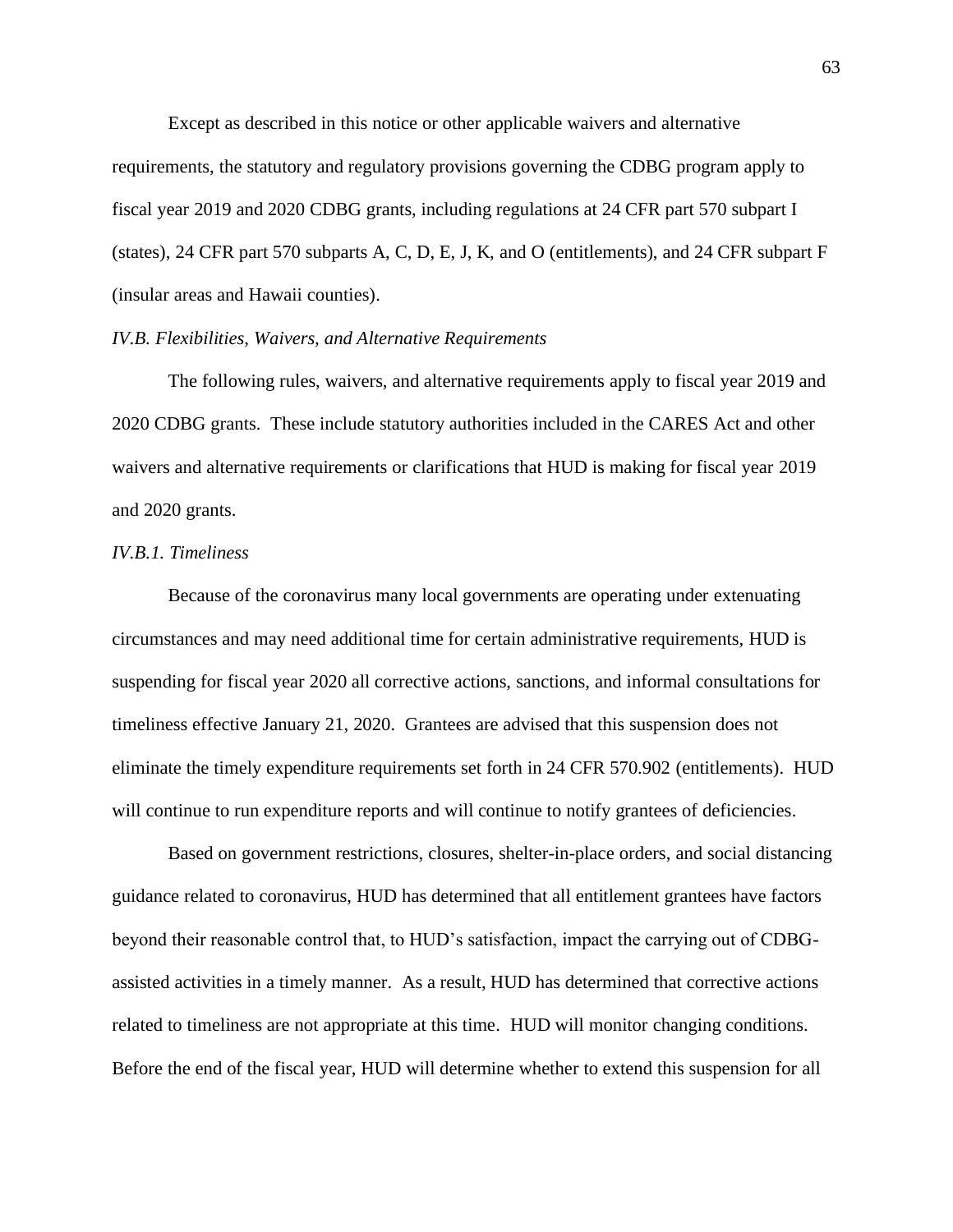Except as described in this notice or other applicable waivers and alternative requirements, the statutory and regulatory provisions governing the CDBG program apply to fiscal year 2019 and 2020 CDBG grants, including regulations at 24 CFR part 570 subpart I (states), 24 CFR part 570 subparts A, C, D, E, J, K, and O (entitlements), and 24 CFR subpart F (insular areas and Hawaii counties).

## <span id="page-62-0"></span>*IV.B. Flexibilities, Waivers, and Alternative Requirements*

The following rules, waivers, and alternative requirements apply to fiscal year 2019 and 2020 CDBG grants. These include statutory authorities included in the CARES Act and other waivers and alternative requirements or clarifications that HUD is making for fiscal year 2019 and 2020 grants.

#### <span id="page-62-1"></span>*IV.B.1. Timeliness*

Because of the coronavirus many local governments are operating under extenuating circumstances and may need additional time for certain administrative requirements, HUD is suspending for fiscal year 2020 all corrective actions, sanctions, and informal consultations for timeliness effective January 21, 2020. Grantees are advised that this suspension does not eliminate the timely expenditure requirements set forth in 24 CFR 570.902 (entitlements). HUD will continue to run expenditure reports and will continue to notify grantees of deficiencies.

Based on government restrictions, closures, shelter-in-place orders, and social distancing guidance related to coronavirus, HUD has determined that all entitlement grantees have factors beyond their reasonable control that, to HUD's satisfaction, impact the carrying out of CDBGassisted activities in a timely manner. As a result, HUD has determined that corrective actions related to timeliness are not appropriate at this time. HUD will monitor changing conditions. Before the end of the fiscal year, HUD will determine whether to extend this suspension for all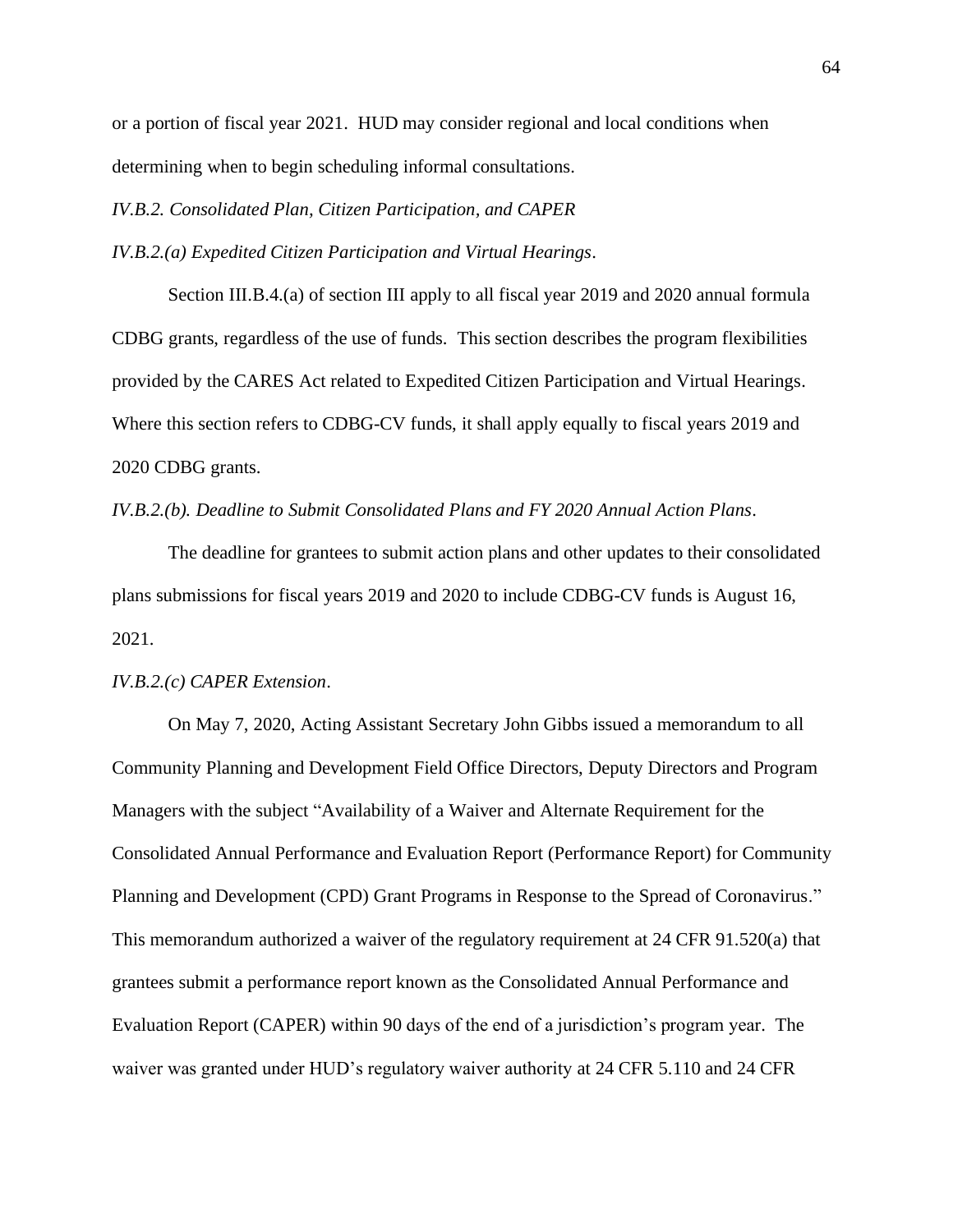or a portion of fiscal year 2021. HUD may consider regional and local conditions when determining when to begin scheduling informal consultations.

<span id="page-63-0"></span>*IV.B.2. Consolidated Plan, Citizen Participation, and CAPER*

*IV.B.2.(a) Expedited Citizen Participation and Virtual Hearings*.

Section III.B.4.(a) of section III apply to all fiscal year 2019 and 2020 annual formula CDBG grants, regardless of the use of funds. This section describes the program flexibilities provided by the CARES Act related to Expedited Citizen Participation and Virtual Hearings. Where this section refers to CDBG-CV funds, it shall apply equally to fiscal years 2019 and 2020 CDBG grants.

*IV.B.2.(b). Deadline to Submit Consolidated Plans and FY 2020 Annual Action Plans*.

The deadline for grantees to submit action plans and other updates to their consolidated plans submissions for fiscal years 2019 and 2020 to include CDBG-CV funds is August 16, 2021.

### *IV.B.2.(c) CAPER Extension*.

On May 7, 2020, Acting Assistant Secretary John Gibbs issued a memorandum to all Community Planning and Development Field Office Directors, Deputy Directors and Program Managers with the subject "Availability of a Waiver and Alternate Requirement for the Consolidated Annual Performance and Evaluation Report (Performance Report) for Community Planning and Development (CPD) Grant Programs in Response to the Spread of Coronavirus." This memorandum authorized a waiver of the regulatory requirement at 24 CFR 91.520(a) that grantees submit a performance report known as the Consolidated Annual Performance and Evaluation Report (CAPER) within 90 days of the end of a jurisdiction's program year. The waiver was granted under HUD's regulatory waiver authority at 24 CFR 5.110 and 24 CFR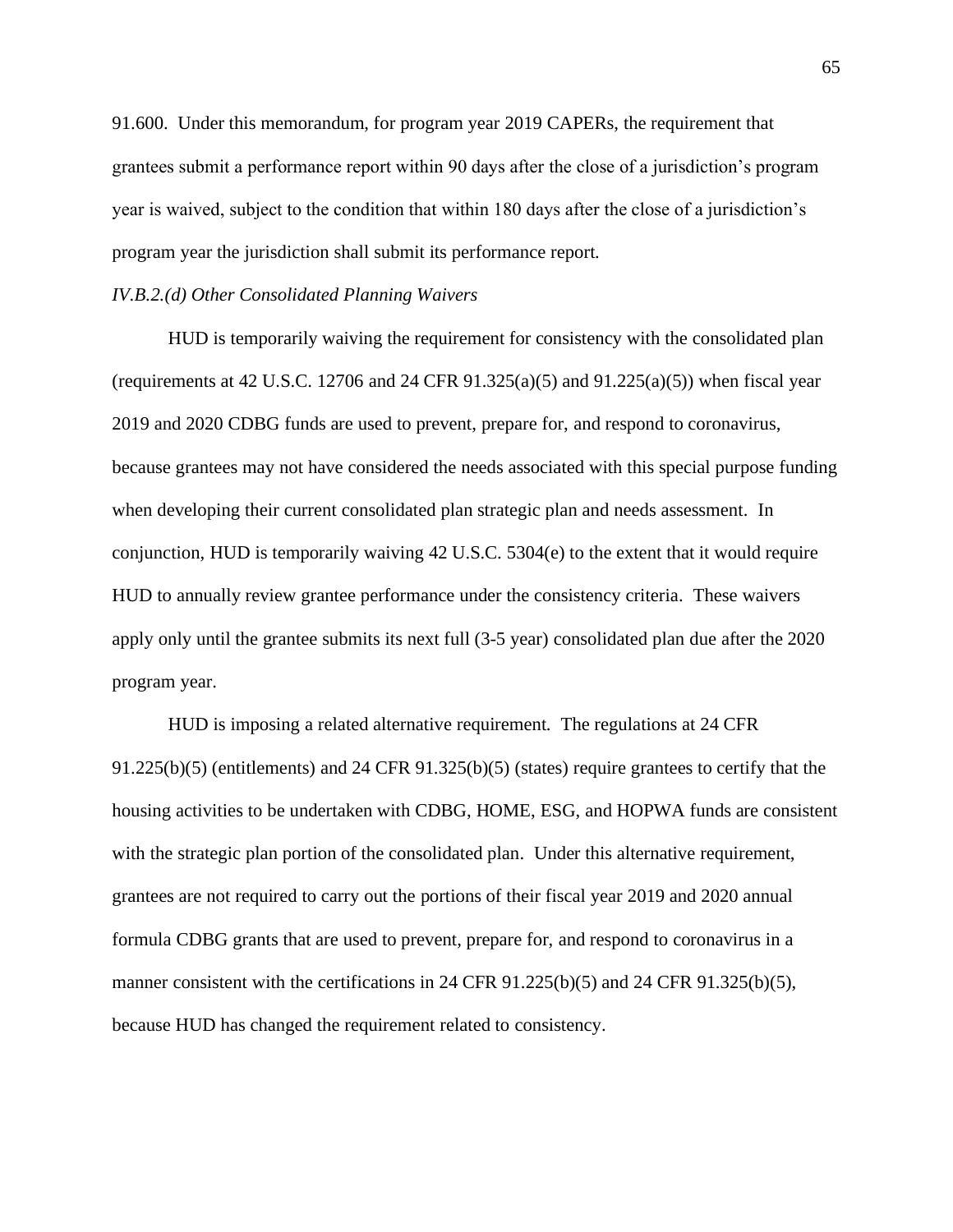91.600. Under this memorandum, for program year 2019 CAPERs, the requirement that grantees submit a performance report within 90 days after the close of a jurisdiction's program year is waived, subject to the condition that within 180 days after the close of a jurisdiction's program year the jurisdiction shall submit its performance report.

#### *IV.B.2.(d) Other Consolidated Planning Waivers*

HUD is temporarily waiving the requirement for consistency with the consolidated plan (requirements at 42 U.S.C. 12706 and 24 CFR  $91.325(a)(5)$  and  $91.225(a)(5)$ ) when fiscal year 2019 and 2020 CDBG funds are used to prevent, prepare for, and respond to coronavirus, because grantees may not have considered the needs associated with this special purpose funding when developing their current consolidated plan strategic plan and needs assessment. In conjunction, HUD is temporarily waiving 42 U.S.C. 5304(e) to the extent that it would require HUD to annually review grantee performance under the consistency criteria. These waivers apply only until the grantee submits its next full (3-5 year) consolidated plan due after the 2020 program year.

HUD is imposing a related alternative requirement. The regulations at 24 CFR 91.225(b)(5) (entitlements) and 24 CFR 91.325(b)(5) (states) require grantees to certify that the housing activities to be undertaken with CDBG, HOME, ESG, and HOPWA funds are consistent with the strategic plan portion of the consolidated plan. Under this alternative requirement, grantees are not required to carry out the portions of their fiscal year 2019 and 2020 annual formula CDBG grants that are used to prevent, prepare for, and respond to coronavirus in a manner consistent with the certifications in 24 CFR 91.225(b)(5) and 24 CFR 91.325(b)(5), because HUD has changed the requirement related to consistency.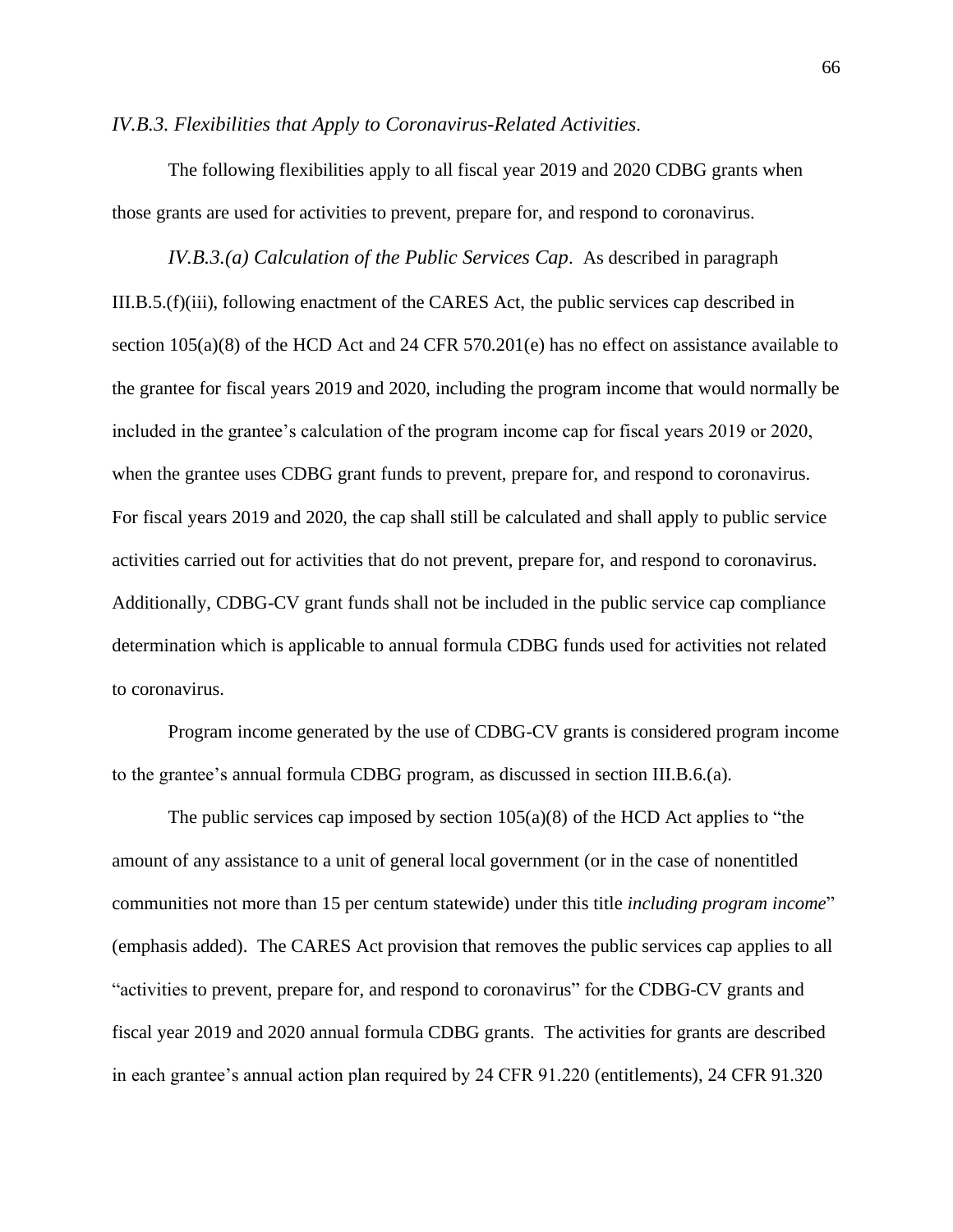<span id="page-65-0"></span>*IV.B.3. Flexibilities that Apply to Coronavirus-Related Activities*.

The following flexibilities apply to all fiscal year 2019 and 2020 CDBG grants when those grants are used for activities to prevent, prepare for, and respond to coronavirus.

*IV.B.3.(a) Calculation of the Public Services Cap*. As described in paragraph III.B.5.(f)(iii), following enactment of the CARES Act, the public services cap described in section 105(a)(8) of the HCD Act and 24 CFR 570.201(e) has no effect on assistance available to the grantee for fiscal years 2019 and 2020, including the program income that would normally be included in the grantee's calculation of the program income cap for fiscal years 2019 or 2020, when the grantee uses CDBG grant funds to prevent, prepare for, and respond to coronavirus. For fiscal years 2019 and 2020, the cap shall still be calculated and shall apply to public service activities carried out for activities that do not prevent, prepare for, and respond to coronavirus. Additionally, CDBG-CV grant funds shall not be included in the public service cap compliance determination which is applicable to annual formula CDBG funds used for activities not related to coronavirus.

Program income generated by the use of CDBG-CV grants is considered program income to the grantee's annual formula CDBG program, as discussed in section III.B.6.(a).

The public services cap imposed by section  $105(a)(8)$  of the HCD Act applies to "the amount of any assistance to a unit of general local government (or in the case of nonentitled communities not more than 15 per centum statewide) under this title *including program income*" (emphasis added). The CARES Act provision that removes the public services cap applies to all "activities to prevent, prepare for, and respond to coronavirus" for the CDBG-CV grants and fiscal year 2019 and 2020 annual formula CDBG grants. The activities for grants are described in each grantee's annual action plan required by 24 CFR 91.220 (entitlements), 24 CFR 91.320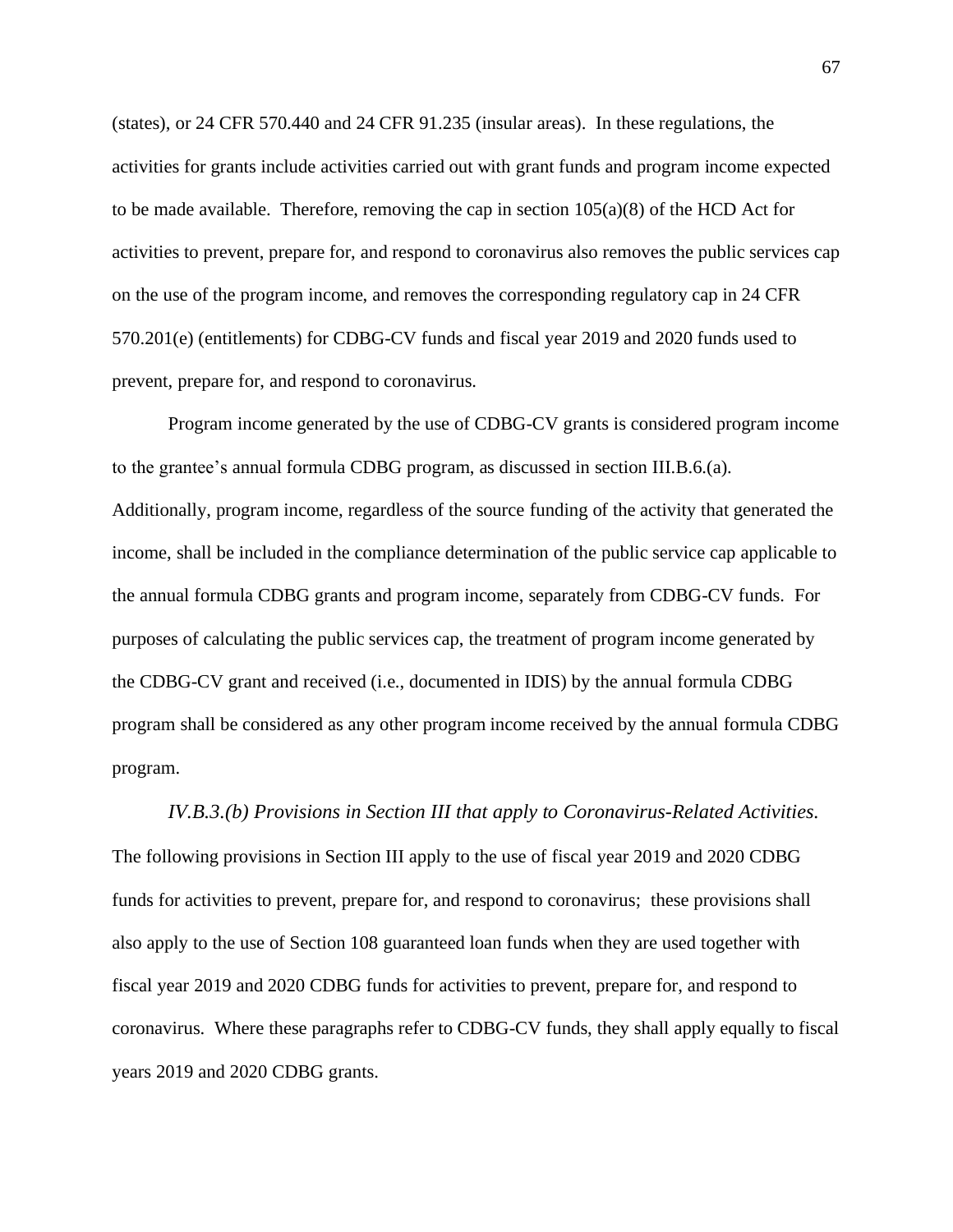(states), or 24 CFR 570.440 and 24 CFR 91.235 (insular areas). In these regulations, the activities for grants include activities carried out with grant funds and program income expected to be made available. Therefore, removing the cap in section  $105(a)(8)$  of the HCD Act for activities to prevent, prepare for, and respond to coronavirus also removes the public services cap on the use of the program income, and removes the corresponding regulatory cap in 24 CFR 570.201(e) (entitlements) for CDBG-CV funds and fiscal year 2019 and 2020 funds used to prevent, prepare for, and respond to coronavirus.

Program income generated by the use of CDBG-CV grants is considered program income to the grantee's annual formula CDBG program, as discussed in section III.B.6.(a). Additionally, program income, regardless of the source funding of the activity that generated the income, shall be included in the compliance determination of the public service cap applicable to the annual formula CDBG grants and program income, separately from CDBG-CV funds. For purposes of calculating the public services cap, the treatment of program income generated by the CDBG-CV grant and received (i.e., documented in IDIS) by the annual formula CDBG program shall be considered as any other program income received by the annual formula CDBG program.

## *IV.B.3.(b) Provisions in Section III that apply to Coronavirus-Related Activities.*

The following provisions in Section III apply to the use of fiscal year 2019 and 2020 CDBG funds for activities to prevent, prepare for, and respond to coronavirus; these provisions shall also apply to the use of Section 108 guaranteed loan funds when they are used together with fiscal year 2019 and 2020 CDBG funds for activities to prevent, prepare for, and respond to coronavirus. Where these paragraphs refer to CDBG-CV funds, they shall apply equally to fiscal years 2019 and 2020 CDBG grants.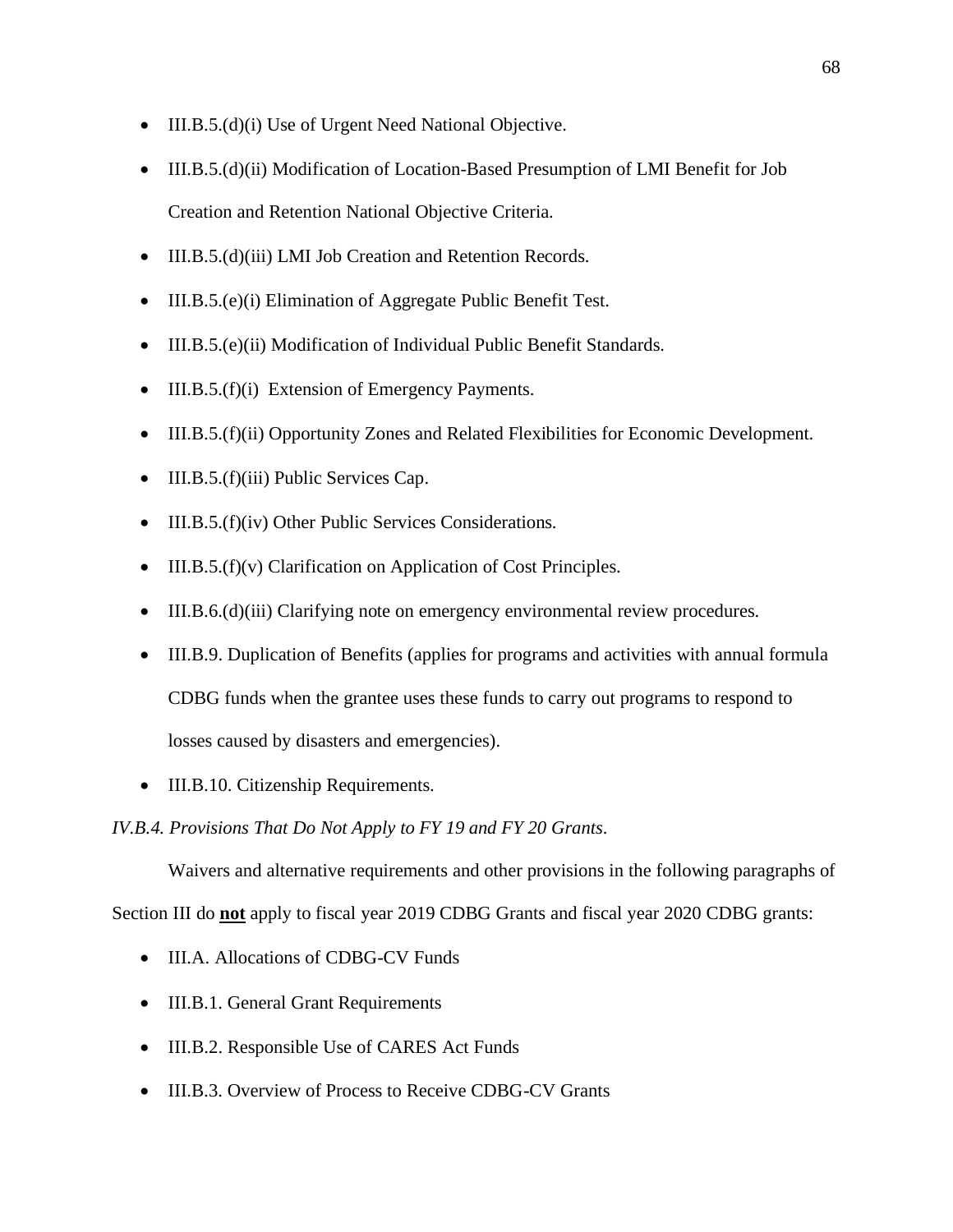- III.B.5.(d)(i) Use of Urgent Need National Objective.
- III.B.5.(d)(ii) Modification of Location-Based Presumption of LMI Benefit for Job Creation and Retention National Objective Criteria.
- III.B.5.(d)(iii) LMI Job Creation and Retention Records.
- III.B.5.(e)(i) Elimination of Aggregate Public Benefit Test.
- III.B.5.(e)(ii) Modification of Individual Public Benefit Standards.
- III.B.5.(f)(i) Extension of Emergency Payments.
- III.B.5.(f)(ii) Opportunity Zones and Related Flexibilities for Economic Development.
- III.B.5.(f)(iii) Public Services Cap.
- III.B.5.(f)(iv) Other Public Services Considerations.
- III.B.5.(f)(v) Clarification on Application of Cost Principles.
- III.B.6.(d)(iii) Clarifying note on emergency environmental review procedures.
- III.B.9. Duplication of Benefits (applies for programs and activities with annual formula CDBG funds when the grantee uses these funds to carry out programs to respond to losses caused by disasters and emergencies).
- III.B.10. Citizenship Requirements.

## <span id="page-67-0"></span>*IV.B.4. Provisions That Do Not Apply to FY 19 and FY 20 Grants.*

Waivers and alternative requirements and other provisions in the following paragraphs of Section III do **not** apply to fiscal year 2019 CDBG Grants and fiscal year 2020 CDBG grants:

- III.A. Allocations of CDBG-CV Funds
- III.B.1. General Grant Requirements
- III.B.2. Responsible Use of CARES Act Funds
- III.B.3. Overview of Process to Receive CDBG-CV Grants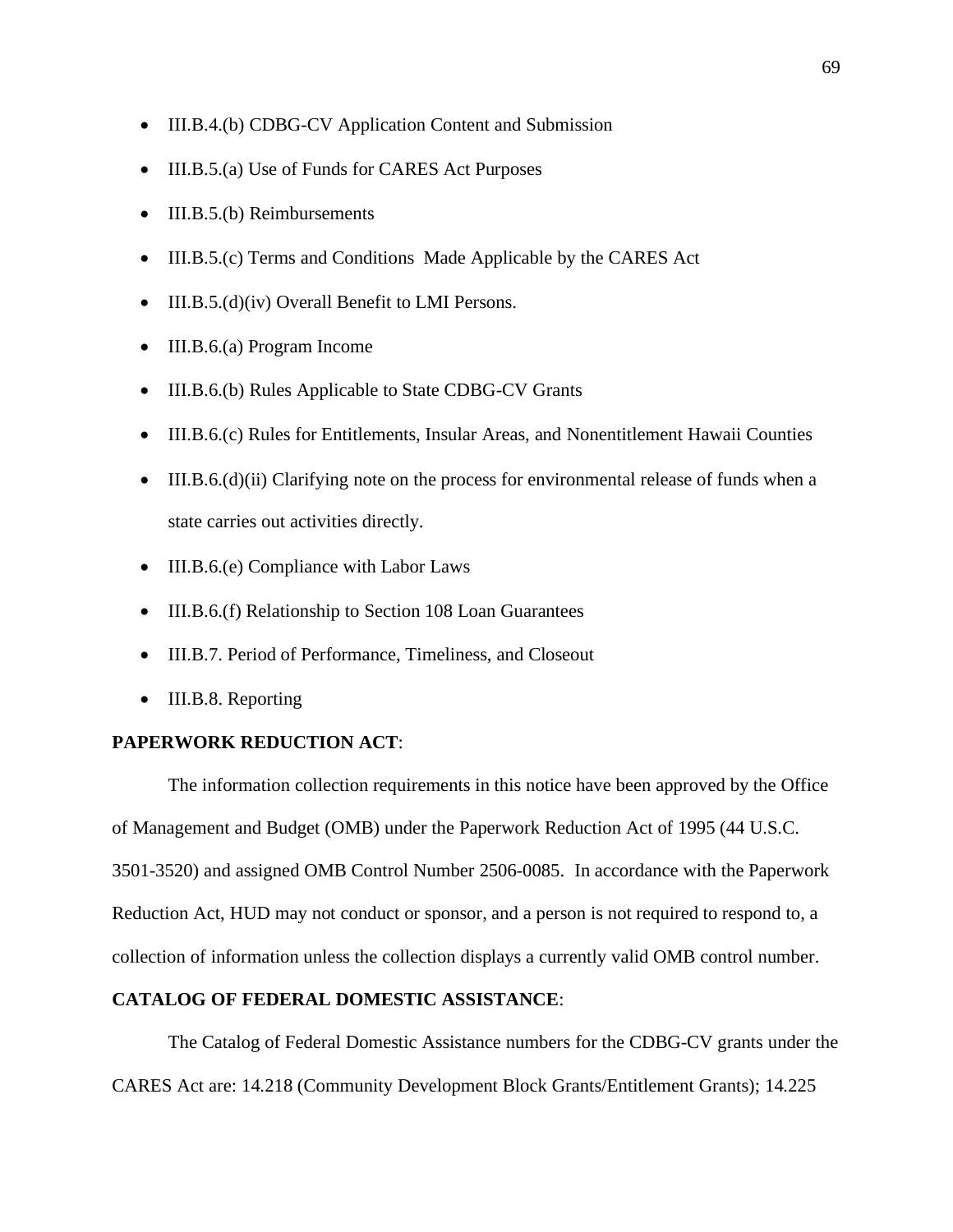- III.B.4.(b) CDBG-CV Application Content and Submission
- III.B.5.(a) Use of Funds for CARES Act Purposes
- III.B.5.(b) Reimbursements
- III.B.5.(c) Terms and Conditions Made Applicable by the CARES Act
- III.B.5.(d)(iv) Overall Benefit to LMI Persons.
- III.B.6.(a) Program Income
- III.B.6.(b) Rules Applicable to State CDBG-CV Grants
- III.B.6.(c) Rules for Entitlements, Insular Areas, and Nonentitlement Hawaii Counties
- III.B.6.(d)(ii) Clarifying note on the process for environmental release of funds when a state carries out activities directly.
- III.B.6.(e) Compliance with Labor Laws
- III.B.6.(f) Relationship to Section 108 Loan Guarantees
- III.B.7. Period of Performance, Timeliness, and Closeout
- III.B.8. Reporting

## **PAPERWORK REDUCTION ACT**:

The information collection requirements in this notice have been approved by the Office of Management and Budget (OMB) under the Paperwork Reduction Act of 1995 (44 U.S.C. 3501-3520) and assigned OMB Control Number 2506-0085. In accordance with the Paperwork Reduction Act, HUD may not conduct or sponsor, and a person is not required to respond to, a collection of information unless the collection displays a currently valid OMB control number.

## **CATALOG OF FEDERAL DOMESTIC ASSISTANCE**:

The Catalog of Federal Domestic Assistance numbers for the CDBG-CV grants under the CARES Act are: 14.218 (Community Development Block Grants/Entitlement Grants); 14.225